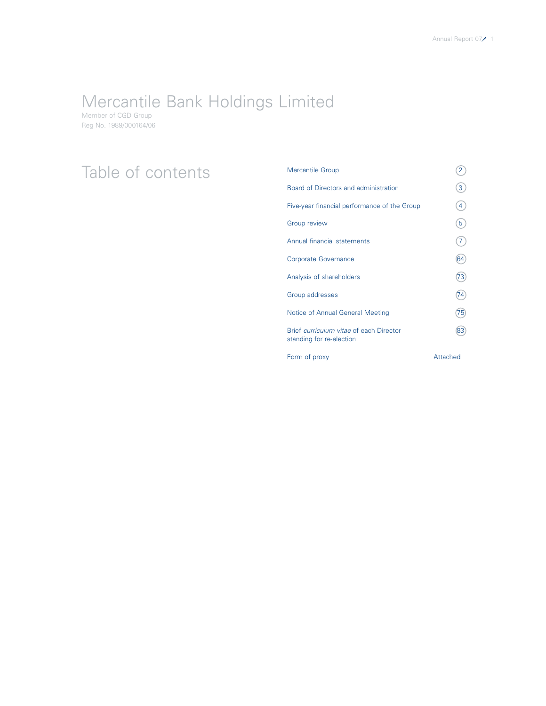## Mercantile Bank Holdings Limited

Member of CGD Group Reg No. 1989/000164/06

### Table of contents<br>
Board of Directors and administration (3) Board of Directors and administration 3 Five-year financial performance of the Group  $\qquad \qquad (4)$ Group review  $\qquad \qquad$  5 Annual financial statements  $(7)$ Corporate Governance 64 Analysis of shareholders (73) Group addresses (74) Notice of Annual General Meeting (75) Brief curriculum vitae of each Director (83) standing for re-election Form of proxy and a settlement of proxy and a settlement of  $A$ ttached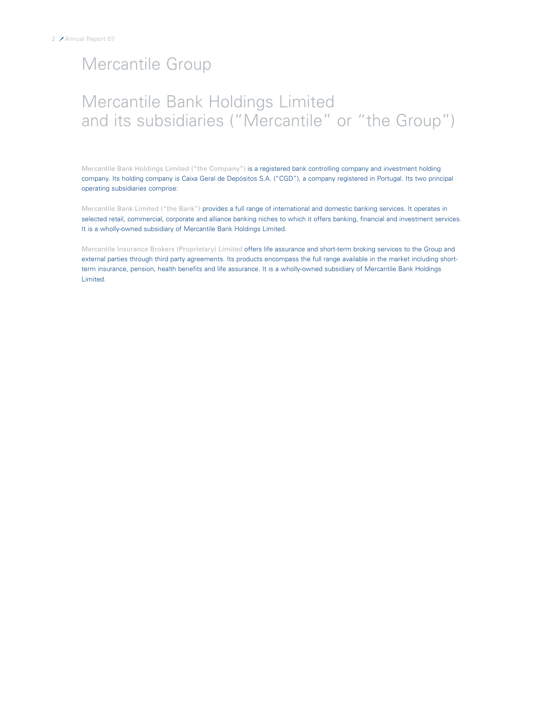## Mercantile Group

## Mercantile Bank Holdings Limited and its subsidiaries ("Mercantile" or "the Group")

Mercantile Bank Holdings Limited ("the Company") is a registered bank controlling company and investment holding company. Its holding company is Caixa Geral de Depósitos S.A. ("CGD"), a company registered in Portugal. Its two principal operating subsidiaries comprise:

Mercantile Bank Limited ("the Bank") provides a full range of international and domestic banking services. It operates in selected retail, commercial, corporate and alliance banking niches to which it offers banking, financial and investment services. It is a wholly-owned subsidiary of Mercantile Bank Holdings Limited.

Mercantile Insurance Brokers (Proprietary) Limited offers life assurance and short-term broking services to the Group and external parties through third party agreements. Its products encompass the full range available in the market including shortterm insurance, pension, health benefits and life assurance. It is a wholly-owned subsidiary of Mercantile Bank Holdings Limited.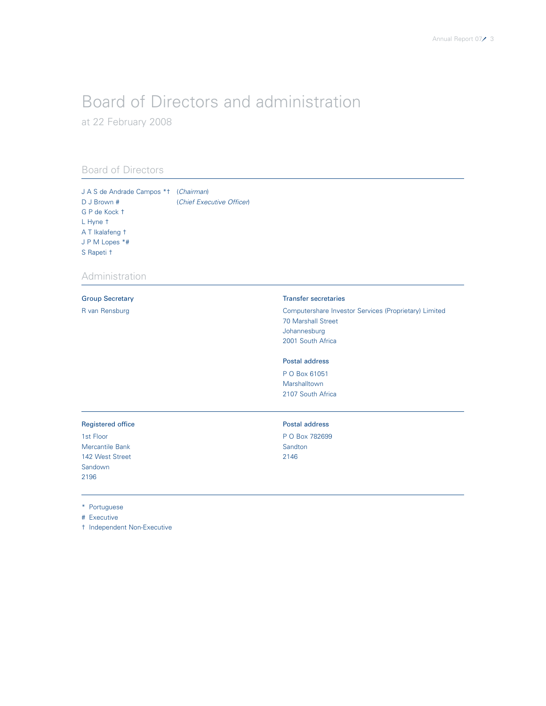## Board of Directors and administration

at 22 February 2008

### Board of Directors

| J A S de Andrade Campos * † (Chairman) |                           |
|----------------------------------------|---------------------------|
| D J Brown #                            | (Chief Executive Officer) |
| G P de Kock t                          |                           |
| L Hyne t                               |                           |
| A T Ikalafeng †                        |                           |
| JPM Lopes *#                           |                           |
| S Rapeti †                             |                           |

#### Administration

#### Group Secretary **Transfer secretaries**

R van Rensburg Computershare Investor Services (Proprietary) Limited 70 Marshall Street Johannesburg 2001 South Africa

#### Postal address

P O Box 61051 Marshalltown 2107 South Africa

#### Registered office **Postal address**

Mercantile Bank Sandton Sandton Sandton Sandton Sandton Sandton Sandton Sandton Sandton Sandton Sandton Sandton Sandton Sandton Sandton Sandton Sandton Sandton Sandton Sandton Sandton Sandton Sandton Sandton Sandton Sandto 142 West Street 2146 Sandown 2196

1st Floor P O Box 782699

\* Portuguese

# Executive

† Independent Non-Executive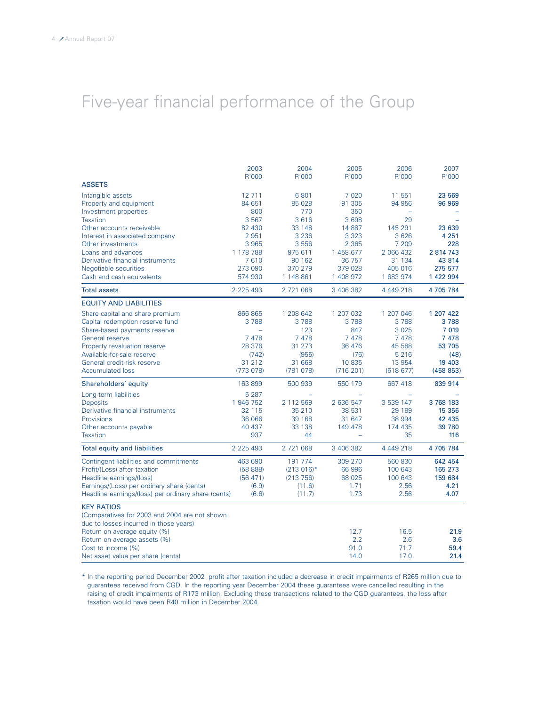## Five-year financial performance of the Group

|                                                                                                   | 2003                 | 2004               | 2005                 | 2006               | 2007               |
|---------------------------------------------------------------------------------------------------|----------------------|--------------------|----------------------|--------------------|--------------------|
| <b>ASSETS</b>                                                                                     | R'000                | R'000              | R'000                | R'000              | R'000              |
| Intangible assets<br>Property and equipment                                                       | 12 711<br>84 651     | 6 801<br>85 028    | 7 0 2 0<br>91 305    | 11 551<br>94 956   | 23 569<br>96 969   |
| Investment properties                                                                             | 800                  | 770                | 350                  |                    |                    |
| <b>Taxation</b>                                                                                   | 3 5 6 7              | 3616               | 3698                 | 29                 |                    |
| Other accounts receivable                                                                         | 82 430               | 33 148             | 14 8 87              | 145 291            | 23 639             |
| Interest in associated company                                                                    | 2 9 5 1              | 3 2 3 6            | 3 3 2 3              | 3 6 2 6            | 4 2 5 1            |
| Other investments<br>Loans and advances                                                           | 3 9 6 5<br>1 178 788 | 3 5 5 6<br>975 611 | 2 3 6 5<br>1 458 677 | 7 209<br>2 066 432 | 228<br>2 8 14 7 43 |
| Derivative financial instruments                                                                  | 7610                 | 90 162             | 36 757               | 31 134             | 43 814             |
| Negotiable securities                                                                             | 273 090              | 370 279            | 379 028              | 405 016            | 275 577            |
| Cash and cash equivalents                                                                         | 574 930              | 1 148 861          | 1 408 972            | 1 683 974          | 1 422 994          |
| <b>Total assets</b>                                                                               | 2 2 2 5 4 9 3        | 2 721 068          | 3 406 382            | 4 4 4 9 2 1 8      | 4705784            |
| <b>EQUITY AND LIABILITIES</b>                                                                     |                      |                    |                      |                    |                    |
| Share capital and share premium                                                                   | 866 865              | 1 208 642          | 1 207 032            | 1 207 046          | 1 207 422          |
| Capital redemption reserve fund                                                                   | 3 7 8 8              | 3788               | 3788                 | 3788               | 3788               |
| Share-based payments reserve                                                                      | L.                   | 123                | 847                  | 3 0 2 5            | 7 0 19             |
| General reserve                                                                                   | 7478                 | 7478               | 7 4 7 8              | 7 4 7 8            | 7 4 7 8            |
| Property revaluation reserve                                                                      | 28 376               | 31 273             | 36 476               | 45 588             | 53 705             |
| Available-for-sale reserve<br>General credit-risk reserve                                         | (742)<br>31 212      | (955)<br>31 668    | (76)<br>10 835       | 5 2 1 6<br>13 954  | (48)<br>19 403     |
| <b>Accumulated loss</b>                                                                           | (773078)             | (781078)           | (716 201)            | (618677)           | (458853)           |
| Shareholders' equity                                                                              | 163 899              | 500 939            | 550 179              | 667 418            | 839 914            |
| Long-term liabilities                                                                             | 5 2 8 7              |                    |                      |                    |                    |
| <b>Deposits</b>                                                                                   | 1 946 752            | 2 112 569          | 2 636 547            | 3 539 147          | 3 768 183          |
| Derivative financial instruments                                                                  | 32 115               | 35 210             | 38 531               | 29 189             | 15 356             |
| Provisions                                                                                        | 36 066               | 39 168             | 31 647               | 38 994             | 42 435             |
| Other accounts payable                                                                            | 40 437               | 33 138             | 149 478              | 174 435            | 39 780             |
| <b>Taxation</b>                                                                                   | 937                  | 44                 | $\equiv$             | 35                 | 116                |
| <b>Total equity and liabilities</b>                                                               | 2 2 2 5 4 9 3        | 2 721 068          | 3 406 382            | 4 449 218          | 4705784            |
| Contingent liabilities and commitments                                                            | 463 690              | 191 774            | 309 270              | 560 830            | 642 454            |
| Profit/(Loss) after taxation                                                                      | (5888)               | $(213 016)^*$      | 66 996               | 100 643            | 165 273            |
| Headline earnings/(loss)                                                                          | (56 471)             | (213756)           | 68 025               | 100 643            | 159 684            |
| Earnings/(Loss) per ordinary share (cents)<br>Headline earnings/(loss) per ordinary share (cents) | (6.9)<br>(6.6)       | (11.6)<br>(11.7)   | 1.71<br>1.73         | 2.56<br>2.56       | 4.21<br>4.07       |
| <b>KEY RATIOS</b>                                                                                 |                      |                    |                      |                    |                    |
| (Comparatives for 2003 and 2004 are not shown                                                     |                      |                    |                      |                    |                    |
| due to losses incurred in those years)                                                            |                      |                    |                      |                    |                    |
| Return on average equity (%)                                                                      |                      |                    | 12.7                 | 16.5               | 21.9               |
| Return on average assets (%)                                                                      |                      |                    | 2.2                  | 2.6                | 3.6                |
| Cost to income (%)                                                                                |                      |                    | 91.0                 | 71.7               | 59.4               |
| Net asset value per share (cents)                                                                 |                      |                    | 14.0                 | 17.0               | 21.4               |

\* In the reporting period December 2002 profit after taxation included a decrease in credit impairments of R265 million due to guarantees received from CGD. In the reporting year December 2004 these guarantees were cancelled resulting in the raising of credit impairments of R173 million. Excluding these transactions related to the CGD guarantees, the loss after taxation would have been R40 million in December 2004.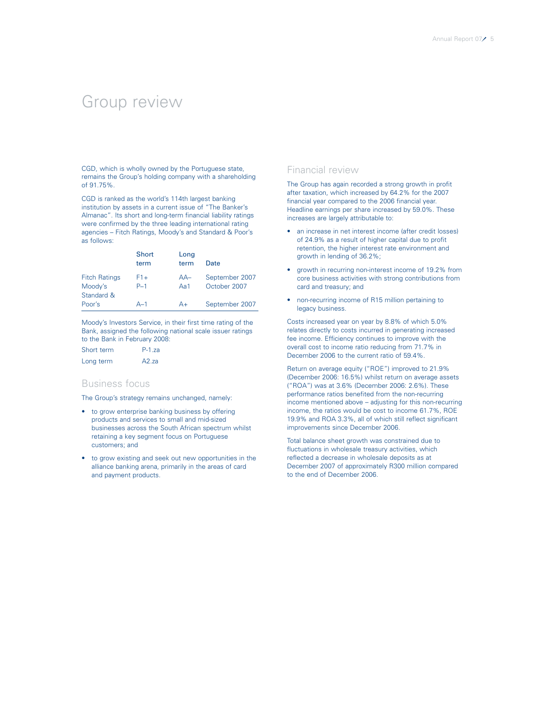### Group review

CGD, which is wholly owned by the Portuguese state, remains the Group's holding company with a shareholding of 91.75%.

CGD is ranked as the world's 114th largest banking institution by assets in a current issue of "The Banker's Almanac". Its short and long-term financial liability ratings were confirmed by the three leading international rating agencies – Fitch Ratings, Moody's and Standard & Poor's as follows:

|                                               | Short<br>term  | Long<br>term | Date                           |
|-----------------------------------------------|----------------|--------------|--------------------------------|
| <b>Fitch Ratings</b><br>Moody's<br>Standard & | $F1+$<br>$P-1$ | $AA-$<br>Aa1 | September 2007<br>October 2007 |
| Poor's                                        | $A-1$          | $A+$         | September 2007                 |

Moody's Investors Service, in their first time rating of the Bank, assigned the following national scale issuer ratings to the Bank in February 2008:

Short term P-1.za Long term A2.za

#### Business focus

The Group's strategy remains unchanged, namely:

- to grow enterprise banking business by offering products and services to small and mid-sized businesses across the South African spectrum whilst retaining a key segment focus on Portuguese customers; and
- to grow existing and seek out new opportunities in the alliance banking arena, primarily in the areas of card and payment products.

#### Financial review

The Group has again recorded a strong growth in profit after taxation, which increased by 64.2% for the 2007 financial year compared to the 2006 financial year. Headline earnings per share increased by 59.0%. These increases are largely attributable to:

- an increase in net interest income (after credit losses) of 24.9% as a result of higher capital due to profit retention, the higher interest rate environment and growth in lending of 36.2%;
- growth in recurring non-interest income of 19.2% from core business activities with strong contributions from card and treasury; and
- non-recurring income of R15 million pertaining to legacy business.

Costs increased year on year by 8.8% of which 5.0% relates directly to costs incurred in generating increased fee income. Efficiency continues to improve with the overall cost to income ratio reducing from 71.7% in December 2006 to the current ratio of 59.4%.

Return on average equity ("ROE") improved to 21.9% (December 2006: 16.5%) whilst return on average assets ("ROA") was at 3.6% (December 2006: 2.6%). These performance ratios benefited from the non-recurring income mentioned above – adjusting for this non-recurring income, the ratios would be cost to income 61.7%, ROE 19.9% and ROA 3.3%, all of which still reflect significant improvements since December 2006.

Total balance sheet growth was constrained due to fluctuations in wholesale treasury activities, which reflected a decrease in wholesale deposits as at December 2007 of approximately R300 million compared to the end of December 2006.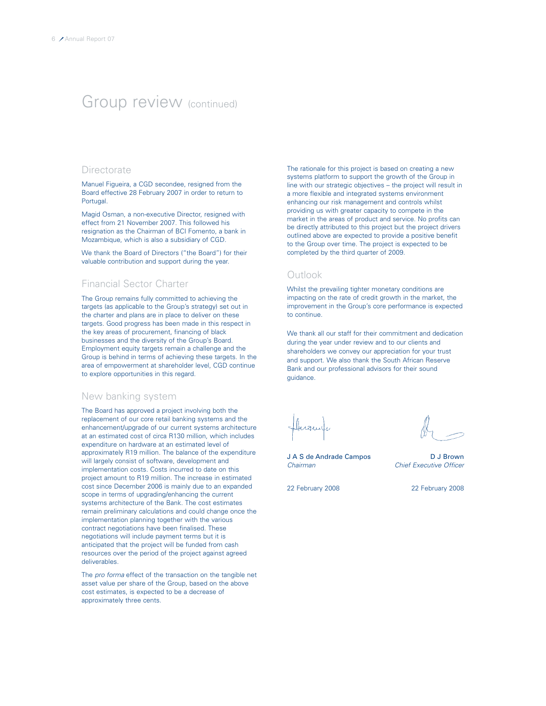### Group review (continued)

#### **Directorate**

Manuel Figueira, a CGD secondee, resigned from the Board effective 28 February 2007 in order to return to Portugal.

Magid Osman, a non-executive Director, resigned with effect from 21 November 2007. This followed his resignation as the Chairman of BCI Fomento, a bank in Mozambique, which is also a subsidiary of CGD.

We thank the Board of Directors ("the Board") for their valuable contribution and support during the year.

### Financial Sector Charter

The Group remains fully committed to achieving the targets (as applicable to the Group's strategy) set out in the charter and plans are in place to deliver on these targets. Good progress has been made in this respect in the key areas of procurement, financing of black businesses and the diversity of the Group's Board. Employment equity targets remain a challenge and the Group is behind in terms of achieving these targets. In the area of empowerment at shareholder level, CGD continue to explore opportunities in this regard.

#### New banking system

The Board has approved a project involving both the replacement of our core retail banking systems and the enhancement/upgrade of our current systems architecture at an estimated cost of circa R130 million, which includes expenditure on hardware at an estimated level of approximately R19 million. The balance of the expenditure will largely consist of software, development and implementation costs. Costs incurred to date on this project amount to R19 million. The increase in estimated cost since December 2006 is mainly due to an expanded scope in terms of upgrading/enhancing the current systems architecture of the Bank. The cost estimates remain preliminary calculations and could change once the implementation planning together with the various contract negotiations have been finalised. These negotiations will include payment terms but it is anticipated that the project will be funded from cash resources over the period of the project against agreed deliverables.

The *pro forma* effect of the transaction on the tangible net asset value per share of the Group, based on the above cost estimates, is expected to be a decrease of approximately three cents.

The rationale for this project is based on creating a new systems platform to support the growth of the Group in line with our strategic objectives – the project will result in a more flexible and integrated systems environment enhancing our risk management and controls whilst providing us with greater capacity to compete in the market in the areas of product and service. No profits can be directly attributed to this project but the project drivers outlined above are expected to provide a positive benefit to the Group over time. The project is expected to be completed by the third quarter of 2009.

#### **Outlook**

Whilst the prevailing tighter monetary conditions are impacting on the rate of credit growth in the market, the improvement in the Group's core performance is expected to continue.

We thank all our staff for their commitment and dedication during the year under review and to our clients and shareholders we convey our appreciation for your trust and support. We also thank the South African Reserve Bank and our professional advisors for their sound guidance.

flusurfu

J A S de Andrade Campos D J Brown Chairman Chief Executive Officer

22 February 2008 22 February 2008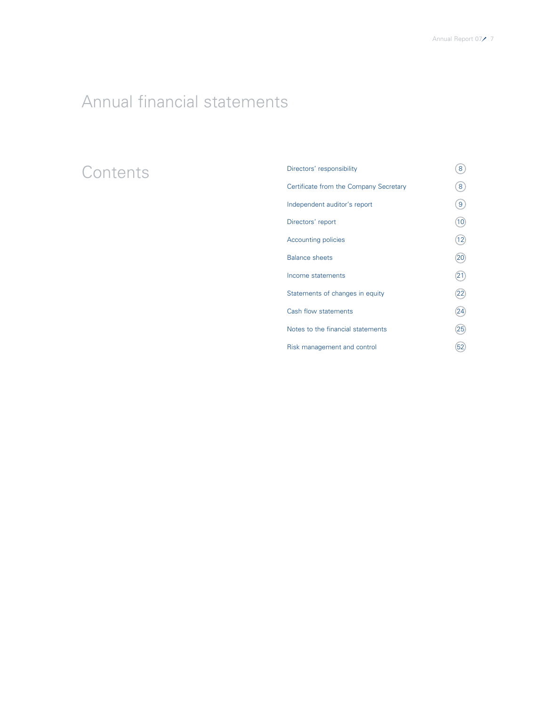## Annual financial statements

## Contents

| Directors' responsibility              | 8  |
|----------------------------------------|----|
| Certificate from the Company Secretary | 8  |
| Independent auditor's report           | 9  |
| Directors' report                      | 10 |
| <b>Accounting policies</b>             | 12 |
| <b>Balance sheets</b>                  | 20 |
| Income statements                      | 21 |
| Statements of changes in equity        |    |
| Cash flow statements                   | 24 |
| Notes to the financial statements      | 25 |
| Risk management and control            |    |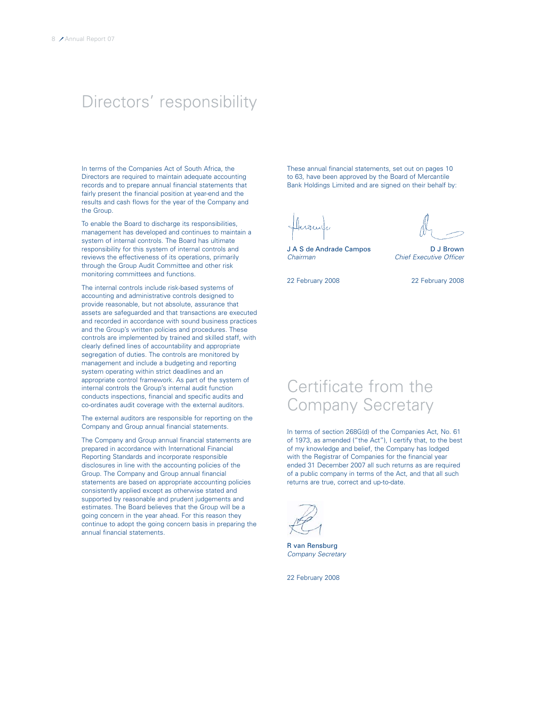### Directors' responsibility

In terms of the Companies Act of South Africa, the Directors are required to maintain adequate accounting records and to prepare annual financial statements that fairly present the financial position at year-end and the results and cash flows for the year of the Company and the Group.

To enable the Board to discharge its responsibilities, management has developed and continues to maintain a system of internal controls. The Board has ultimate responsibility for this system of internal controls and reviews the effectiveness of its operations, primarily through the Group Audit Committee and other risk monitoring committees and functions.

The internal controls include risk-based systems of accounting and administrative controls designed to provide reasonable, but not absolute, assurance that assets are safeguarded and that transactions are executed and recorded in accordance with sound business practices and the Group's written policies and procedures. These controls are implemented by trained and skilled staff, with clearly defined lines of accountability and appropriate segregation of duties. The controls are monitored by management and include a budgeting and reporting system operating within strict deadlines and an appropriate control framework. As part of the system of internal controls the Group's internal audit function conducts inspections, financial and specific audits and co-ordinates audit coverage with the external auditors.

The external auditors are responsible for reporting on the Company and Group annual financial statements.

The Company and Group annual financial statements are prepared in accordance with International Financial Reporting Standards and incorporate responsible disclosures in line with the accounting policies of the Group. The Company and Group annual financial statements are based on appropriate accounting policies consistently applied except as otherwise stated and supported by reasonable and prudent judgements and estimates. The Board believes that the Group will be a going concern in the year ahead. For this reason they continue to adopt the going concern basis in preparing the annual financial statements.

These annual financial statements, set out on pages 10 to 63, have been approved by the Board of Mercantile Bank Holdings Limited and are signed on their behalf by:

Huguela

J A S de Andrade Campos D J Brown Chairman Chief Executive Officer

22 February 2008 22 February 2008

### Certificate from the Company Secretary

In terms of section 268G(d) of the Companies Act, No. 61 of 1973, as amended ("the Act"), I certify that, to the best of my knowledge and belief, the Company has lodged with the Registrar of Companies for the financial year ended 31 December 2007 all such returns as are required of a public company in terms of the Act, and that all such returns are true, correct and up-to-date.

R van Rensburg Company Secretary

22 February 2008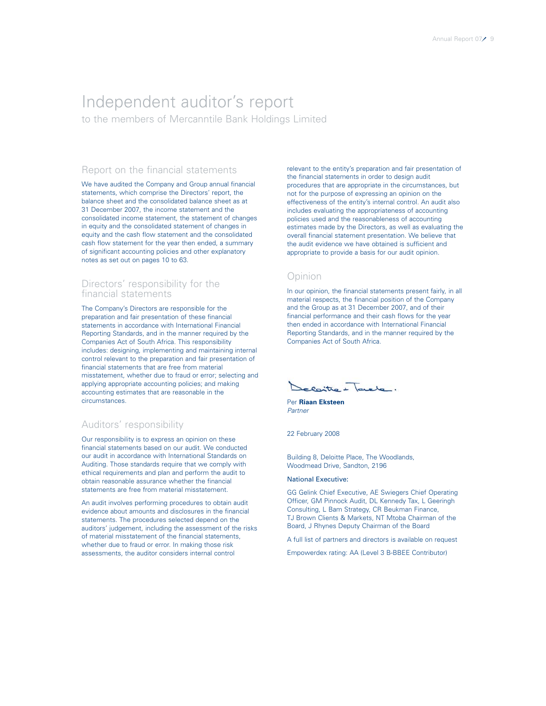## Independent auditor's report

to the members of Mercanntile Bank Holdings Limited

#### Report on the financial statements

We have audited the Company and Group annual financial statements, which comprise the Directors' report, the balance sheet and the consolidated balance sheet as at 31 December 2007, the income statement and the consolidated income statement, the statement of changes in equity and the consolidated statement of changes in equity and the cash flow statement and the consolidated cash flow statement for the year then ended, a summary of significant accounting policies and other explanatory notes as set out on pages 10 to 63.

#### Directors' responsibility for the financial statements

The Company's Directors are responsible for the preparation and fair presentation of these financial statements in accordance with International Financial Reporting Standards, and in the manner required by the Companies Act of South Africa. This responsibility includes: designing, implementing and maintaining internal control relevant to the preparation and fair presentation of financial statements that are free from material misstatement, whether due to fraud or error; selecting and applying appropriate accounting policies; and making accounting estimates that are reasonable in the circumstances.

### Auditors' responsibility

Our responsibility is to express an opinion on these financial statements based on our audit. We conducted our audit in accordance with International Standards on Auditing. Those standards require that we comply with ethical requirements and plan and perform the audit to obtain reasonable assurance whether the financial statements are free from material misstatement.

An audit involves performing procedures to obtain audit evidence about amounts and disclosures in the financial statements. The procedures selected depend on the auditors' judgement, including the assessment of the risks of material misstatement of the financial statements, whether due to fraud or error. In making those risk assessments, the auditor considers internal control

relevant to the entity's preparation and fair presentation of the financial statements in order to design audit procedures that are appropriate in the circumstances, but not for the purpose of expressing an opinion on the effectiveness of the entity's internal control. An audit also includes evaluating the appropriateness of accounting policies used and the reasonableness of accounting estimates made by the Directors, as well as evaluating the overall financial statement presentation. We believe that the audit evidence we have obtained is sufficient and appropriate to provide a basis for our audit opinion.

#### Opinion

In our opinion, the financial statements present fairly, in all material respects, the financial position of the Company and the Group as at 31 December 2007, and of their financial performance and their cash flows for the year then ended in accordance with International Financial Reporting Standards, and in the manner required by the Companies Act of South Africa.

Defaite + Tarele.

Per **Riaan Eksteen** Partner

22 February 2008

Building 8, Deloitte Place, The Woodlands, Woodmead Drive, Sandton, 2196

#### National Executive:

GG Gelink Chief Executive, AE Swiegers Chief Operating Officer, GM Pinnock Audit, DL Kennedy Tax, L Geeringh Consulting, L Bam Strategy, CR Beukman Finance, TJ Brown Clients & Markets, NT Mtoba Chairman of the Board, J Rhynes Deputy Chairman of the Board

A full list of partners and directors is available on request

Empowerdex rating: AA (Level 3 B-BBEE Contributor)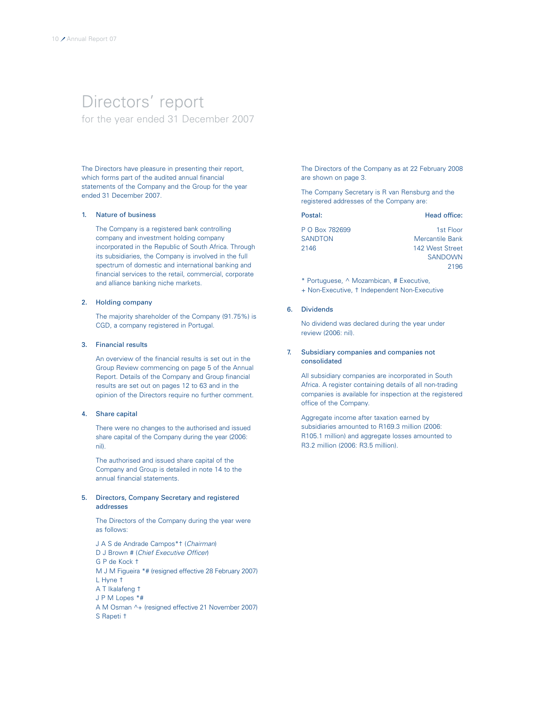### Directors' report for the year ended 31 December 2007

The Directors have pleasure in presenting their report, which forms part of the audited annual financial statements of the Company and the Group for the year ended 31 December 2007.

#### 1. Nature of business

The Company is a registered bank controlling company and investment holding company incorporated in the Republic of South Africa. Through its subsidiaries, the Company is involved in the full spectrum of domestic and international banking and financial services to the retail, commercial, corporate and alliance banking niche markets.

#### 2. Holding company

The majority shareholder of the Company (91.75%) is CGD, a company registered in Portugal.

#### 3. Financial results

An overview of the financial results is set out in the Group Review commencing on page 5 of the Annual Report. Details of the Company and Group financial results are set out on pages 12 to 63 and in the opinion of the Directors require no further comment.

#### 4. Share capital

There were no changes to the authorised and issued share capital of the Company during the year (2006: nil).

The authorised and issued share capital of the Company and Group is detailed in note 14 to the annual financial statements.

#### 5. Directors, Company Secretary and registered addresses

The Directors of the Company during the year were as follows:

J A S de Andrade Campos\*† (Chairman) D J Brown # (Chief Executive Officer) G P de Kock † M J M Figueira \*# (resigned effective 28 February 2007) L Hyne † A T Ikalafeng † J P M Lopes \*# A M Osman ^+ (resigned effective 21 November 2007) S Rapeti †

The Directors of the Company as at 22 February 2008 are shown on page 3.

The Company Secretary is R van Rensburg and the registered addresses of the Company are:

| Postal:        | Head office:           |
|----------------|------------------------|
| P O Box 782699 | 1st Floor              |
| <b>SANDTON</b> | <b>Mercantile Bank</b> |
| 2146           | 142 West Street        |
|                | <b>SANDOWN</b>         |
|                | 2196                   |

\* Portuguese, ^ Mozambican, # Executive,

+ Non-Executive, † Independent Non-Executive

#### 6. Dividends

No dividend was declared during the year under review (2006: nil).

#### 7. Subsidiary companies and companies not consolidated

All subsidiary companies are incorporated in South Africa. A register containing details of all non-trading companies is available for inspection at the registered office of the Company.

Aggregate income after taxation earned by subsidiaries amounted to R169.3 million (2006: R105.1 million) and aggregate losses amounted to R3.2 million (2006: R3.5 million).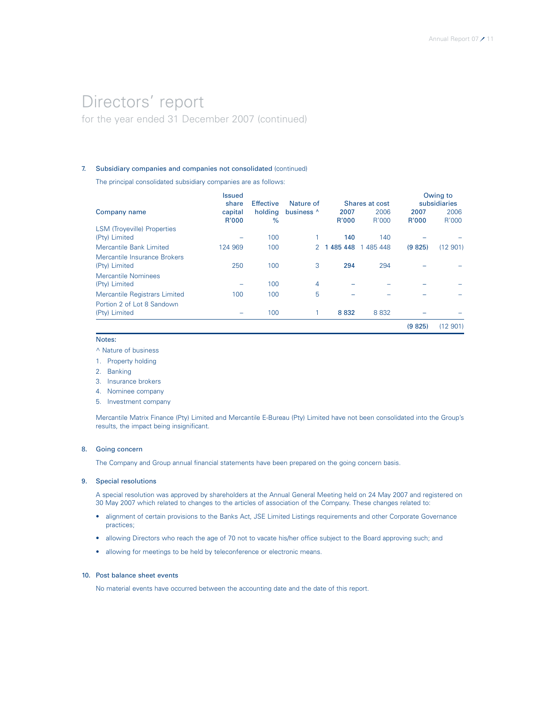## Directors' report

for the year ended 31 December 2007 (continued)

#### 7. Subsidiary companies and companies not consolidated (continued)

The principal consolidated subsidiary companies are as follows:

|                                    | <b>Issued</b> |                  |                       |         |                |        | Owing to     |
|------------------------------------|---------------|------------------|-----------------------|---------|----------------|--------|--------------|
|                                    | share         | <b>Effective</b> | Nature of             |         | Shares at cost |        | subsidiaries |
| Company name                       | capital       | holding          | business <sup>1</sup> | 2007    | 2006           | 2007   | 2006         |
|                                    | R'000         | $\%$             |                       | R'000   | R'000          | R'000  | R'000        |
| <b>LSM (Troyeville) Properties</b> |               |                  |                       |         |                |        |              |
| (Pty) Limited                      |               | 100              |                       | 140     | 140            |        |              |
| Mercantile Bank Limited            | 124 969       | 100              | $2^{\circ}$           | 1485448 | 1 485 448      | (9825) | (12901)      |
| Mercantile Insurance Brokers       |               |                  |                       |         |                |        |              |
| (Pty) Limited                      | 250           | 100              | 3                     | 294     | 294            |        |              |
| <b>Mercantile Nominees</b>         |               |                  |                       |         |                |        |              |
| (Pty) Limited                      |               | 100              | 4                     |         |                |        |              |
| Mercantile Registrars Limited      | 100           | 100              | 5                     |         |                |        |              |
| Portion 2 of Lot 8 Sandown         |               |                  |                       |         |                |        |              |
| (Pty) Limited                      |               | 100              |                       | 8832    | 8832           |        |              |
|                                    |               |                  |                       |         |                | (9825) | (12901)      |
|                                    |               |                  |                       |         |                |        |              |

#### Notes:

- ^ Nature of business
- 1. Property holding
- 2. Banking
- 3. Insurance brokers
- 4. Nominee company
- 5. Investment company

Mercantile Matrix Finance (Pty) Limited and Mercantile E-Bureau (Pty) Limited have not been consolidated into the Group's results, the impact being insignificant.

#### 8. Going concern

The Company and Group annual financial statements have been prepared on the going concern basis.

#### 9. Special resolutions

A special resolution was approved by shareholders at the Annual General Meeting held on 24 May 2007 and registered on 30 May 2007 which related to changes to the articles of association of the Company. These changes related to:

- alignment of certain provisions to the Banks Act, JSE Limited Listings requirements and other Corporate Governance practices;
- allowing Directors who reach the age of 70 not to vacate his/her office subject to the Board approving such; and
- allowing for meetings to be held by teleconference or electronic means.

#### 10. Post balance sheet events

No material events have occurred between the accounting date and the date of this report.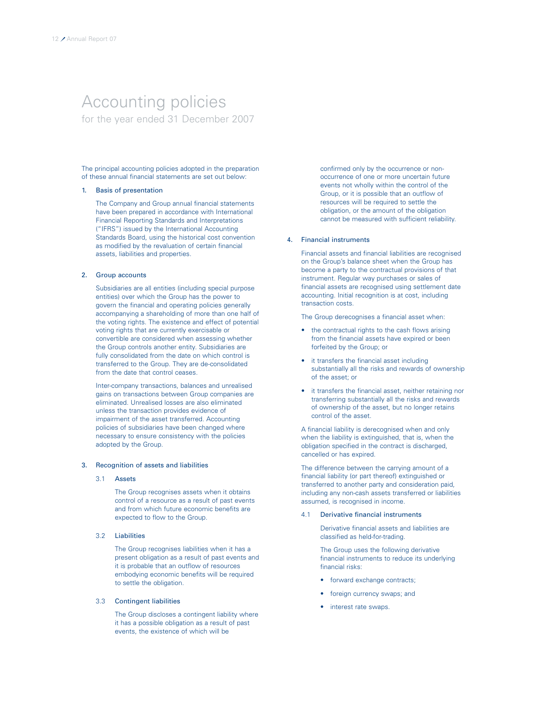### Accounting policies for the year ended 31 December 2007

The principal accounting policies adopted in the preparation of these annual financial statements are set out below:

#### 1. Basis of presentation

The Company and Group annual financial statements have been prepared in accordance with International Financial Reporting Standards and Interpretations ("IFRS") issued by the International Accounting Standards Board, using the historical cost convention as modified by the revaluation of certain financial assets, liabilities and properties.

#### 2. Group accounts

Subsidiaries are all entities (including special purpose entities) over which the Group has the power to govern the financial and operating policies generally accompanying a shareholding of more than one half of the voting rights. The existence and effect of potential voting rights that are currently exercisable or convertible are considered when assessing whether the Group controls another entity. Subsidiaries are fully consolidated from the date on which control is transferred to the Group. They are de-consolidated from the date that control ceases.

Inter-company transactions, balances and unrealised gains on transactions between Group companies are eliminated. Unrealised losses are also eliminated unless the transaction provides evidence of impairment of the asset transferred. Accounting policies of subsidiaries have been changed where necessary to ensure consistency with the policies adopted by the Group.

#### 3. Recognition of assets and liabilities

#### 3.1 Assets

The Group recognises assets when it obtains control of a resource as a result of past events and from which future economic benefits are expected to flow to the Group.

#### 3.2 Liabilities

The Group recognises liabilities when it has a present obligation as a result of past events and it is probable that an outflow of resources embodying economic benefits will be required to settle the obligation.

#### 3.3 Contingent liabilities

The Group discloses a contingent liability where it has a possible obligation as a result of past events, the existence of which will be

confirmed only by the occurrence or nonoccurrence of one or more uncertain future events not wholly within the control of the Group, or it is possible that an outflow of resources will be required to settle the obligation, or the amount of the obligation cannot be measured with sufficient reliability.

#### 4. Financial instruments

Financial assets and financial liabilities are recognised on the Group's balance sheet when the Group has become a party to the contractual provisions of that instrument. Regular way purchases or sales of financial assets are recognised using settlement date accounting. Initial recognition is at cost, including transaction costs.

The Group derecognises a financial asset when:

- the contractual rights to the cash flows arising from the financial assets have expired or been forfeited by the Group; or
- it transfers the financial asset including substantially all the risks and rewards of ownership of the asset; or
- it transfers the financial asset, neither retaining nor transferring substantially all the risks and rewards of ownership of the asset, but no longer retains control of the asset.

A financial liability is derecognised when and only when the liability is extinguished, that is, when the obligation specified in the contract is discharged, cancelled or has expired.

The difference between the carrying amount of a financial liability (or part thereof) extinguished or transferred to another party and consideration paid, including any non-cash assets transferred or liabilities assumed, is recognised in income.

#### 4.1 Derivative financial instruments

Derivative financial assets and liabilities are classified as held-for-trading.

The Group uses the following derivative financial instruments to reduce its underlying financial risks:

- forward exchange contracts;
- foreign currency swaps; and
- interest rate swaps.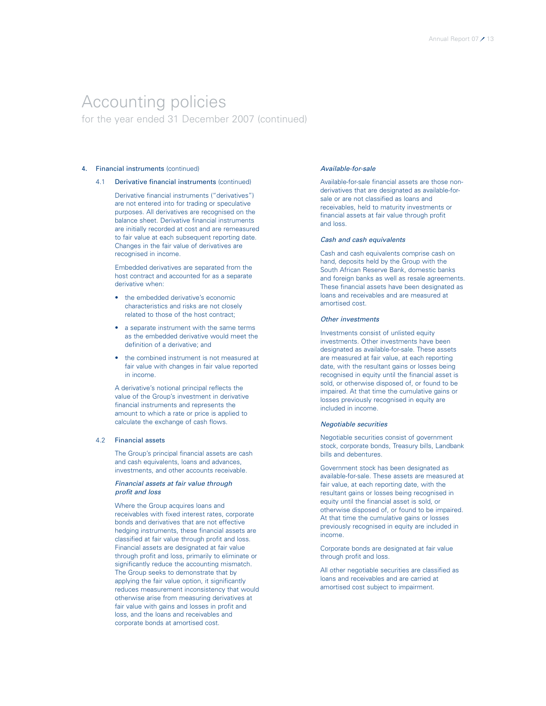for the year ended 31 December 2007 (continued)

#### 4. Financial instruments (continued)

4.1 Derivative financial instruments (continued)

Derivative financial instruments ("derivatives") are not entered into for trading or speculative purposes. All derivatives are recognised on the balance sheet. Derivative financial instruments are initially recorded at cost and are remeasured to fair value at each subsequent reporting date. Changes in the fair value of derivatives are recognised in income.

Embedded derivatives are separated from the host contract and accounted for as a separate derivative when:

- the embedded derivative's economic characteristics and risks are not closely related to those of the host contract;
- a separate instrument with the same terms as the embedded derivative would meet the definition of a derivative; and
- the combined instrument is not measured at fair value with changes in fair value reported in income.

A derivative's notional principal reflects the value of the Group's investment in derivative financial instruments and represents the amount to which a rate or price is applied to calculate the exchange of cash flows.

#### 4.2 Financial assets

The Group's principal financial assets are cash and cash equivalents, loans and advances, investments, and other accounts receivable.

#### Financial assets at fair value through profit and loss

Where the Group acquires loans and receivables with fixed interest rates, corporate bonds and derivatives that are not effective hedging instruments, these financial assets are classified at fair value through profit and loss. Financial assets are designated at fair value through profit and loss, primarily to eliminate or significantly reduce the accounting mismatch. The Group seeks to demonstrate that by applying the fair value option, it significantly reduces measurement inconsistency that would otherwise arise from measuring derivatives at fair value with gains and losses in profit and loss, and the loans and receivables and corporate bonds at amortised cost.

#### Available-for-sale

Available-for-sale financial assets are those nonderivatives that are designated as available-forsale or are not classified as loans and receivables, held to maturity investments or financial assets at fair value through profit and loss.

#### Cash and cash equivalents

Cash and cash equivalents comprise cash on hand, deposits held by the Group with the South African Reserve Bank, domestic banks and foreign banks as well as resale agreements. These financial assets have been designated as loans and receivables and are measured at amortised cost.

#### Other investments

Investments consist of unlisted equity investments. Other investments have been designated as available-for-sale. These assets are measured at fair value, at each reporting date, with the resultant gains or losses being recognised in equity until the financial asset is sold, or otherwise disposed of, or found to be impaired. At that time the cumulative gains or losses previously recognised in equity are included in income.

#### Negotiable securities

Negotiable securities consist of government stock, corporate bonds, Treasury bills, Landbank bills and debentures.

Government stock has been designated as available-for-sale. These assets are measured at fair value, at each reporting date, with the resultant gains or losses being recognised in equity until the financial asset is sold, or otherwise disposed of, or found to be impaired. At that time the cumulative gains or losses previously recognised in equity are included in income.

Corporate bonds are designated at fair value through profit and loss.

All other negotiable securities are classified as loans and receivables and are carried at amortised cost subject to impairment.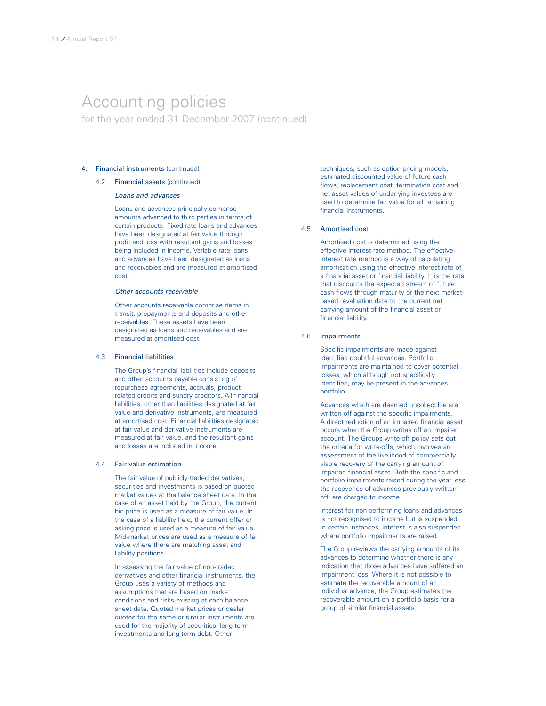for the year ended 31 December 2007 (continued)

#### 4. Financial instruments (continued)

#### 4.2 Financial assets (continued)

#### Loans and advances

Loans and advances principally comprise amounts advanced to third parties in terms of certain products. Fixed rate loans and advances have been designated at fair value through profit and loss with resultant gains and losses being included in income. Variable rate loans and advances have been designated as loans and receivables and are measured at amortised cost.

#### Other accounts receivable

Other accounts receivable comprise items in transit, prepayments and deposits and other receivables. These assets have been designated as loans and receivables and are measured at amortised cost.

#### 4.3 Financial liabilities

The Group's financial liabilities include deposits and other accounts payable consisting of repurchase agreements, accruals, product related credits and sundry creditors. All financial liabilities, other than liabilities designated at fair value and derivative instruments, are measured at amortised cost. Financial liabilities designated at fair value and derivative instruments are measured at fair value, and the resultant gains and losses are included in income.

#### 4.4 Fair value estimation

The fair value of publicly traded derivatives, securities and investments is based on quoted market values at the balance sheet date. In the case of an asset held by the Group, the current bid price is used as a measure of fair value. In the case of a liability held, the current offer or asking price is used as a measure of fair value. Mid-market prices are used as a measure of fair value where there are matching asset and liability positions.

In assessing the fair value of non-traded derivatives and other financial instruments, the Group uses a variety of methods and assumptions that are based on market conditions and risks existing at each balance sheet date. Quoted market prices or dealer quotes for the same or similar instruments are used for the majority of securities, long-term investments and long-term debt. Other

techniques, such as option pricing models, estimated discounted value of future cash flows, replacement cost, termination cost and net asset values of underlying investees are used to determine fair value for all remaining financial instruments.

#### 4.5 Amortised cost

Amortised cost is determined using the effective interest rate method. The effective interest rate method is a way of calculating amortisation using the effective interest rate of a financial asset or financial liability. It is the rate that discounts the expected stream of future cash flows through maturity or the next marketbased revaluation date to the current net carrying amount of the financial asset or financial liability.

#### 4.6 Impairments

Specific impairments are made against identified doubtful advances. Portfolio impairments are maintained to cover potential losses, which although not specifically identified, may be present in the advances portfolio.

Advances which are deemed uncollectible are written off against the specific impairments. A direct reduction of an impaired financial asset occurs when the Group writes off an impaired account. The Groups write-off policy sets out the criteria for write-offs, which involves an assessment of the likelihood of commercially viable recovery of the carrying amount of impaired financial asset. Both the specific and portfolio impairments raised during the year less the recoveries of advances previously written off, are charged to income.

Interest for non-performing loans and advances is not recognised to income but is suspended. In certain instances, interest is also suspended where portfolio impairments are raised.

The Group reviews the carrying amounts of its advances to determine whether there is any indication that those advances have suffered an impairment loss. Where it is not possible to estimate the recoverable amount of an individual advance, the Group estimates the recoverable amount on a portfolio basis for a group of similar financial assets.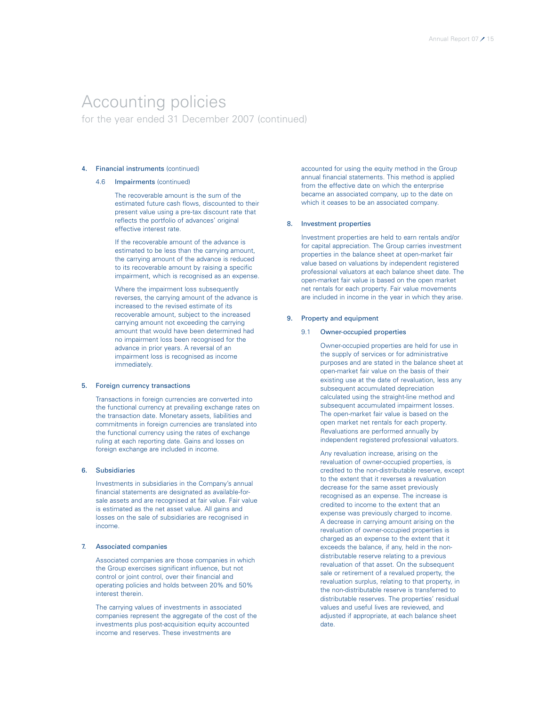for the year ended 31 December 2007 (continued)

#### 4. Financial instruments (continued)

#### 4.6 Impairments (continued)

The recoverable amount is the sum of the estimated future cash flows, discounted to their present value using a pre-tax discount rate that reflects the portfolio of advances' original effective interest rate.

If the recoverable amount of the advance is estimated to be less than the carrying amount, the carrying amount of the advance is reduced to its recoverable amount by raising a specific impairment, which is recognised as an expense.

Where the impairment loss subsequently reverses, the carrying amount of the advance is increased to the revised estimate of its recoverable amount, subject to the increased carrying amount not exceeding the carrying amount that would have been determined had no impairment loss been recognised for the advance in prior years. A reversal of an impairment loss is recognised as income immediately.

#### 5. Foreign currency transactions

Transactions in foreign currencies are converted into the functional currency at prevailing exchange rates on the transaction date. Monetary assets, liabilities and commitments in foreign currencies are translated into the functional currency using the rates of exchange ruling at each reporting date. Gains and losses on foreign exchange are included in income.

#### 6. Subsidiaries

Investments in subsidiaries in the Company's annual financial statements are designated as available-forsale assets and are recognised at fair value. Fair value is estimated as the net asset value. All gains and losses on the sale of subsidiaries are recognised in income.

#### 7. Associated companies

Associated companies are those companies in which the Group exercises significant influence, but not control or joint control, over their financial and operating policies and holds between 20% and 50% interest therein.

The carrying values of investments in associated companies represent the aggregate of the cost of the investments plus post-acquisition equity accounted income and reserves. These investments are

accounted for using the equity method in the Group annual financial statements. This method is applied from the effective date on which the enterprise became an associated company, up to the date on which it ceases to be an associated company.

#### 8. Investment properties

Investment properties are held to earn rentals and/or for capital appreciation. The Group carries investment properties in the balance sheet at open-market fair value based on valuations by independent registered professional valuators at each balance sheet date. The open-market fair value is based on the open market net rentals for each property. Fair value movements are included in income in the year in which they arise.

#### 9. Property and equipment

#### 9.1 Owner-occupied properties

Owner-occupied properties are held for use in the supply of services or for administrative purposes and are stated in the balance sheet at open-market fair value on the basis of their existing use at the date of revaluation, less any subsequent accumulated depreciation calculated using the straight-line method and subsequent accumulated impairment losses. The open-market fair value is based on the open market net rentals for each property. Revaluations are performed annually by independent registered professional valuators.

Any revaluation increase, arising on the revaluation of owner-occupied properties, is credited to the non-distributable reserve, except to the extent that it reverses a revaluation decrease for the same asset previously recognised as an expense. The increase is credited to income to the extent that an expense was previously charged to income. A decrease in carrying amount arising on the revaluation of owner-occupied properties is charged as an expense to the extent that it exceeds the balance, if any, held in the nondistributable reserve relating to a previous revaluation of that asset. On the subsequent sale or retirement of a revalued property, the revaluation surplus, relating to that property, in the non-distributable reserve is transferred to distributable reserves. The properties' residual values and useful lives are reviewed, and adjusted if appropriate, at each balance sheet date.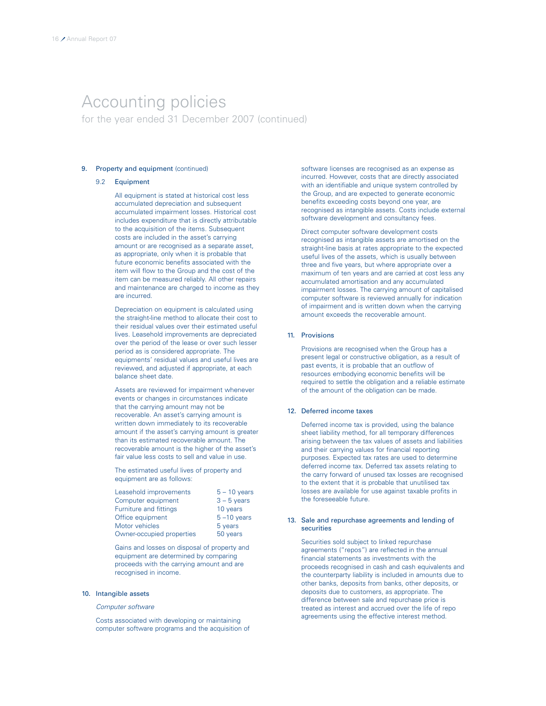for the year ended 31 December 2007 (continued)

#### 9. Property and equipment (continued)

#### 9.2 Equipment

All equipment is stated at historical cost less accumulated depreciation and subsequent accumulated impairment losses. Historical cost includes expenditure that is directly attributable to the acquisition of the items. Subsequent costs are included in the asset's carrying amount or are recognised as a separate asset, as appropriate, only when it is probable that future economic benefits associated with the item will flow to the Group and the cost of the item can be measured reliably. All other repairs and maintenance are charged to income as they are incurred.

Depreciation on equipment is calculated using the straight-line method to allocate their cost to their residual values over their estimated useful lives. Leasehold improvements are depreciated over the period of the lease or over such lesser period as is considered appropriate. The equipments' residual values and useful lives are reviewed, and adjusted if appropriate, at each balance sheet date.

Assets are reviewed for impairment whenever events or changes in circumstances indicate that the carrying amount may not be recoverable. An asset's carrying amount is written down immediately to its recoverable amount if the asset's carrying amount is greater than its estimated recoverable amount. The recoverable amount is the higher of the asset's fair value less costs to sell and value in use.

The estimated useful lives of property and equipment are as follows:

| Leasehold improvements    | $5 - 10$ years |
|---------------------------|----------------|
| Computer equipment        | $3 - 5$ years  |
| Furniture and fittings    | 10 years       |
| Office equipment          | $5 - 10$ years |
| Motor vehicles            | 5 years        |
| Owner-occupied properties | 50 years       |
|                           |                |

Gains and losses on disposal of property and equipment are determined by comparing proceeds with the carrying amount and are recognised in income.

#### 10. Intangible assets

#### Computer software

Costs associated with developing or maintaining computer software programs and the acquisition of

software licenses are recognised as an expense as incurred. However, costs that are directly associated with an identifiable and unique system controlled by the Group, and are expected to generate economic benefits exceeding costs beyond one year, are recognised as intangible assets. Costs include external software development and consultancy fees.

Direct computer software development costs recognised as intangible assets are amortised on the straight-line basis at rates appropriate to the expected useful lives of the assets, which is usually between three and five years, but where appropriate over a maximum of ten years and are carried at cost less any accumulated amortisation and any accumulated impairment losses. The carrying amount of capitalised computer software is reviewed annually for indication of impairment and is written down when the carrying amount exceeds the recoverable amount.

#### 11. Provisions

Provisions are recognised when the Group has a present legal or constructive obligation, as a result of past events, it is probable that an outflow of resources embodying economic benefits will be required to settle the obligation and a reliable estimate of the amount of the obligation can be made.

#### 12. Deferred income taxes

Deferred income tax is provided, using the balance sheet liability method, for all temporary differences arising between the tax values of assets and liabilities and their carrying values for financial reporting purposes. Expected tax rates are used to determine deferred income tax. Deferred tax assets relating to the carry forward of unused tax losses are recognised to the extent that it is probable that unutilised tax losses are available for use against taxable profits in the foreseeable future.

#### 13. Sale and repurchase agreements and lending of securities

Securities sold subject to linked repurchase agreements ("repos") are reflected in the annual financial statements as investments with the proceeds recognised in cash and cash equivalents and the counterparty liability is included in amounts due to other banks, deposits from banks, other deposits, or deposits due to customers, as appropriate. The difference between sale and repurchase price is treated as interest and accrued over the life of repo agreements using the effective interest method.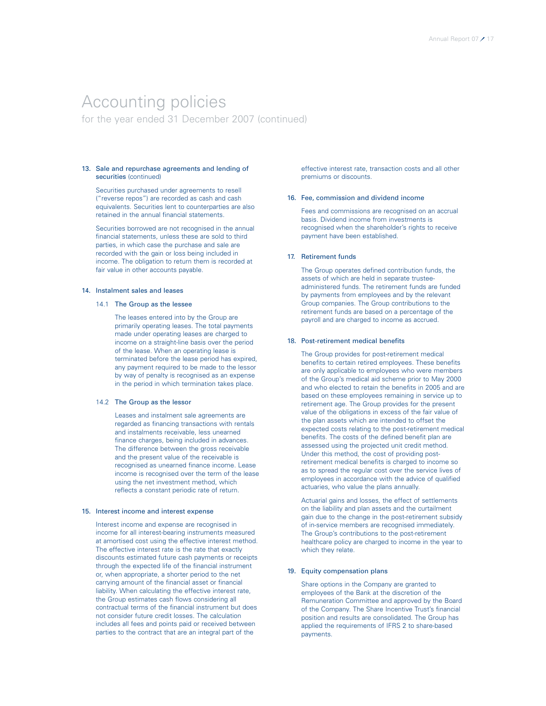for the year ended 31 December 2007 (continued)

#### 13. Sale and repurchase agreements and lending of securities (continued)

Securities purchased under agreements to resell ("reverse repos") are recorded as cash and cash equivalents. Securities lent to counterparties are also retained in the annual financial statements.

Securities borrowed are not recognised in the annual financial statements, unless these are sold to third parties, in which case the purchase and sale are recorded with the gain or loss being included in income. The obligation to return them is recorded at fair value in other accounts payable.

#### 14. Instalment sales and leases

#### 14.1 The Group as the lessee

The leases entered into by the Group are primarily operating leases. The total payments made under operating leases are charged to income on a straight-line basis over the period of the lease. When an operating lease is terminated before the lease period has expired, any payment required to be made to the lessor by way of penalty is recognised as an expense in the period in which termination takes place.

#### 14.2 The Group as the lessor

Leases and instalment sale agreements are regarded as financing transactions with rentals and instalments receivable, less unearned finance charges, being included in advances. The difference between the gross receivable and the present value of the receivable is recognised as unearned finance income. Lease income is recognised over the term of the lease using the net investment method, which reflects a constant periodic rate of return.

#### 15. Interest income and interest expense

Interest income and expense are recognised in income for all interest-bearing instruments measured at amortised cost using the effective interest method. The effective interest rate is the rate that exactly discounts estimated future cash payments or receipts through the expected life of the financial instrument or, when appropriate, a shorter period to the net carrying amount of the financial asset or financial liability. When calculating the effective interest rate, the Group estimates cash flows considering all contractual terms of the financial instrument but does not consider future credit losses. The calculation includes all fees and points paid or received between parties to the contract that are an integral part of the

effective interest rate, transaction costs and all other premiums or discounts.

#### 16. Fee, commission and dividend income

Fees and commissions are recognised on an accrual basis. Dividend income from investments is recognised when the shareholder's rights to receive payment have been established.

#### 17. Retirement funds

The Group operates defined contribution funds, the assets of which are held in separate trusteeadministered funds. The retirement funds are funded by payments from employees and by the relevant Group companies. The Group contributions to the retirement funds are based on a percentage of the payroll and are charged to income as accrued.

#### 18. Post-retirement medical benefits

The Group provides for post-retirement medical benefits to certain retired employees. These benefits are only applicable to employees who were members of the Group's medical aid scheme prior to May 2000 and who elected to retain the benefits in 2005 and are based on these employees remaining in service up to retirement age. The Group provides for the present value of the obligations in excess of the fair value of the plan assets which are intended to offset the expected costs relating to the post-retirement medical benefits. The costs of the defined benefit plan are assessed using the projected unit credit method. Under this method, the cost of providing postretirement medical benefits is charged to income so as to spread the regular cost over the service lives of employees in accordance with the advice of qualified actuaries, who value the plans annually.

Actuarial gains and losses, the effect of settlements on the liability and plan assets and the curtailment gain due to the change in the post-retirement subsidy of in-service members are recognised immediately. The Group's contributions to the post-retirement healthcare policy are charged to income in the year to which they relate.

#### 19. Equity compensation plans

Share options in the Company are granted to employees of the Bank at the discretion of the Remuneration Committee and approved by the Board of the Company. The Share Incentive Trust's financial position and results are consolidated. The Group has applied the requirements of IFRS 2 to share-based payments.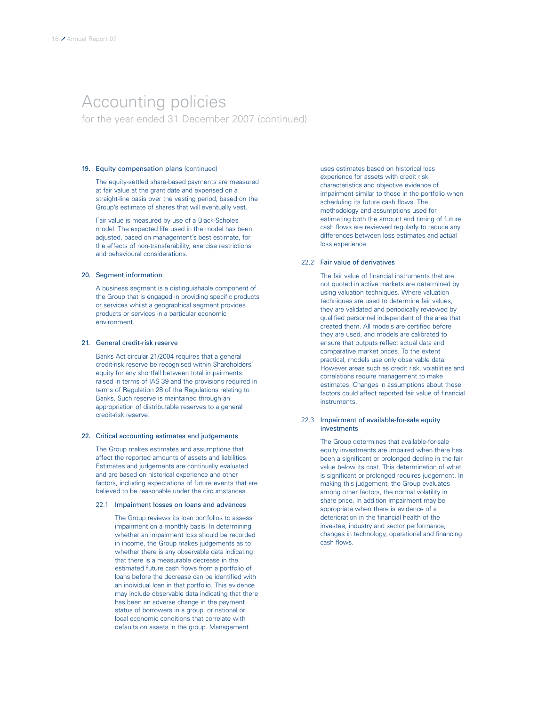for the year ended 31 December 2007 (continued)

#### 19. Equity compensation plans (continued)

The equity-settled share-based payments are measured at fair value at the grant date and expensed on a straight-line basis over the vesting period, based on the Group's estimate of shares that will eventually vest.

Fair value is measured by use of a Black-Scholes model. The expected life used in the model has been adjusted, based on management's best estimate, for the effects of non-transferability, exercise restrictions and behavioural considerations.

#### 20. Segment information

A business segment is a distinguishable component of the Group that is engaged in providing specific products or services whilst a geographical segment provides products or services in a particular economic environment.

#### 21. General credit-risk reserve

Banks Act circular 21/2004 requires that a general credit-risk reserve be recognised within Shareholders' equity for any shortfall between total impairments raised in terms of IAS 39 and the provisions required in terms of Regulation 28 of the Regulations relating to Banks. Such reserve is maintained through an appropriation of distributable reserves to a general credit-risk reserve.

#### 22. Critical accounting estimates and judgements

The Group makes estimates and assumptions that affect the reported amounts of assets and liabilities. Estimates and judgements are continually evaluated and are based on historical experience and other factors, including expectations of future events that are believed to be reasonable under the circumstances.

#### 22.1 Impairment losses on loans and advances

The Group reviews its loan portfolios to assess impairment on a monthly basis. In determining whether an impairment loss should be recorded in income, the Group makes judgements as to whether there is any observable data indicating that there is a measurable decrease in the estimated future cash flows from a portfolio of loans before the decrease can be identified with an individual loan in that portfolio. This evidence may include observable data indicating that there has been an adverse change in the payment status of borrowers in a group, or national or local economic conditions that correlate with defaults on assets in the group. Management

uses estimates based on historical loss experience for assets with credit risk characteristics and objective evidence of impairment similar to those in the portfolio when scheduling its future cash flows. The methodology and assumptions used for estimating both the amount and timing of future cash flows are reviewed regularly to reduce any differences between loss estimates and actual loss experience.

#### 22.2 Fair value of derivatives

The fair value of financial instruments that are not quoted in active markets are determined by using valuation techniques. Where valuation techniques are used to determine fair values, they are validated and periodically reviewed by qualified personnel independent of the area that created them. All models are certified before they are used, and models are calibrated to ensure that outputs reflect actual data and comparative market prices. To the extent practical, models use only observable data. However areas such as credit risk, volatilities and correlations require management to make estimates. Changes in assumptions about these factors could affect reported fair value of financial instruments.

#### 22.3 Impairment of available-for-sale equity investments

The Group determines that available-for-sale equity investments are impaired when there has been a significant or prolonged decline in the fair value below its cost. This determination of what is significant or prolonged requires judgement. In making this judgement, the Group evaluates among other factors, the normal volatility in share price. In addition impairment may be appropriate when there is evidence of a deterioration in the financial health of the investee, industry and sector performance, changes in technology, operational and financing cash flows.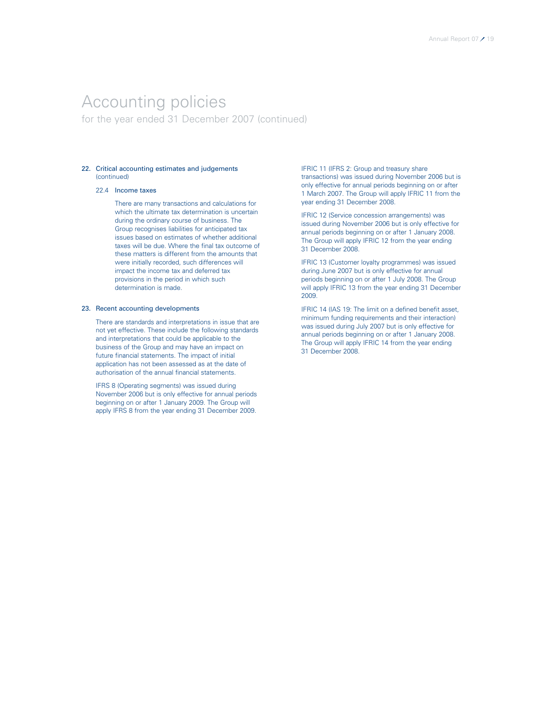for the year ended 31 December 2007 (continued)

#### 22. Critical accounting estimates and judgements (continued)

#### 22.4 Income taxes

There are many transactions and calculations for which the ultimate tax determination is uncertain during the ordinary course of business. The Group recognises liabilities for anticipated tax issues based on estimates of whether additional taxes will be due. Where the final tax outcome of these matters is different from the amounts that were initially recorded, such differences will impact the income tax and deferred tax provisions in the period in which such determination is made.

#### 23. Recent accounting developments

There are standards and interpretations in issue that are not yet effective. These include the following standards and interpretations that could be applicable to the business of the Group and may have an impact on future financial statements. The impact of initial application has not been assessed as at the date of authorisation of the annual financial statements.

IFRS 8 (Operating segments) was issued during November 2006 but is only effective for annual periods beginning on or after 1 January 2009. The Group will apply IFRS 8 from the year ending 31 December 2009.

IFRIC 11 (IFRS 2: Group and treasury share transactions) was issued during November 2006 but is only effective for annual periods beginning on or after 1 March 2007. The Group will apply IFRIC 11 from the year ending 31 December 2008.

IFRIC 12 (Service concession arrangements) was issued during November 2006 but is only effective for annual periods beginning on or after 1 January 2008. The Group will apply IFRIC 12 from the year ending 31 December 2008.

IFRIC 13 (Customer loyalty programmes) was issued during June 2007 but is only effective for annual periods beginning on or after 1 July 2008. The Group will apply IFRIC 13 from the year ending 31 December 2009.

IFRIC 14 (IAS 19: The limit on a defined benefit asset, minimum funding requirements and their interaction) was issued during July 2007 but is only effective for annual periods beginning on or after 1 January 2008. The Group will apply IFRIC 14 from the year ending 31 December 2008.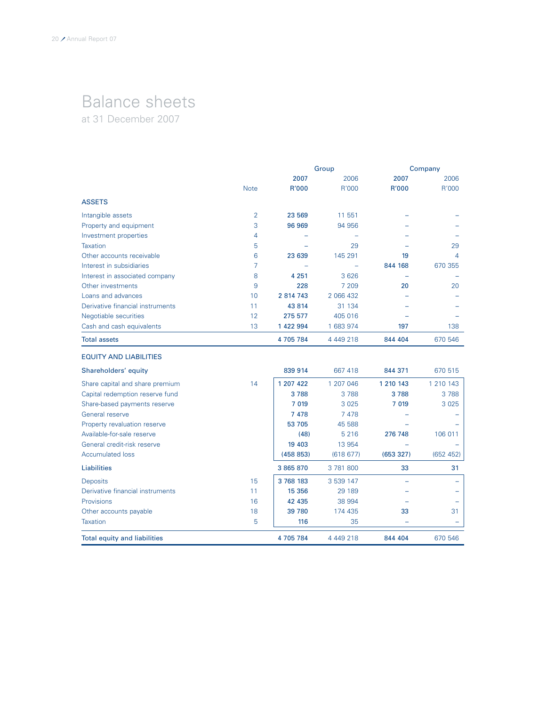## Balance sheets

at 31 December 2007

|                                  |             |           | Group     |               | Company   |
|----------------------------------|-------------|-----------|-----------|---------------|-----------|
|                                  |             | 2007      | 2006      | 2007          | 2006      |
|                                  | <b>Note</b> | R'000     | R'000     | <b>R'000</b>  | R'000     |
| <b>ASSETS</b>                    |             |           |           |               |           |
| Intangible assets                | 2           | 23 569    | 11 551    |               |           |
| Property and equipment           | 3           | 96 969    | 94 956    |               |           |
| Investment properties            | 4           |           |           |               |           |
| <b>Taxation</b>                  | 5           |           | 29        |               | 29        |
| Other accounts receivable        | 6           | 23 639    | 145 291   | 19            | 4         |
| Interest in subsidiaries         | 7           |           |           | 844 168       | 670 355   |
| Interest in associated company   | 8           | 4 2 5 1   | 3 6 2 6   |               |           |
| Other investments                | 9           | 228       | 7 209     | 20            | 20        |
| Loans and advances               | 10          | 2 814 743 | 2 066 432 |               |           |
| Derivative financial instruments | 11          | 43 8 14   | 31 134    |               |           |
| Negotiable securities            | 12          | 275 577   | 405 016   |               |           |
| Cash and cash equivalents        | 13          | 1 422 994 | 1 683 974 | 197           | 138       |
| <b>Total assets</b>              |             | 4705784   | 4 449 218 | 844 404       | 670 546   |
| <b>EQUITY AND LIABILITIES</b>    |             |           |           |               |           |
| Shareholders' equity             |             | 839 914   | 667 418   | 844 371       | 670 515   |
| Share capital and share premium  | 14          | 1 207 422 | 1 207 046 | 1 2 1 0 1 4 3 | 1 210 143 |
| Capital redemption reserve fund  |             | 3788      | 3788      | 3788          | 3788      |
| Share-based payments reserve     |             | 7 0 19    | 3 0 2 5   | 7 0 19        | 3 0 2 5   |
| General reserve                  |             | 7 4 7 8   | 7478      |               |           |
| Property revaluation reserve     |             | 53 705    | 45 588    |               |           |
| Available-for-sale reserve       |             | (48)      | 5 2 1 6   | 276 748       | 106 011   |
| General credit-risk reserve      |             | 19 403    | 13 9 54   |               |           |
| <b>Accumulated loss</b>          |             | (458 853) | (618677)  | (653 327)     | (652 452) |
| <b>Liabilities</b>               |             | 3 865 870 | 3781800   | 33            | 31        |

Deposits 15 3 768 183 3 539 147 – – Derivative financial instruments 11 15 356 29 189 – – – – Provisions 16 42 435 38 994 – – Other accounts payable 18 18 39 780 174 435 33 31 Taxation 5 116 35 – – Total equity and liabilities 100 100 100 100 100 100 4 705 784 1449 218 1444 1449 218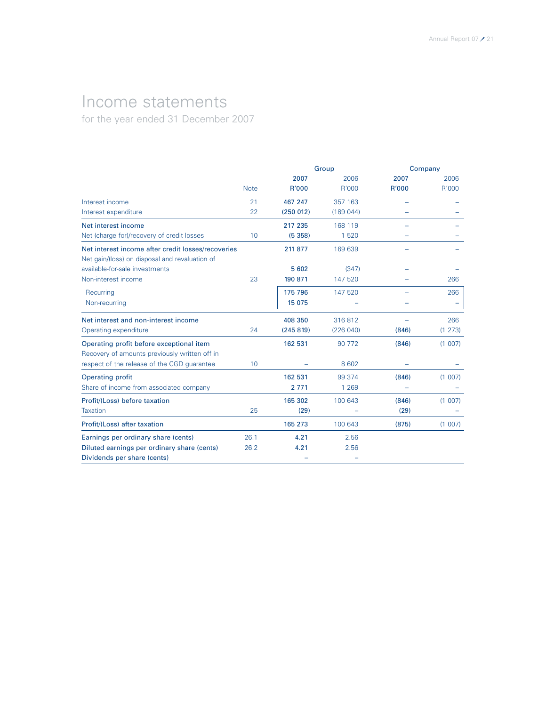### Income statements

for the year ended 31 December 2007

|                                                    |             |           | Group    | Company |         |
|----------------------------------------------------|-------------|-----------|----------|---------|---------|
|                                                    |             | 2007      | 2006     | 2007    | 2006    |
|                                                    | <b>Note</b> | R'000     | R'000    | R'000   | R'000   |
| Interest income                                    | 21          | 467 247   | 357 163  |         |         |
| Interest expenditure                               | 22          | (250012)  | (189044) |         |         |
| Net interest income                                |             | 217 235   | 168 119  |         |         |
| Net (charge for)/recovery of credit losses         | 10          | (5358)    | 1520     |         |         |
| Net interest income after credit losses/recoveries |             | 211 877   | 169 639  |         |         |
| Net gain/(loss) on disposal and revaluation of     |             |           |          |         |         |
| available-for-sale investments                     |             | 5 602     | (347)    |         |         |
| Non-interest income                                | 23          | 190 871   | 147 520  |         | 266     |
| Recurring                                          |             | 175 796   | 147 520  |         | 266     |
| Non-recurring                                      |             | 15 075    |          |         |         |
| Net interest and non-interest income               |             | 408 350   | 316812   |         | 266     |
| Operating expenditure                              | 24          | (245 819) | (226040) | (846)   | (1 273) |
| Operating profit before exceptional item           |             | 162 531   | 90 772   | (846)   | (1 007) |
| Recovery of amounts previously written off in      |             |           |          |         |         |
| respect of the release of the CGD guarantee        | 10          |           | 8 6 0 2  |         |         |
| <b>Operating profit</b>                            |             | 162 531   | 99 374   | (846)   | (1 007) |
| Share of income from associated company            |             | 2 7 7 1   | 1 2 6 9  |         |         |
| Profit/(Loss) before taxation                      |             | 165 302   | 100 643  | (846)   | (1 007) |
| <b>Taxation</b>                                    | 25          | (29)      |          | (29)    |         |
| Profit/(Loss) after taxation                       |             | 165 273   | 100 643  | (875)   | (1 007) |
| Earnings per ordinary share (cents)                | 26.1        | 4.21      | 2.56     |         |         |
| Diluted earnings per ordinary share (cents)        | 26.2        | 4.21      | 2.56     |         |         |
| Dividends per share (cents)                        |             |           |          |         |         |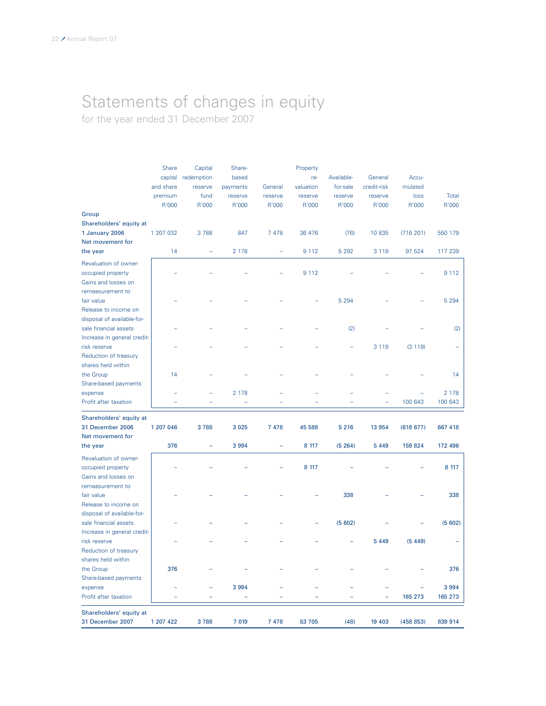# Statements of changes in equity

for the year ended 31 December 2007

|                             | Share     | Capital                  | Share-   |         | Property  |            |             |           |         |
|-----------------------------|-----------|--------------------------|----------|---------|-----------|------------|-------------|-----------|---------|
|                             |           | capital redemption       | based    |         | re-       | Available- | General     | Accu-     |         |
|                             | and share | reserve                  | payments | General | valuation | for-sale   | credit-risk | mulated   |         |
|                             | premium   | fund                     | reserve  | reserve | reserve   | reserve    | reserve     | loss      | Total   |
|                             | R'000     | R'000                    | R'000    | R'000   | R'000     | R'000      | R'000       | R'000     | R'000   |
| Group                       |           |                          |          |         |           |            |             |           |         |
| Shareholders' equity at     |           |                          |          |         |           |            |             |           |         |
| 1 January 2006              | 1 207 032 | 3788                     | 847      | 7 4 7 8 | 36 476    | (76)       | 10835       | (716 201) | 550 179 |
| Net movement for            |           |                          |          |         |           |            |             |           |         |
| the year                    | 14        | ÷                        | 2 1 7 8  | ÷       | 9 1 1 2   | 5 2 9 2    | 3 1 1 9     | 97 524    | 117 239 |
| Revaluation of owner-       |           |                          |          |         |           |            |             |           |         |
| occupied property           |           |                          |          |         | 9 1 1 2   |            |             |           | 9 1 1 2 |
| Gains and losses on         |           |                          |          |         |           |            |             |           |         |
| remeasurement to            |           |                          |          |         |           |            |             |           |         |
| fair value                  |           |                          |          |         |           | 5 2 9 4    |             |           | 5 2 9 4 |
| Release to income on        |           |                          |          |         |           |            |             |           |         |
| disposal of available-for-  |           |                          |          |         |           |            |             |           |         |
| sale financial assets       |           |                          |          |         |           | (2)        |             |           | (2)     |
| Increase in general credit- |           |                          |          |         |           |            |             |           |         |
| risk reserve                |           |                          |          |         |           |            | 3 1 1 9     | (3119)    |         |
| Reduction of treasury       |           |                          |          |         |           |            |             |           |         |
| shares held within          |           |                          |          |         |           |            |             |           |         |
| the Group                   | 14        |                          |          |         |           |            |             |           | 14      |
| Share-based payments        |           |                          |          |         |           |            |             |           |         |
| expense                     |           |                          | 2 1 7 8  |         |           |            |             |           | 2 1 7 8 |
| Profit after taxation       |           |                          |          |         |           |            |             | 100 643   | 100 643 |
| Shareholders' equity at     |           |                          |          |         |           |            |             |           |         |
| 31 December 2006            | 1 207 046 | 3788                     | 3 0 2 5  | 7 4 7 8 | 45 588    | 5 2 1 6    | 13 9 54     | (618677)  | 667 418 |
| Net movement for            |           |                          |          |         |           |            |             |           |         |
| the year                    | 376       | $\overline{\phantom{0}}$ | 3994     | ÷       | 8 117     | (5264)     | 5 4 4 9     | 159 824   | 172 496 |
| Revaluation of owner-       |           |                          |          |         |           |            |             |           |         |
| occupied property           |           |                          |          |         | 8 117     |            |             |           | 8 117   |
| Gains and losses on         |           |                          |          |         |           |            |             |           |         |
| remeasurement to            |           |                          |          |         |           |            |             |           |         |
| fair value                  |           |                          |          |         |           | 338        |             |           | 338     |
| Release to income on        |           |                          |          |         |           |            |             |           |         |
| disposal of available-for-  |           |                          |          |         |           |            |             |           |         |
| sale financial assets       |           |                          |          |         |           | (5602)     |             |           | (5602)  |
| Increase in general credit- |           |                          |          |         |           |            |             |           |         |
| risk reserve                |           |                          |          |         |           |            | 5 4 4 9     | (5449)    |         |
| Reduction of treasury       |           |                          |          |         |           |            |             |           |         |
| shares held within          |           |                          |          |         |           |            |             |           |         |
| the Group                   | 376       |                          |          |         |           |            |             |           | 376     |
| Share-based payments        |           |                          |          |         |           |            |             |           |         |
| expense                     |           |                          | 3 9 9 4  |         |           |            |             | -         | 3 9 9 4 |
| Profit after taxation       |           |                          |          |         |           |            |             | 165 273   | 165 273 |
| Shareholders' equity at     |           |                          |          |         |           |            |             |           |         |
| 31 December 2007            | 1 207 422 | 3788                     | 7 0 19   | 7 4 7 8 | 53 705    | (48)       | 19 4 0 3    | (458 853) | 839 914 |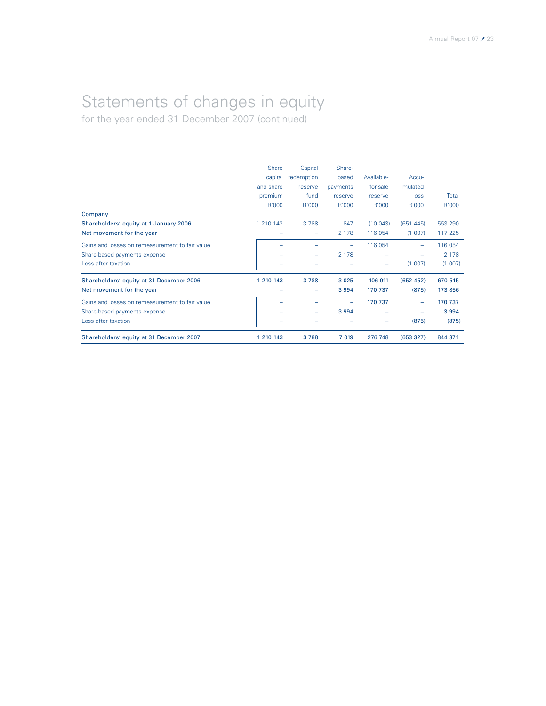# Statements of changes in equity

for the year ended 31 December 2007 (continued)

|                                                 | Share         | Capital    | Share-   |                          |                          |         |
|-------------------------------------------------|---------------|------------|----------|--------------------------|--------------------------|---------|
|                                                 | capital       | redemption | based    | Available-               | Accu-                    |         |
|                                                 | and share     | reserve    | payments | for-sale                 | mulated                  |         |
|                                                 | premium       | fund       | reserve  | reserve                  | loss                     | Total   |
|                                                 | R'000         | R'000      | R'000    | R'000                    | R'000                    | R'000   |
| Company                                         |               |            |          |                          |                          |         |
| Shareholders' equity at 1 January 2006          | 1 210 143     | 3788       | 847      | (10043)                  | (651445)                 | 553 290 |
| Net movement for the year                       |               |            | 2 1 7 8  | 116 054                  | (1 007)                  | 117 225 |
| Gains and losses on remeasurement to fair value |               |            |          | 116 054                  | $\overline{\phantom{0}}$ | 116 054 |
| Share-based payments expense                    |               |            | 2 1 7 8  |                          |                          | 2 1 7 8 |
| Loss after taxation                             |               |            |          | $\overline{\phantom{0}}$ | (1 007)                  | (1 007) |
| Shareholders' equity at 31 December 2006        | 1 210 143     | 3788       | 3 0 2 5  | 106 011                  | (652 452)                | 670 515 |
| Net movement for the year                       |               |            | 3994     | 170 737                  | (875)                    | 173 856 |
| Gains and losses on remeasurement to fair value |               |            |          | 170 737                  |                          | 170 737 |
| Share-based payments expense                    |               | -          | 3994     |                          |                          | 3994    |
| Loss after taxation                             |               |            |          |                          | (875)                    | (875)   |
| Shareholders' equity at 31 December 2007        | 1 2 1 0 1 4 3 | 3788       | 7 0 19   | 276 748                  | (653 327)                | 844 371 |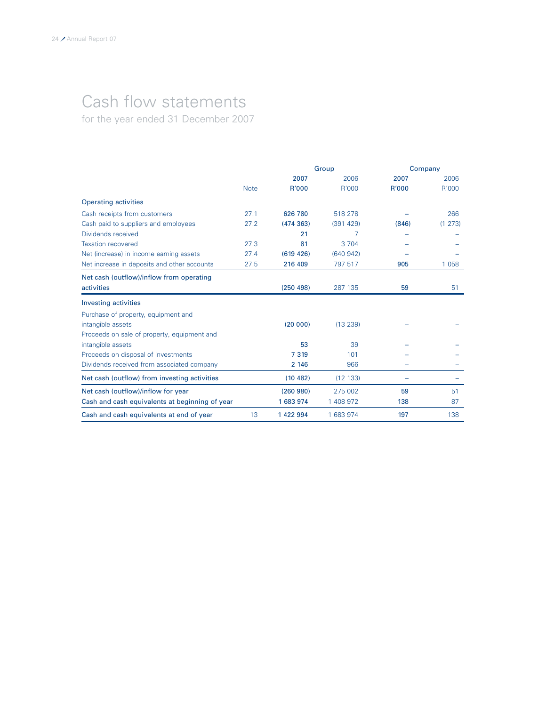# Cash flow statements

for the year ended 31 December 2007

|                                                |             |           | Group     |       | Company |
|------------------------------------------------|-------------|-----------|-----------|-------|---------|
|                                                |             | 2007      | 2006      | 2007  | 2006    |
|                                                | <b>Note</b> | R'000     | R'000     | R'000 | R'000   |
| <b>Operating activities</b>                    |             |           |           |       |         |
| Cash receipts from customers                   | 27.1        | 626 780   | 518 278   |       | 266     |
| Cash paid to suppliers and employees           | 27.2        | (474363)  | (391 429) | (846) | (1 273) |
| Dividends received                             |             | 21        | 7         |       |         |
| <b>Taxation recovered</b>                      | 27.3        | 81        | 3 704     |       |         |
| Net (increase) in income earning assets        | 27.4        | (619 426) | (640 942) |       |         |
| Net increase in deposits and other accounts    | 27.5        | 216 409   | 797 517   | 905   | 1 0 5 8 |
| Net cash (outflow)/inflow from operating       |             |           |           |       |         |
| activities                                     |             | (250 498) | 287 135   | 59    | 51      |
| Investing activities                           |             |           |           |       |         |
| Purchase of property, equipment and            |             |           |           |       |         |
| intangible assets                              |             | (20000)   | (13 239)  |       |         |
| Proceeds on sale of property, equipment and    |             |           |           |       |         |
| intangible assets                              |             | 53        | 39        |       |         |
| Proceeds on disposal of investments            |             | 7 3 1 9   | 101       |       |         |
| Dividends received from associated company     |             | 2 146     | 966       |       |         |
| Net cash (outflow) from investing activities   |             | (10482)   | (12 133)  |       |         |
| Net cash (outflow)/inflow for year             |             | (260980)  | 275 002   | 59    | 51      |
| Cash and cash equivalents at beginning of year |             | 1 683 974 | 1 408 972 | 138   | 87      |
| Cash and cash equivalents at end of year       | 13          | 1 422 994 | 1 683 974 | 197   | 138     |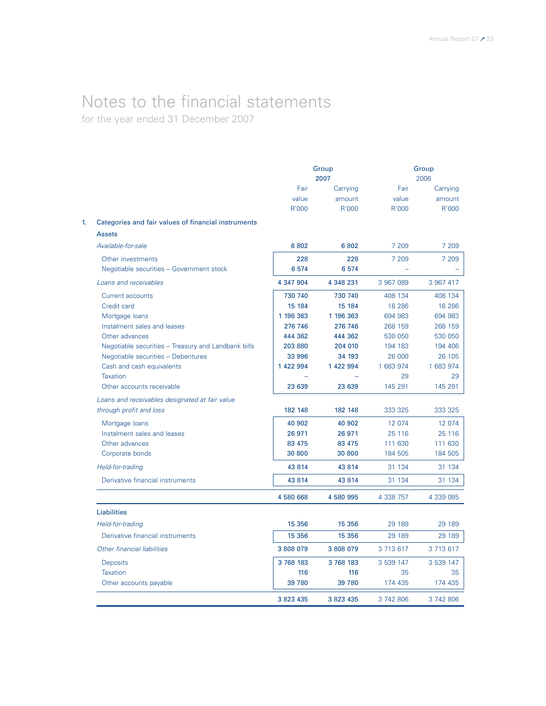for the year ended 31 December 2007

|                                                     |           | Group              | Group<br>2006 |                    |
|-----------------------------------------------------|-----------|--------------------|---------------|--------------------|
|                                                     | Fair      | 2007               | Fair          |                    |
|                                                     | value     | Carrying<br>amount | value         | Carrying<br>amount |
|                                                     | R'000     | R'000              | R'000         | R'000              |
|                                                     |           |                    |               |                    |
| Categories and fair values of financial instruments |           |                    |               |                    |
| <b>Assets</b>                                       |           |                    |               |                    |
| Available-for-sale                                  | 6802      | 6802               | 7 209         | 7 209              |
| Other investments                                   | 228       | 228                | 7 209         | 7 209              |
| Negotiable securities - Government stock            | 6574      | 6574               |               |                    |
| Loans and receivables                               | 4 347 904 | 4 348 231          | 3 967 089     | 3 967 417          |
| Current accounts                                    | 730 740   | 730 740            | 408 134       | 408 134            |
| Credit card                                         | 15 184    | 15 184             | 16 28 6       | 16 28 6            |
| Mortgage loans                                      | 1 196 363 | 1 196 363          | 694 983       | 694 983            |
| Instalment sales and leases                         | 276 746   | 276 746            | 268 159       | 268 159            |
| Other advances                                      | 444 362   | 444 362            | 530 050       | 530 050            |
| Negotiable securities - Treasury and Landbank bills | 203 880   | 204 010            | 194 183       | 194 406            |
| Negotiable securities - Debentures                  | 33 996    | 34 193             | 26 000        | 26 105             |
| Cash and cash equivalents                           | 1 422 994 | 1 422 994          | 1 683 974     | 1 683 974          |
| <b>Taxation</b>                                     |           |                    | 29            | 29                 |
| Other accounts receivable                           | 23 639    | 23 639             | 145 291       | 145 291            |
| Loans and receivables designated at fair value      |           |                    |               |                    |
| through profit and loss                             | 182 148   | 182 148            | 333 325       | 333 325            |
| Mortgage loans                                      | 40 902    | 40 902             | 12 074        | 12 074             |
| Instalment sales and leases                         | 26 971    | 26 971             | 25 116        | 25 116             |
| Other advances                                      | 83 475    | 83 475             | 111 630       | 111 630            |
| Corporate bonds                                     | 30 800    | 30 800             | 184 505       | 184 505            |
| Held-for-trading                                    | 43 8 14   | 43 814             | 31 134        | 31 134             |
| Derivative financial instruments                    | 43 8 14   | 43 814             | 31 134        | 31 134             |
|                                                     | 4 580 668 | 4 580 995          | 4 338 757     | 4 339 085          |
| <b>Liabilities</b>                                  |           |                    |               |                    |
| Held-for-trading                                    | 15 356    | 15 356             | 29 189        | 29 189             |
| Derivative financial instruments                    | 15 3 56   | 15 356             | 29 189        | 29 189             |
| Other financial liabilities                         | 3 808 079 | 3 808 079          | 3 713 617     | 3 713 617          |
| <b>Deposits</b>                                     | 3 768 183 | 3 768 183          | 3 539 147     | 3 539 147          |
| <b>Taxation</b>                                     | 116       | 116                | 35            | 35                 |
| Other accounts payable                              | 39 780    | 39 780             | 174 435       | 174 435            |
|                                                     | 3 823 435 | 3 823 435          | 3 742 806     | 3 742 806          |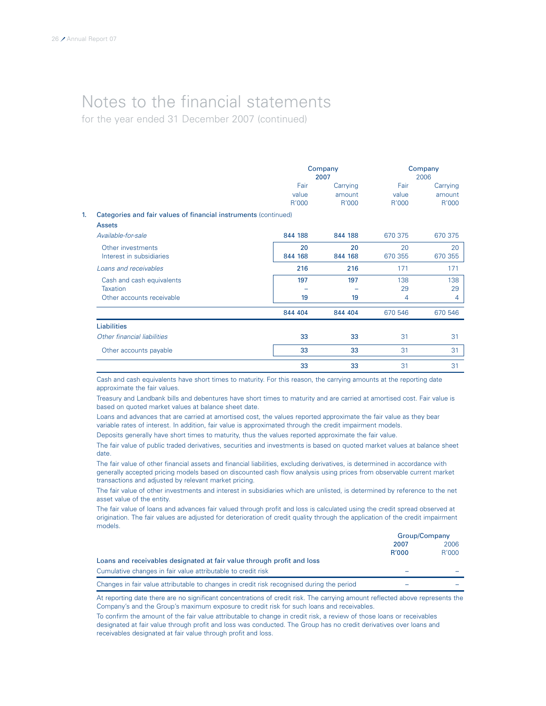for the year ended 31 December 2007 (continued)

|                                                                       |         | Company<br>2007 |         | Company<br>2006 |
|-----------------------------------------------------------------------|---------|-----------------|---------|-----------------|
|                                                                       | Fair    | Carrying        | Fair    | Carrying        |
|                                                                       | value   | amount          | value   | amount          |
|                                                                       | R'000   | R'000           | R'000   | R'000           |
| 1.<br>Categories and fair values of financial instruments (continued) |         |                 |         |                 |
| <b>Assets</b>                                                         |         |                 |         |                 |
| Available-for-sale                                                    | 844 188 | 844 188         | 670 375 | 670 375         |
| Other investments                                                     | 20      | 20              | 20      | 20              |
| Interest in subsidiaries                                              | 844 168 | 844 168         | 670 355 | 670 355         |
| Loans and receivables                                                 | 216     | 216             | 171     | 171             |
| Cash and cash equivalents                                             | 197     | 197             | 138     | 138             |
| <b>Taxation</b>                                                       |         |                 | 29      | 29              |
| Other accounts receivable                                             | 19      | 19              | 4       | 4               |
|                                                                       | 844 404 | 844 404         | 670 546 | 670 546         |
| Liabilities                                                           |         |                 |         |                 |
| Other financial liabilities                                           | 33      | 33              | 31      | 31              |
| Other accounts payable                                                | 33      | 33              | 31      | 31              |
|                                                                       | 33      | 33              | 31      | 31              |

Cash and cash equivalents have short times to maturity. For this reason, the carrying amounts at the reporting date approximate the fair values.

Treasury and Landbank bills and debentures have short times to maturity and are carried at amortised cost. Fair value is based on quoted market values at balance sheet date.

Loans and advances that are carried at amortised cost, the values reported approximate the fair value as they bear variable rates of interest. In addition, fair value is approximated through the credit impairment models.

Deposits generally have short times to maturity, thus the values reported approximate the fair value.

The fair value of public traded derivatives, securities and investments is based on quoted market values at balance sheet date.

The fair value of other financial assets and financial liabilities, excluding derivatives, is determined in accordance with generally accepted pricing models based on discounted cash flow analysis using prices from observable current market transactions and adjusted by relevant market pricing.

The fair value of other investments and interest in subsidiaries which are unlisted, is determined by reference to the net asset value of the entity.

The fair value of loans and advances fair valued through profit and loss is calculated using the credit spread observed at origination. The fair values are adjusted for deterioration of credit quality through the application of the credit impairment models.

|                                                                                           | Group/Company |       |
|-------------------------------------------------------------------------------------------|---------------|-------|
|                                                                                           | 2007          | 2006  |
|                                                                                           | R'000         | R'000 |
| Loans and receivables designated at fair value through profit and loss                    |               |       |
| Cumulative changes in fair value attributable to credit risk                              |               |       |
| Changes in fair value attributable to changes in credit risk recognised during the period |               |       |

At reporting date there are no significant concentrations of credit risk. The carrying amount reflected above represents the Company's and the Group's maximum exposure to credit risk for such loans and receivables.

To confirm the amount of the fair value attributable to change in credit risk, a review of those loans or receivables designated at fair value through profit and loss was conducted. The Group has no credit derivatives over loans and receivables designated at fair value through profit and loss.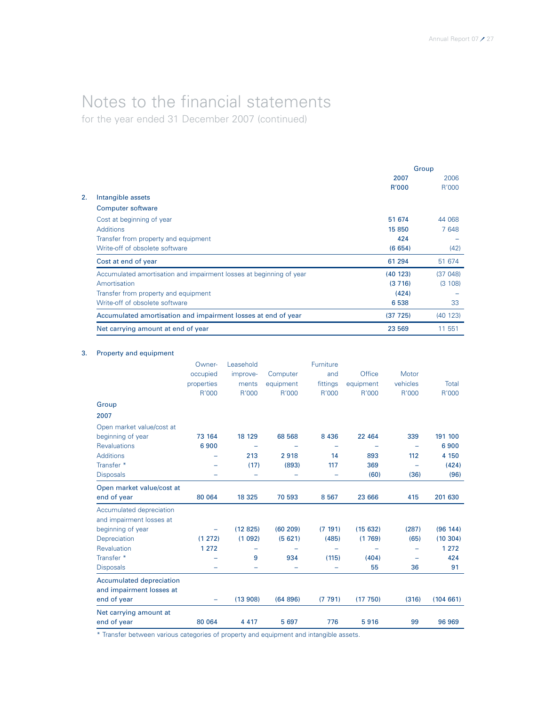for the year ended 31 December 2007 (continued)

|                                                                     |         | Group   |  |
|---------------------------------------------------------------------|---------|---------|--|
|                                                                     | 2007    | 2006    |  |
|                                                                     | R'000   | R'000   |  |
| 2.<br>Intangible assets                                             |         |         |  |
| <b>Computer software</b>                                            |         |         |  |
| Cost at beginning of year                                           | 51 674  | 44 068  |  |
| Additions                                                           | 15 850  | 7648    |  |
| Transfer from property and equipment                                | 424     |         |  |
| Write-off of obsolete software                                      | (6654)  | (42)    |  |
| Cost at end of year                                                 | 61 294  | 51 674  |  |
| Accumulated amortisation and impairment losses at beginning of year | (40123) | (37048) |  |
| Amortisation                                                        | (3716)  | (3108)  |  |
| Transfer from property and equipment                                | (424)   |         |  |
| Write-off of obsolete software                                      | 6 5 3 8 | 33      |  |
| Accumulated amortisation and impairment losses at end of year       | (37725) | (40123) |  |
| Net carrying amount at end of year                                  | 23 5 69 | 11 551  |  |

#### 3. Property and equipment

|                                 | Owner-                   | Leasehold |           | Furniture |           |          |          |
|---------------------------------|--------------------------|-----------|-----------|-----------|-----------|----------|----------|
|                                 | occupied                 | improve-  | Computer  | and       | Office    | Motor    |          |
|                                 | properties               | ments     | equipment | fittings  | equipment | vehicles | Total    |
|                                 | R'000                    | R'000     | R'000     | R'000     | R'000     | R'000    | R'000    |
| Group                           |                          |           |           |           |           |          |          |
| 2007                            |                          |           |           |           |           |          |          |
| Open market value/cost at       |                          |           |           |           |           |          |          |
| beginning of year               | 73 164                   | 18 129    | 68 568    | 8 4 3 6   | 22 4 64   | 339      | 191 100  |
| <b>Revaluations</b>             | 6900                     |           |           |           |           |          | 6900     |
| <b>Additions</b>                |                          | 213       | 2918      | 14        | 893       | 112      | 4 150    |
| Transfer *                      |                          | (17)      | (893)     | 117       | 369       |          | (424)    |
| <b>Disposals</b>                |                          |           |           |           | (60)      | (36)     | (96)     |
| Open market value/cost at       |                          |           |           |           |           |          |          |
| end of year                     | 80 064                   | 18 325    | 70 593    | 8 5 6 7   | 23 666    | 415      | 201 630  |
| Accumulated depreciation        |                          |           |           |           |           |          |          |
| and impairment losses at        |                          |           |           |           |           |          |          |
| beginning of year               |                          | (12825)   | (60 209)  | (7 191)   | (15632)   | (287)    | (96 144) |
| Depreciation                    | (1272)                   | (1092)    | (5621)    | (485)     | (1769)    | (65)     | (10304)  |
| Revaluation                     | 1 2 7 2                  |           |           |           |           |          | 1 2 7 2  |
| Transfer *                      |                          | 9         | 934       | (115)     | (404)     |          | 424      |
| <b>Disposals</b>                |                          |           |           |           | 55        | 36       | 91       |
| <b>Accumulated depreciation</b> |                          |           |           |           |           |          |          |
| and impairment losses at        |                          |           |           |           |           |          |          |
| end of year                     | $\overline{\phantom{0}}$ | (13908)   | (64896)   | (7791)    | (17750)   | (316)    | (104661) |
| Net carrying amount at          |                          |           |           |           |           |          |          |
| end of year                     | 80 064                   | 4 4 1 7   | 5 6 9 7   | 776       | 5916      | 99       | 96 969   |

\* Transfer between various categories of property and equipment and intangible assets.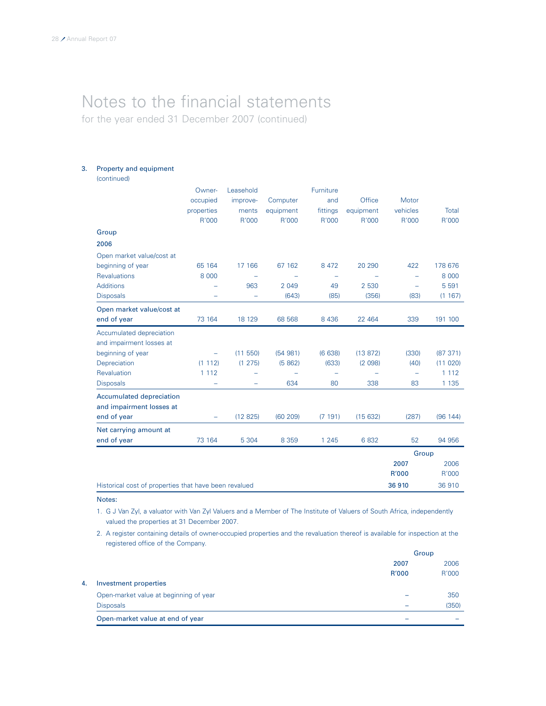for the year ended 31 December 2007 (continued)

#### 3. Property and equipment

(continued)

|                                                       | Owner-     | Leasehold |           | Furniture |           |                          |          |
|-------------------------------------------------------|------------|-----------|-----------|-----------|-----------|--------------------------|----------|
|                                                       | occupied   | improve-  | Computer  | and       | Office    | Motor                    |          |
|                                                       | properties | ments     | equipment | fittings  | equipment | vehicles                 | Total    |
|                                                       | R'000      | R'000     | R'000     | R'000     | R'000     | R'000                    | R'000    |
| Group                                                 |            |           |           |           |           |                          |          |
| 2006                                                  |            |           |           |           |           |                          |          |
| Open market value/cost at                             |            |           |           |           |           |                          |          |
| beginning of year                                     | 65 164     | 17 166    | 67 162    | 8 4 7 2   | 20 290    | 422                      | 178 676  |
| <b>Revaluations</b>                                   | 8 0 0 0    |           |           |           |           | $\overline{\phantom{0}}$ | 8 0 0 0  |
| <b>Additions</b>                                      |            | 963       | 2 0 4 9   | 49        | 2 5 3 0   | $\qquad \qquad$          | 5 5 9 1  |
| <b>Disposals</b>                                      |            | -         | (643)     | (85)      | (356)     | (83)                     | (1167)   |
| Open market value/cost at                             |            |           |           |           |           |                          |          |
| end of year                                           | 73 164     | 18 129    | 68 568    | 8 4 3 6   | 22 4 64   | 339                      | 191 100  |
| Accumulated depreciation                              |            |           |           |           |           |                          |          |
| and impairment losses at                              |            |           |           |           |           |                          |          |
| beginning of year                                     |            | (11550)   | (54981)   | (6638)    | (13 872)  | (330)                    | (87371)  |
| Depreciation                                          | (1112)     | (1 275)   | (5862)    | (633)     | (2 098)   | (40)                     | (11 020) |
| Revaluation                                           | 1 1 1 2    |           |           |           |           | -                        | 1 1 1 2  |
| <b>Disposals</b>                                      |            | -         | 634       | 80        | 338       | 83                       | 1 1 3 5  |
| <b>Accumulated depreciation</b>                       |            |           |           |           |           |                          |          |
| and impairment losses at                              |            |           |           |           |           |                          |          |
| end of year                                           |            | (12825)   | (60 209)  | (7191)    | (15632)   | (287)                    | (96 144) |
| Net carrying amount at                                |            |           |           |           |           |                          |          |
| end of year                                           | 73 164     | 5 3 0 4   | 8 3 5 9   | 1 2 4 5   | 6832      | 52                       | 94 956   |
|                                                       |            |           |           |           |           | Group                    |          |
|                                                       |            |           |           |           |           | 2007                     | 2006     |
|                                                       |            |           |           |           |           | R'000                    | R'000    |
| Historical cost of properties that have been revalued |            |           |           |           |           | 36 910                   | 36 910   |

#### Notes:

1. G J Van Zyl, a valuator with Van Zyl Valuers and a Member of The Institute of Valuers of South Africa, independently valued the properties at 31 December 2007.

2. A register containing details of owner-occupied properties and the revaluation thereof is available for inspection at the registered office of the Company.

|    |                                        |       | Group |
|----|----------------------------------------|-------|-------|
|    |                                        | 2007  | 2006  |
|    |                                        | R'000 | R'000 |
| 4. | Investment properties                  |       |       |
|    | Open-market value at beginning of year |       | 350   |
|    | <b>Disposals</b>                       |       | (350) |
|    | Open-market value at end of year       |       |       |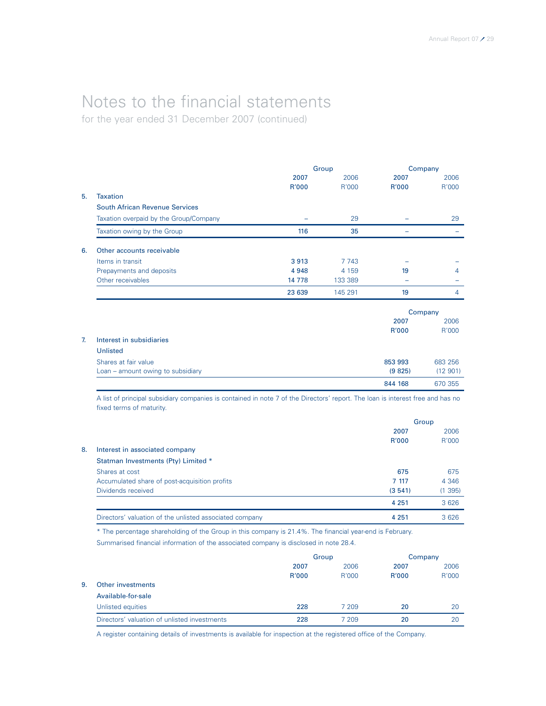for the year ended 31 December 2007 (continued)

|                       |                                                                                                                                | Group   |         | Company |         |
|-----------------------|--------------------------------------------------------------------------------------------------------------------------------|---------|---------|---------|---------|
|                       |                                                                                                                                | 2007    | 2006    | 2007    | 2006    |
|                       |                                                                                                                                | R'000   | R'000   | R'000   | R'000   |
| 5.<br><b>Taxation</b> |                                                                                                                                |         |         |         |         |
|                       | <b>South African Revenue Services</b>                                                                                          |         |         |         |         |
|                       | Taxation overpaid by the Group/Company                                                                                         |         | 29      |         | 29      |
|                       | Taxation owing by the Group                                                                                                    | 116     | 35      |         |         |
| 6.                    | Other accounts receivable                                                                                                      |         |         |         |         |
| Items in transit      |                                                                                                                                | 3913    | 7 7 4 3 |         |         |
|                       | Prepayments and deposits                                                                                                       | 4948    | 4 1 5 9 | 19      | 4       |
| Other receivables     |                                                                                                                                | 14 7 78 | 133 389 |         |         |
|                       |                                                                                                                                | 23 639  | 145 291 | 19      | 4       |
|                       |                                                                                                                                |         |         |         | Company |
|                       |                                                                                                                                |         |         | 2007    | 2006    |
|                       |                                                                                                                                |         |         | R'000   | R'000   |
| 7.                    | Interest in subsidiaries                                                                                                       |         |         |         |         |
| Unlisted              |                                                                                                                                |         |         |         |         |
| Shares at fair value  |                                                                                                                                |         |         | 853 993 | 683 256 |
|                       | Loan – amount owing to subsidiary                                                                                              |         |         | (9825)  | (12901) |
|                       |                                                                                                                                |         |         | 844 168 | 670 355 |
|                       | A list of principal subsidiary companies is contained in note 7 of the Directors' report. The loan is interest free and has no |         |         |         |         |

A list of principal subsidiary companies is contained in note 7 of the Directors' report. The loan is interest free and has no fixed terms of maturity.

|    |                                                         |         | Group   |
|----|---------------------------------------------------------|---------|---------|
|    |                                                         | 2007    | 2006    |
|    |                                                         | R'000   | R'000   |
| 8. | Interest in associated company                          |         |         |
|    | Statman Investments (Pty) Limited *                     |         |         |
|    | Shares at cost                                          | 675     | 675     |
|    | Accumulated share of post-acquisition profits           | 7 117   | 4 3 4 6 |
|    | Dividends received                                      | (3541)  | (1395)  |
|    |                                                         | 4 2 5 1 | 3626    |
|    | Directors' valuation of the unlisted associated company | 4 2 5 1 | 3626    |

\* The percentage shareholding of the Group in this company is 21.4%. The financial year-end is February. Summarised financial information of the associated company is disclosed in note 28.4.

|    |                                              |       | Group | Company |       |
|----|----------------------------------------------|-------|-------|---------|-------|
|    |                                              | 2007  | 2006  | 2007    | 2006  |
|    |                                              | R'000 | R'000 | R'000   | R'000 |
| 9. | Other investments                            |       |       |         |       |
|    | Available-for-sale                           |       |       |         |       |
|    | Unlisted equities                            | 228   | 7 209 | 20      | 20    |
|    | Directors' valuation of unlisted investments | 228   | 7 209 | 20      | 20    |

A register containing details of investments is available for inspection at the registered office of the Company.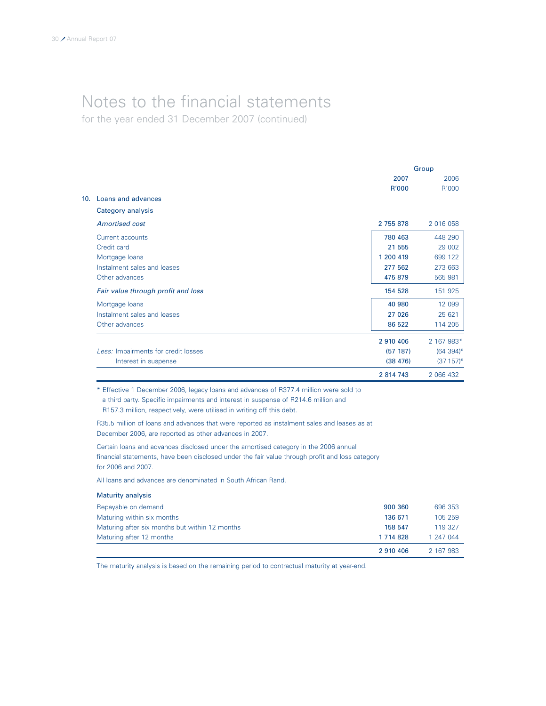for the year ended 31 December 2007 (continued)

|                                     |              | Group       |  |
|-------------------------------------|--------------|-------------|--|
|                                     | 2007         | 2006        |  |
|                                     | <b>R'000</b> | R'000       |  |
| Loans and advances<br>10.           |              |             |  |
| Category analysis                   |              |             |  |
| Amortised cost                      | 2 755 878    | 2 016 058   |  |
| Current accounts                    | 780 463      | 448 290     |  |
| Credit card                         | 21 555       | 29 002      |  |
| Mortgage loans                      | 1 200 419    | 699 122     |  |
| Instalment sales and leases         | 277 562      | 273 663     |  |
| Other advances                      | 475 879      | 565 981     |  |
| Fair value through profit and loss  | 154 528      | 151 925     |  |
| Mortgage loans                      | 40 980       | 12 099      |  |
| Instalment sales and leases         | 27 0 26      | 25 621      |  |
| Other advances                      | 86 522       | 114 205     |  |
|                                     | 2 910 406    | 2 167 983*  |  |
| Less: Impairments for credit losses | (57 187)     | $(64394)^*$ |  |
| Interest in suspense                | (38 476)     | $(37157)^*$ |  |
|                                     | 2 814 743    | 2 066 432   |  |

\* Effective 1 December 2006, legacy loans and advances of R377.4 million were sold to

a third party. Specific impairments and interest in suspense of R214.6 million and R157.3 million, respectively, were utilised in writing off this debt.

R35.5 million of loans and advances that were reported as instalment sales and leases as at December 2006, are reported as other advances in 2007.

Certain loans and advances disclosed under the amortised category in the 2006 annual financial statements, have been disclosed under the fair value through profit and loss category for 2006 and 2007.

All loans and advances are denominated in South African Rand.

| <b>Maturity analysis</b>                       |           |           |
|------------------------------------------------|-----------|-----------|
| Repayable on demand                            | 900 360   | 696 353   |
| Maturing within six months                     | 136 671   | 105 259   |
| Maturing after six months but within 12 months | 158 547   | 119 327   |
| Maturing after 12 months                       | 1714828   | 1 247 044 |
|                                                | 2 910 406 | 2 167 983 |

The maturity analysis is based on the remaining period to contractual maturity at year-end.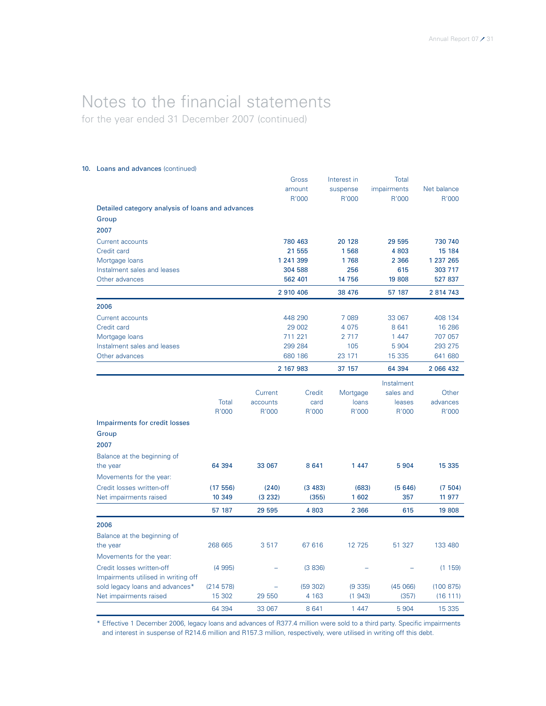for the year ended 31 December 2007 (continued)

#### 10. Loans and advances (continued) Gross Interest in Total amount suspense impairments Net balance R'000 R'000 R'000 R'000 Detailed category analysis of loans and advances Group 2007 Current accounts 780 463 20 128 29 595 730 740 Credit card 21 555 1 568 4 803 15 184 Mortgage loans 1241 399 1 241 399 2 366 1 237 265 Instalment sales and leases 304 588 256 615 303 717 Other advances 62 10 12 12 13 14 156 19 14 156 19 14 156 19 14 156 19 15 17 18 18 19 19 19 19 19 19 19 19 19 1 2 910 406 38 476 57 187 2 814 743 2006 Current accounts 448 290 7 089 33 067 408 134 Credit card 29 002 4 075 8 641 16 286 Mortgage loans 711 221 2 717 1 447 707 057 Instalment sales and leases 299 284 105 5 904 293 275 Other advances 680 186 680 186 23 171 15 335 641 680 2 167 983 37 157 64 394 2 066 432 Instalment Current Credit Mortgage sales and Other Total accounts card loans leases advances R'000 R'000 R'000 R'000 R'000 R'000 Impairments for credit losses Group 2007 Balance at the beginning of the year 64 394 33 067 8 641 1 447 5 904 15 335 Movements for the year: Credit losses written-off (17 556) (240) (3 483) (683) (5 646) (7 504) Net impairments raised 10 349 (3 232) (355) 1602 357 11 977 57 187 29 595 4 803 2 366 615 19 808 2006 Balance at the beginning of the year 268 665 3 517 67 616 12 725 51 327 133 480 Movements for the year: Credit losses written-off (4 995) – (3 836) – – (1 159) Impairments utilised in writing off sold legacy loans and advances\* (214 578) – (59 302) (9 335) (45 066) (100 875) Net impairments raised 15 302 29 550 4 163 (1 943) (357) (16 111) 64 394 33 067 8 641 1 447 5 904 15 335

\* Effective 1 December 2006, legacy loans and advances of R377.4 million were sold to a third party. Specific impairments and interest in suspense of R214.6 million and R157.3 million, respectively, were utilised in writing off this debt.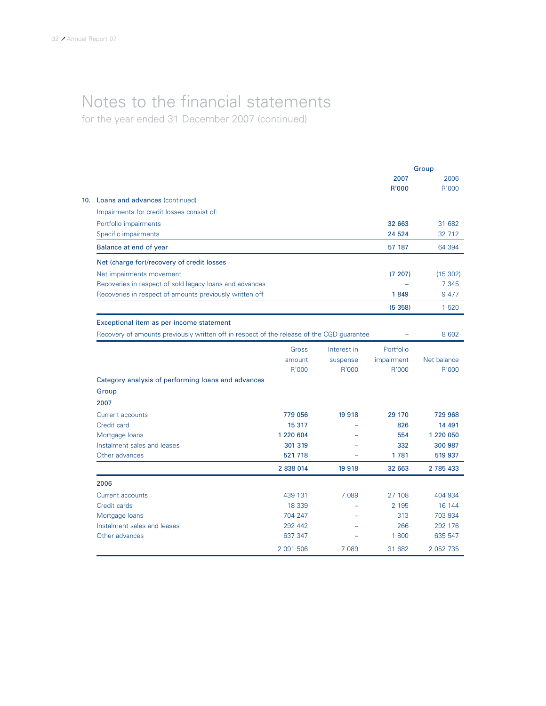for the year ended 31 December 2007 (continued)

|                                                                                           |           |             |              | Group              |  |
|-------------------------------------------------------------------------------------------|-----------|-------------|--------------|--------------------|--|
|                                                                                           |           |             | 2007         | 2006               |  |
|                                                                                           |           |             | <b>R'000</b> | R'000              |  |
| 10. Loans and advances (continued)                                                        |           |             |              |                    |  |
| Impairments for credit losses consist of:                                                 |           |             |              |                    |  |
| Portfolio impairments                                                                     |           |             | 32 663       | 31 682             |  |
| Specific impairments                                                                      |           |             | 24 5 24      | 32 712             |  |
| Balance at end of year                                                                    |           |             | 57 187       | 64 394             |  |
| Net (charge for)/recovery of credit losses                                                |           |             |              |                    |  |
| Net impairments movement                                                                  |           |             | (7 207)      | (15302)            |  |
| Recoveries in respect of sold legacy loans and advances                                   |           |             |              | 7 3 4 5            |  |
| Recoveries in respect of amounts previously written off                                   |           |             | 1849         | 9477               |  |
|                                                                                           |           |             | (5358)       | 1 5 2 0            |  |
| Exceptional item as per income statement                                                  |           |             |              |                    |  |
| Recovery of amounts previously written off in respect of the release of the CGD guarantee |           |             |              | 8602               |  |
|                                                                                           | Gross     | Interest in | Portfolio    |                    |  |
|                                                                                           | amount    | suspense    | impairment   | Net balance        |  |
|                                                                                           | R'000     | R'000       | R'000        | R'000              |  |
| Category analysis of performing loans and advances                                        |           |             |              |                    |  |
| Group                                                                                     |           |             |              |                    |  |
| 2007                                                                                      |           |             |              |                    |  |
| Current accounts                                                                          | 779 056   | 19 9 18     | 29 170       | 729 968            |  |
| Credit card                                                                               | 15 317    |             | 826          | 14 491             |  |
| Mortgage loans                                                                            | 1 220 604 |             | 554          | 1 220 050          |  |
| Instalment sales and leases                                                               | 301 319   |             | 332          | 300 987            |  |
| Other advances                                                                            | 521 718   |             | 1781         | 519 937            |  |
|                                                                                           | 2 838 014 | 19 9 18     | 32 663       | 2 785 433          |  |
| 2006                                                                                      |           |             |              |                    |  |
| <b>Current accounts</b>                                                                   | 439 131   | 7 089       | 27 108       | 404 934            |  |
| <b>Credit cards</b>                                                                       | 18 339    |             | 2 1 9 5      | 16 144             |  |
| Mortgage loans                                                                            | 704 247   |             | 313          | 703 934            |  |
|                                                                                           |           |             |              |                    |  |
| Instalment sales and leases                                                               | 292 442   |             | 266          |                    |  |
| Other advances                                                                            | 637 347   |             | 1800         | 292 176<br>635 547 |  |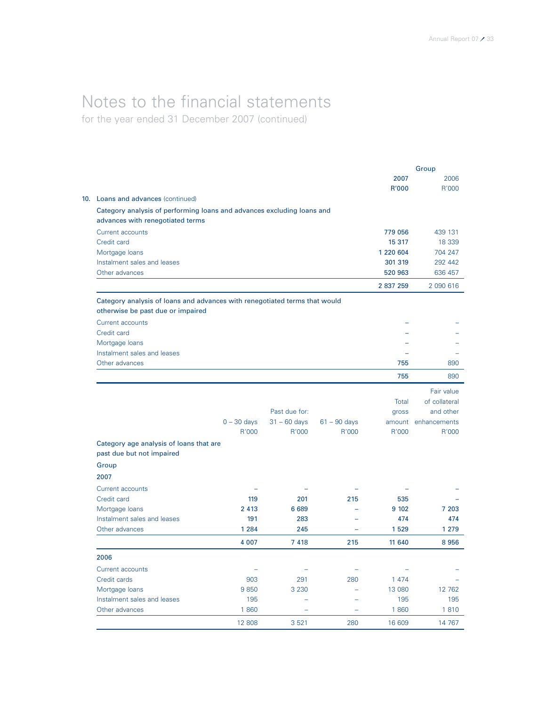for the year ended 31 December 2007 (continued)

|                                                                                                                 |                |                | Group          |              |                                                                                                                                      |
|-----------------------------------------------------------------------------------------------------------------|----------------|----------------|----------------|--------------|--------------------------------------------------------------------------------------------------------------------------------------|
|                                                                                                                 |                |                |                | 2007         | 2006                                                                                                                                 |
|                                                                                                                 |                |                |                | <b>R'000</b> | R'000                                                                                                                                |
| 10. Loans and advances (continued)                                                                              |                |                |                |              |                                                                                                                                      |
| Category analysis of performing loans and advances excluding loans and<br>advances with renegotiated terms      |                |                |                |              |                                                                                                                                      |
| Current accounts                                                                                                |                |                |                | 779 056      | 439 131                                                                                                                              |
| Credit card                                                                                                     |                |                |                | 15 317       | 18 339                                                                                                                               |
| Mortgage loans                                                                                                  |                |                |                | 1 220 604    | 704 247                                                                                                                              |
| Instalment sales and leases                                                                                     |                |                |                | 301 319      | 292 442                                                                                                                              |
| Other advances                                                                                                  |                |                |                | 520 963      | 636 457                                                                                                                              |
|                                                                                                                 |                |                |                | 2 837 259    | 2 090 616                                                                                                                            |
| Category analysis of loans and advances with renegotiated terms that would<br>otherwise be past due or impaired |                |                |                |              |                                                                                                                                      |
| Current accounts                                                                                                |                |                |                |              |                                                                                                                                      |
| Credit card                                                                                                     |                |                |                |              |                                                                                                                                      |
| Mortgage loans                                                                                                  |                |                |                |              |                                                                                                                                      |
| Instalment sales and leases                                                                                     |                |                |                |              |                                                                                                                                      |
| Other advances                                                                                                  |                |                |                | 755          | 890                                                                                                                                  |
|                                                                                                                 |                |                |                | 755          | 890                                                                                                                                  |
|                                                                                                                 |                |                |                |              |                                                                                                                                      |
|                                                                                                                 |                |                |                |              |                                                                                                                                      |
|                                                                                                                 |                |                |                | Total        |                                                                                                                                      |
|                                                                                                                 |                | Past due for:  |                | gross        |                                                                                                                                      |
|                                                                                                                 | $0 - 30$ days  | $31 - 60$ days | $61 - 90$ days |              |                                                                                                                                      |
|                                                                                                                 | R'000          | R'000          | R'000          | R'000        |                                                                                                                                      |
| Category age analysis of loans that are<br>past due but not impaired                                            |                |                |                |              |                                                                                                                                      |
|                                                                                                                 |                |                |                |              |                                                                                                                                      |
| Group                                                                                                           |                |                |                |              |                                                                                                                                      |
| 2007                                                                                                            |                |                |                |              |                                                                                                                                      |
| Current accounts                                                                                                |                |                |                |              |                                                                                                                                      |
| Credit card                                                                                                     | 119            | 201            | 215            | 535          |                                                                                                                                      |
| Mortgage loans                                                                                                  | 2 4 1 3        | 6 6 8 9        |                | 9 10 2       |                                                                                                                                      |
| Instalment sales and leases<br>Other advances                                                                   | 191<br>1 2 8 4 | 283<br>245     |                | 474<br>1529  |                                                                                                                                      |
|                                                                                                                 | 4 0 0 7        | 7418           | 215            | 11 640       |                                                                                                                                      |
| 2006                                                                                                            |                |                |                |              |                                                                                                                                      |
| Current accounts                                                                                                |                |                |                |              |                                                                                                                                      |
| Credit cards                                                                                                    | 903            | 291            | 280            | 1 474        |                                                                                                                                      |
| Mortgage loans                                                                                                  | 9850           | 3 2 3 0        |                | 13 080       |                                                                                                                                      |
| Instalment sales and leases                                                                                     | 195            |                |                | 195          |                                                                                                                                      |
| Other advances                                                                                                  | 1860           |                | -              | 1860         | Fair value<br>of collateral<br>and other<br>amount enhancements<br>R'000<br>7 203<br>474<br>1 2 7 9<br>8956<br>12 762<br>195<br>1810 |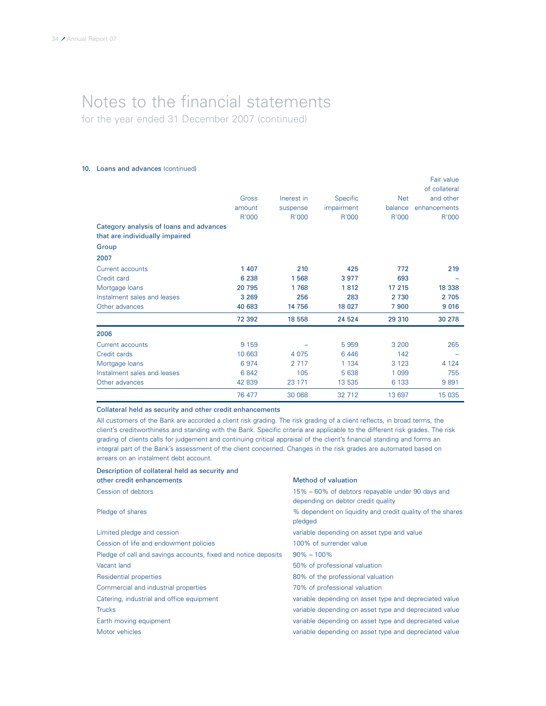for the year ended 31 December 2007 (continued)

#### 10. Loans and advances (continued)

| Category analysis of loans and advances | Gross<br>amount<br>R'000 | Inerest in<br>suspense<br>R'000 | <b>Specific</b><br>impairment<br>R'000 | <b>Net</b><br>balance<br>R'000 | Fair value<br>of collateral<br>and other<br>enhancements<br>R'000 |
|-----------------------------------------|--------------------------|---------------------------------|----------------------------------------|--------------------------------|-------------------------------------------------------------------|
| that are individually impaired          |                          |                                 |                                        |                                |                                                                   |
| Group                                   |                          |                                 |                                        |                                |                                                                   |
| 2007                                    |                          |                                 |                                        |                                |                                                                   |
| Current accounts                        | 1 407                    | 210                             | 425                                    | 772                            | 219                                                               |
| Credit card                             | 6 2 3 8                  | 1568                            | 3 9 7 7                                | 693                            |                                                                   |
| Mortgage loans                          | 20 795                   | 1768                            | 1812                                   | 17 215                         | 18 338                                                            |
| Instalment sales and leases             | 3 2 6 9                  | 256                             | 283                                    | 2 7 3 0                        | 2 7 0 5                                                           |
| Other advances                          | 40 683                   | 14 756                          | 18 027                                 | 7900                           | 9 0 16                                                            |
|                                         | 72 392                   | 18 5 58                         | 24 5 24                                | 29 310                         | 30 278                                                            |
| 2006                                    |                          |                                 |                                        |                                |                                                                   |
| Current accounts                        | 9 1 5 9                  |                                 | 5959                                   | 3 2 0 0                        | 265                                                               |
| Credit cards                            | 10 663                   | 4 0 7 5                         | 6446                                   | 142                            |                                                                   |
| Mortgage loans                          | 6974                     | 2 7 1 7                         | 1 1 3 4                                | 3 1 2 3                        | 4 1 2 4                                                           |
| Instalment sales and leases             | 6842                     | 105                             | 5 6 3 8                                | 1 0 9 9                        | 755                                                               |
| Other advances                          | 42 839                   | 23 171                          | 13 535                                 | 6 1 3 3                        | 9891                                                              |
|                                         | 76 477                   | 30 068                          | 32 712                                 | 13 697                         | 15 035                                                            |

Collateral held as security and other credit enhancements

All customers of the Bank are accorded a client risk grading. The risk grading of a client reflects, in broad terms, the client's creditworthiness and standing with the Bank. Specific criteria are applicable to the different risk grades. The risk grading of clients calls for judgement and continuing critical appraisal of the client's financial standing and forms an integral part of the Bank's assessment of the client concerned. Changes in the risk grades are automated based on arrears on an instalment debt account.

| Description of collateral held as security and                 |                                                                      |
|----------------------------------------------------------------|----------------------------------------------------------------------|
| other credit enhancements                                      | <b>Method of valuation</b>                                           |
| Cession of debtors                                             | 15% – 60% of debtors repayable under 90 days and                     |
|                                                                | depending on debtor credit quality                                   |
| Pledge of shares                                               | % dependent on liquidity and credit quality of the shares<br>pledged |
| Limited pledge and cession                                     | variable depending on asset type and value                           |
| Cession of life and endowment policies                         | 100% of surrender value                                              |
| Pledge of call and savings accounts, fixed and notice deposits | $90\% - 100\%$                                                       |
| Vacant land                                                    | 50% of professional valuation                                        |
| Residential properties                                         | 80% of the professional valuation                                    |
| Commercial and industrial properties                           | 70% of professional valuation                                        |
| Catering, industrial and office equipment                      | variable depending on asset type and depreciated value               |
| <b>Trucks</b>                                                  | variable depending on asset type and depreciated value               |
| Earth moving equipment                                         | variable depending on asset type and depreciated value               |
| Motor vehicles                                                 | variable depending on asset type and depreciated value               |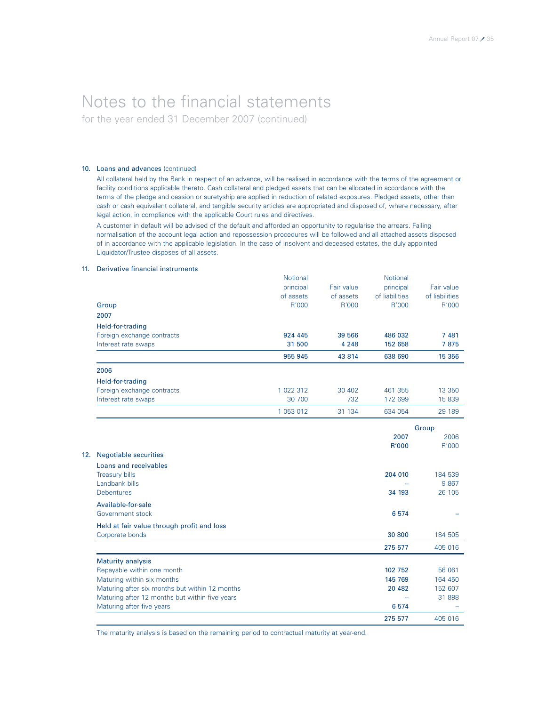for the year ended 31 December 2007 (continued)

#### 10. Loans and advances (continued)

All collateral held by the Bank in respect of an advance, will be realised in accordance with the terms of the agreement or facility conditions applicable thereto. Cash collateral and pledged assets that can be allocated in accordance with the terms of the pledge and cession or suretyship are applied in reduction of related exposures. Pledged assets, other than cash or cash equivalent collateral, and tangible security articles are appropriated and disposed of, where necessary, after legal action, in compliance with the applicable Court rules and directives.

A customer in default will be advised of the default and afforded an opportunity to regularise the arrears. Failing normalisation of the account legal action and repossession procedures will be followed and all attached assets disposed of in accordance with the applicable legislation. In the case of insolvent and deceased estates, the duly appointed Liquidator/Trustee disposes of all assets.

#### 11. Derivative financial instruments

|     |                                                | <b>Notional</b> |            | Notional       |                |
|-----|------------------------------------------------|-----------------|------------|----------------|----------------|
|     |                                                | principal       | Fair value | principal      | Fair value     |
|     |                                                | of assets       | of assets  | of liabilities | of liabilities |
|     | Group                                          | R'000           | R'000      | R'000          | R'000          |
|     | 2007                                           |                 |            |                |                |
|     | Held-for-trading                               |                 |            |                |                |
|     | Foreign exchange contracts                     | 924 445         | 39 566     | 486 032        | 7 4 8 1        |
|     | Interest rate swaps                            | 31 500          | 4 2 4 8    | 152 658        | 7875           |
|     |                                                | 955 945         | 43 8 14    | 638 690        | 15 356         |
|     | 2006                                           |                 |            |                |                |
|     | Held-for-trading                               |                 |            |                |                |
|     | Foreign exchange contracts                     | 1 022 312       | 30 40 2    | 461 355        | 13 3 5 0       |
|     | Interest rate swaps                            | 30 700          | 732        | 172 699        | 15 839         |
|     |                                                | 1 053 012       | 31 134     | 634 054        | 29 189         |
|     |                                                |                 |            |                | Group          |
|     |                                                |                 |            | 2007           | 2006           |
|     |                                                |                 |            | <b>R'000</b>   | R'000          |
| 12. | <b>Negotiable securities</b>                   |                 |            |                |                |
|     | Loans and receivables                          |                 |            |                |                |
|     | <b>Treasury bills</b>                          |                 |            | 204 010        | 184 539        |
|     | Landbank bills                                 |                 |            |                | 9867           |
|     | <b>Debentures</b>                              |                 |            | 34 193         | 26 105         |
|     | Available-for-sale                             |                 |            |                |                |
|     | Government stock                               |                 |            | 6574           |                |
|     | Held at fair value through profit and loss     |                 |            |                |                |
|     | Corporate bonds                                |                 |            | 30 800         | 184 505        |
|     |                                                |                 |            | 275 577        | 405 016        |
|     | <b>Maturity analysis</b>                       |                 |            |                |                |
|     | Repayable within one month                     |                 |            | 102 752        | 56 061         |
|     | Maturing within six months                     |                 |            | 145 769        | 164 450        |
|     | Maturing after six months but within 12 months |                 |            | 20 482         | 152 607        |
|     | Maturing after 12 months but within five years |                 |            |                | 31 898         |
|     | Maturing after five years                      |                 |            | 6574           |                |
|     |                                                |                 |            | 275 577        | 405 016        |

The maturity analysis is based on the remaining period to contractual maturity at year-end.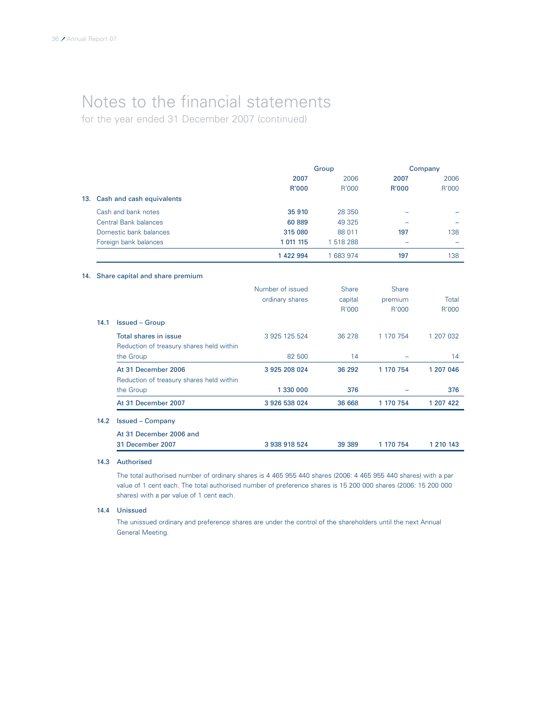for the year ended 31 December 2007 (continued)

|      |                                          | Group            |              | Company   |            |
|------|------------------------------------------|------------------|--------------|-----------|------------|
|      |                                          | 2007             | 2006         | 2007      | 2006       |
|      |                                          | R'000            | R'000        | R'000     | R'000      |
| 13.  | Cash and cash equivalents                |                  |              |           |            |
|      | Cash and bank notes                      | 35 910           | 28 350       |           |            |
|      | Central Bank balances                    | 60 889           | 49 325       |           |            |
|      | Domestic bank balances                   | 315 080          | 88 011       | 197       | 138        |
|      | Foreign bank balances                    | 1 011 115        | 1 518 288    |           |            |
|      |                                          | 1 422 994        | 1 683 974    | 197       | 138        |
| 14.  | Share capital and share premium          |                  |              |           |            |
|      |                                          | Number of issued | <b>Share</b> | Share     |            |
|      |                                          | ordinary shares  | capital      | premium   | Total      |
|      |                                          |                  | R'000        | R'000     | R'000      |
| 14.1 | <b>Issued - Group</b>                    |                  |              |           |            |
|      | Total shares in issue                    | 3 925 125 524    | 36 278       | 1 170 754 | 1 207 032  |
|      | Reduction of treasury shares held within |                  |              |           |            |
|      | the Group                                | 82 500           | 14           |           | 14         |
|      | At 31 December 2006                      | 3 925 208 024    | 36 29 2      | 1 170 754 | 1 207 046  |
|      | Reduction of treasury shares held within |                  |              |           |            |
|      | the Group                                | 1 330 000        | 376          |           | 376        |
|      | At 31 December 2007                      | 3 926 538 024    | 36 668       | 1 170 754 | 1 207 422  |
| 14.2 | <b>Issued - Company</b>                  |                  |              |           |            |
|      | At 31 December 2006 and                  |                  |              |           |            |
|      | 31 December 2007                         | 3 938 918 524    | 39 389       | 1 170 754 | 1 2 10 143 |

#### 14.3 Authorised

The total authorised number of ordinary shares is 4 465 955 440 shares (2006: 4 465 955 440 shares) with a par value of 1 cent each. The total authorised number of preference shares is 15 200 000 shares (2006: 15 200 000 shares) with a par value of 1 cent each.

#### 14.4 Unissued

The unissued ordinary and preference shares are under the control of the shareholders until the next Annual General Meeting.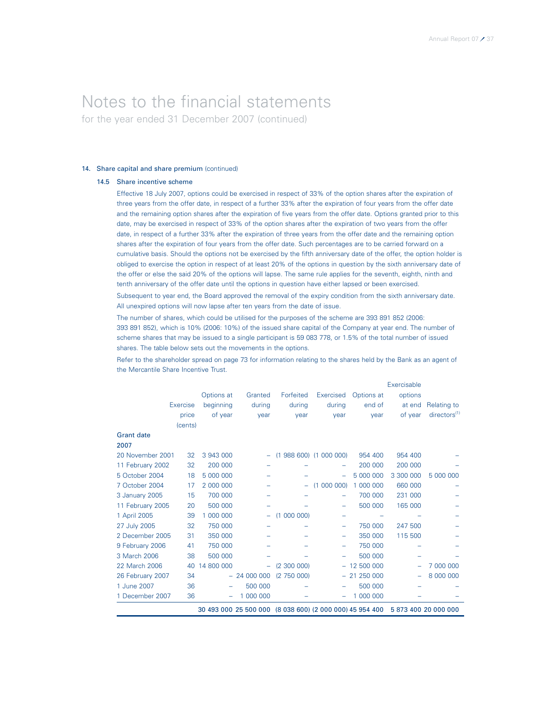for the year ended 31 December 2007 (continued)

### 14. Share capital and share premium (continued)

## 14.5 Share incentive scheme

Effective 18 July 2007, options could be exercised in respect of 33% of the option shares after the expiration of three years from the offer date, in respect of a further 33% after the expiration of four years from the offer date and the remaining option shares after the expiration of five years from the offer date. Options granted prior to this date, may be exercised in respect of 33% of the option shares after the expiration of two years from the offer date, in respect of a further 33% after the expiration of three years from the offer date and the remaining option shares after the expiration of four years from the offer date. Such percentages are to be carried forward on a cumulative basis. Should the options not be exercised by the fifth anniversary date of the offer, the option holder is obliged to exercise the option in respect of at least 20% of the options in question by the sixth anniversary date of the offer or else the said 20% of the options will lapse. The same rule applies for the seventh, eighth, ninth and tenth anniversary of the offer date until the options in question have either lapsed or been exercised.

Subsequent to year end, the Board approved the removal of the expiry condition from the sixth anniversary date. All unexpired options will now lapse after ten years from the date of issue.

The number of shares, which could be utilised for the purposes of the scheme are 393 891 852 (2006: 393 891 852), which is 10% (2006: 10%) of the issued share capital of the Company at year end. The number of scheme shares that may be issued to a single participant is 59 083 778, or 1.5% of the total number of issued shares. The table below sets out the movements in the options.

Refer to the shareholder spread on page 73 for information relating to the shares held by the Bank as an agent of the Mercantile Share Incentive Trust.

|                   |          |            |                                                          |               |                          |            | Exercisable |                          |
|-------------------|----------|------------|----------------------------------------------------------|---------------|--------------------------|------------|-------------|--------------------------|
|                   |          | Options at | Granted                                                  | Forfeited     | Exercised                | Options at | options     |                          |
|                   | Exercise | beginning  | during                                                   | during        | during                   | end of     | at end      | Relating to              |
|                   | price    | of year    | year                                                     | year          | year                     | year       | of year     | direction <sup>(1)</sup> |
|                   | (cents)  |            |                                                          |               |                          |            |             |                          |
| <b>Grant date</b> |          |            |                                                          |               |                          |            |             |                          |
| 2007              |          |            |                                                          |               |                          |            |             |                          |
| 20 November 2001  | 32       | 3 943 000  |                                                          |               | $(1988600)$ $(1000000)$  | 954 400    | 954 400     |                          |
| 11 February 2002  | 32       | 200 000    |                                                          |               |                          | 200 000    | 200 000     |                          |
| 5 October 2004    | 18       | 5 000 000  |                                                          |               |                          | 5 000 000  | 3 300 000   | 5 000 000                |
| 7 October 2004    | 17       | 2 000 000  |                                                          |               | (1 000 000)              | 1 000 000  | 660 000     |                          |
| 3 January 2005    | 15       | 700 000    |                                                          |               | -                        | 700 000    | 231 000     |                          |
| 11 February 2005  | 20       | 500 000    |                                                          |               | -                        | 500 000    | 165 000     |                          |
| 1 April 2005      | 39       | 1 000 000  |                                                          | (1 000 000)   | $\overline{\phantom{0}}$ |            |             |                          |
| 27 July 2005      | 32       | 750 000    |                                                          |               | -                        | 750 000    | 247 500     |                          |
| 2 December 2005   | 31       | 350 000    |                                                          |               | $\overline{\phantom{0}}$ | 350 000    | 115 500     |                          |
| 9 February 2006   | 41       | 750 000    |                                                          |               | $\qquad \qquad$          | 750 000    |             |                          |
| 3 March 2006      | 38       | 500 000    |                                                          |               |                          | 500 000    |             |                          |
| 22 March 2006     | 40       | 14 800 000 |                                                          | (2, 300, 000) |                          | 12 500 000 |             | 7 000 000                |
| 26 February 2007  | 34       |            | $-24000000$                                              | (2750000)     | $\overline{\phantom{m}}$ | 21 250 000 |             | 8 000 000                |
| 1 June 2007       | 36       |            | 500 000                                                  |               |                          | 500 000    |             |                          |
| 1 December 2007   | 36       |            | 1 000 000                                                |               | $\qquad \qquad$          | 1 000 000  |             |                          |
|                   |          |            | 30 493 000 25 500 000 (8 038 600) (2 000 000) 45 954 400 |               |                          |            |             | 5 873 400 20 000 000     |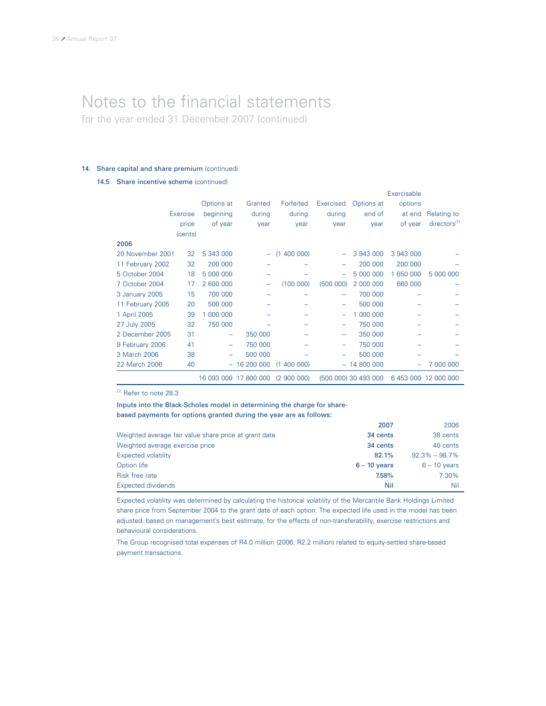for the year ended 31 December 2007 (continued)

## 14. Share capital and share premium (continued)

## 14.5 Share incentive scheme (continued)

|                  |          |            |                       |                 |           |                      | <b>EXPICISQUIP</b> |                          |
|------------------|----------|------------|-----------------------|-----------------|-----------|----------------------|--------------------|--------------------------|
|                  |          | Options at | Granted               | Forfeited       | Exercised | Options at           | options            |                          |
|                  | Exercise | beginning  | during                | during          | during    | end of               | at end             | Relating to              |
|                  | price    | of year    | year                  | year            | year      | year                 | of year            | directors <sup>(1)</sup> |
|                  | (cents)  |            |                       |                 |           |                      |                    |                          |
| 2006             |          |            |                       |                 |           |                      |                    |                          |
| 20 November 2001 | 32       | 5 343 000  | $\qquad \qquad -$     | 400 000)<br>(1) |           | 3 943 000            | 3 943 000          |                          |
| 11 February 2002 | 32       | 200 000    |                       |                 |           | 200 000              | 200 000            |                          |
| 5 October 2004   | 18       | 5 000 000  |                       |                 |           | 5 000 000            | 1 650 000          | 5 000 000                |
| 7 October 2004   | 17       | 2 600 000  |                       | (100 000)       | (500000)  | 2 000 000            | 660 000            |                          |
| 3 January 2005   | 15       | 700 000    |                       |                 |           | 700 000              |                    |                          |
| 11 February 2005 | 20       | 500 000    |                       |                 |           | 500 000              |                    |                          |
| 1 April 2005     | 39       | 1 000 000  |                       |                 | -         | 000 000              |                    |                          |
| 27 July 2005     | 32       | 750 000    |                       |                 | -         | 750 000              |                    |                          |
| 2 December 2005  | 31       | -          | 350 000               |                 | -         | 350 000              |                    |                          |
| 9 February 2006  | 41       | -          | 750 000               |                 | -         | 750 000              |                    |                          |
| 3 March 2006     | 38       |            | 500 000               |                 |           | 500 000              |                    |                          |
| 22 March 2006    | 40       |            | $-16200000$           | (1400000)       |           | 14 800 000           |                    | 7 000 000                |
|                  |          |            | 16 093 000 17 800 000 | (2900000)       |           | (500 000) 30 493 000 | 6 453 000          | 12 000 000               |

Exercisable

(1) Refer to note 28.3

Inputs into the Black-Scholes model in determining the charge for share-

based payments for options granted during the year are as follows:

|                                                       | 2007           | 2006              |
|-------------------------------------------------------|----------------|-------------------|
| Weighted average fair value share price at grant date | 34 cents       | 38 cents          |
| Weighted average exercise price                       | 34 cents       | 40 cents          |
| <b>Expected volatility</b>                            | 82.1%          | $92.3\% - 98.7\%$ |
| Option life                                           | $6 - 10$ years | $6 - 10$ years    |
| <b>Risk free rate</b>                                 | 7.58%          | 7.30%             |
| <b>Expected dividends</b>                             | Nil            | Nil               |

Expected volatility was determined by calculating the historical volatility of the Mercantile Bank Holdings Limited share price from September 2004 to the grant date of each option. The expected life used in the model has been adjusted, based on management's best estimate, for the effects of non-transferability, exercise restrictions and behavioural considerations.

The Group recognised total expenses of R4.0 million (2006: R2.2 million) related to equity-settled share-based payment transactions.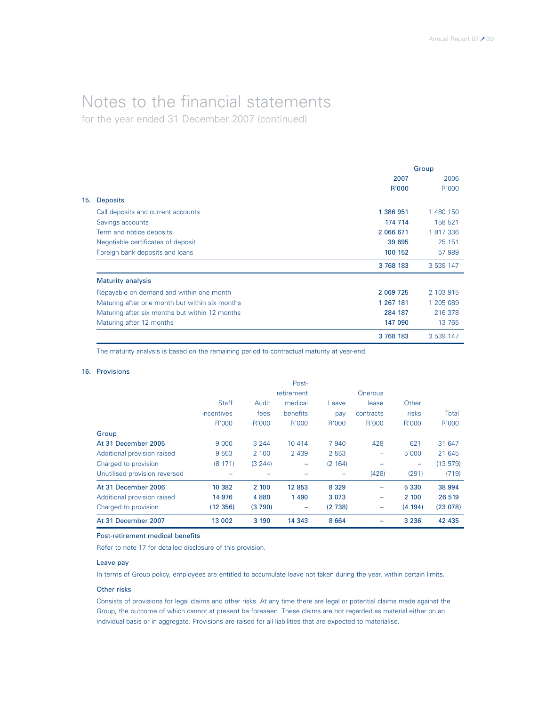for the year ended 31 December 2007 (continued)

|                                                |           | Group     |
|------------------------------------------------|-----------|-----------|
|                                                | 2007      | 2006      |
|                                                | R'000     | R'000     |
| <b>Deposits</b><br>15.                         |           |           |
| Call deposits and current accounts             | 1 386 951 | 1 480 150 |
| Savings accounts                               | 174 714   | 158 521   |
| Term and notice deposits                       | 2 066 671 | 1 817 336 |
| Negotiable certificates of deposit             | 39 695    | 25 151    |
| Foreign bank deposits and loans                | 100 152   | 57 989    |
|                                                | 3 768 183 | 3 539 147 |
| <b>Maturity analysis</b>                       |           |           |
| Repayable on demand and within one month       | 2 069 725 | 2 103 915 |
| Maturing after one month but within six months | 1 267 181 | 1 205 089 |
| Maturing after six months but within 12 months | 284 187   | 216 378   |
| Maturing after 12 months                       | 147 090   | 13 765    |
|                                                | 3 768 183 | 3 539 147 |

The maturity analysis is based on the remaining period to contractual maturity at year-end.

## 16. Provisions

|                               |              |          | Post-      |         |                |         |         |
|-------------------------------|--------------|----------|------------|---------|----------------|---------|---------|
|                               |              |          | retirement |         | <b>Onerous</b> |         |         |
|                               | <b>Staff</b> | Audit    | medical    | Leave   | lease          | Other   |         |
|                               | incentives   | fees     | benefits   | pay     | contracts      | risks   | Total   |
|                               | R'000        | R'000    | R'000      | R'000   | R'000          | R'000   | R'000   |
| Group                         |              |          |            |         |                |         |         |
| At 31 December 2005           | 9 0 0 0      | 3 2 4 4  | 10 4 14    | 7940    | 428            | 621     | 31 647  |
| Additional provision raised   | 9 5 5 3      | 2 100    | 2 4 3 9    | 2 5 5 3 | -              | 5 0 0 0 | 21 645  |
| Charged to provision          | (8171)       | (3, 244) |            | (2 164) |                | -       | (13579) |
| Unutilised provision reversed |              |          |            |         | (428)          | (291)   | (719)   |
| At 31 December 2006           | 10 382       | 2 100    | 12 853     | 8 3 2 9 | -              | 5 3 3 0 | 38 994  |
| Additional provision raised   | 14 976       | 4 8 8 0  | 1490       | 3 0 7 3 | -              | 2 100   | 26 519  |
| Charged to provision          | (12, 356)    | (3790)   |            | (2738)  | -              | (4 194) | (23078) |
| At 31 December 2007           | 13 002       | 3 190    | 14 3 4 3   | 8 6 6 4 | -              | 3 2 3 6 | 42 435  |

## Post-retirement medical benefits

Refer to note 17 for detailed disclosure of this provision.

## Leave pay

In terms of Group policy, employees are entitled to accumulate leave not taken during the year, within certain limits.

## Other risks

Consists of provisions for legal claims and other risks. At any time there are legal or potential claims made against the Group, the outcome of which cannot at present be foreseen. These claims are not regarded as material either on an individual basis or in aggregate. Provisions are raised for all liabilities that are expected to materialise.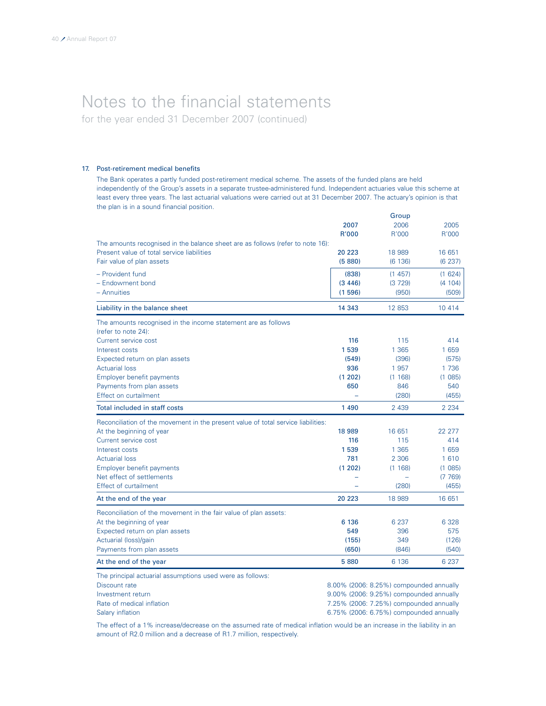for the year ended 31 December 2007 (continued)

## 17. Post-retirement medical benefits

The Bank operates a partly funded post-retirement medical scheme. The assets of the funded plans are held independently of the Group's assets in a separate trustee-administered fund. Independent actuaries value this scheme at least every three years. The last actuarial valuations were carried out at 31 December 2007. The actuary's opinion is that the plan is in a sound financial position.

|                                                                                   |          | Group                                   |         |
|-----------------------------------------------------------------------------------|----------|-----------------------------------------|---------|
|                                                                                   | 2007     | 2006                                    | 2005    |
|                                                                                   | R'000    | R'000                                   | R'000   |
| The amounts recognised in the balance sheet are as follows (refer to note 16):    |          |                                         |         |
| Present value of total service liabilities                                        | 20 223   | 18 989                                  | 16 651  |
| Fair value of plan assets                                                         | (5880)   | (6136)                                  | (6237)  |
| - Provident fund                                                                  | (838)    | (1457)                                  | (1624)  |
| - Endowment bond                                                                  | (3, 446) | (3729)                                  | (4104)  |
| – Annuities                                                                       | (1596)   | (950)                                   | (509)   |
| Liability in the balance sheet                                                    | 14 343   | 12 853                                  | 10 4 14 |
| The amounts recognised in the income statement are as follows                     |          |                                         |         |
| (refer to note 24):                                                               |          |                                         |         |
| Current service cost                                                              | 116      | 115                                     | 414     |
| Interest costs                                                                    | 1539     | 1 3 6 5                                 | 1 6 5 9 |
| Expected return on plan assets                                                    | (549)    | (396)                                   | (575)   |
| <b>Actuarial loss</b>                                                             | 936      | 1957                                    | 1736    |
| Employer benefit payments                                                         | (1 202)  | (1168)                                  | (1085)  |
| Payments from plan assets                                                         | 650      | 846                                     | 540     |
| Effect on curtailment                                                             |          | (280)                                   | (455)   |
| Total included in staff costs                                                     | 1 4 9 0  | 2 4 3 9                                 | 2 2 3 4 |
| Reconciliation of the movement in the present value of total service liabilities: |          |                                         |         |
| At the beginning of year                                                          | 18 989   | 16 651                                  | 22 277  |
| Current service cost                                                              | 116      | 115                                     | 414     |
| Interest costs                                                                    | 1539     | 1 3 6 5                                 | 1659    |
| <b>Actuarial loss</b>                                                             | 781      | 2 3 0 6                                 | 1610    |
| Employer benefit payments                                                         | (1 202)  | (1168)                                  | (1085)  |
| Net effect of settlements                                                         |          |                                         | (7769)  |
| Effect of curtailment                                                             |          | (280)                                   | (455)   |
| At the end of the year                                                            | 20 223   | 18 989                                  | 16 651  |
| Reconciliation of the movement in the fair value of plan assets:                  |          |                                         |         |
| At the beginning of year                                                          | 6 136    | 6 2 3 7                                 | 6 3 2 8 |
| Expected return on plan assets                                                    | 549      | 396                                     | 575     |
| Actuarial (loss)/gain                                                             | (155)    | 349                                     | (126)   |
| Payments from plan assets                                                         | (650)    | (846)                                   | (540)   |
| At the end of the year                                                            | 5880     | 6 1 3 6                                 | 6 2 3 7 |
| The principal actuarial assumptions used were as follows:                         |          |                                         |         |
| Discount rate                                                                     |          | 8.00% (2006: 8.25%) compounded annually |         |
| Investment return                                                                 |          | 9.00% (2006: 9.25%) compounded annually |         |
| Rate of medical inflation                                                         |          | 7.25% (2006: 7.25%) compounded annually |         |
| Salary inflation                                                                  |          | 6.75% (2006: 6.75%) compounded annually |         |

The effect of a 1% increase/decrease on the assumed rate of medical inflation would be an increase in the liability in an amount of R2.0 million and a decrease of R1.7 million, respectively.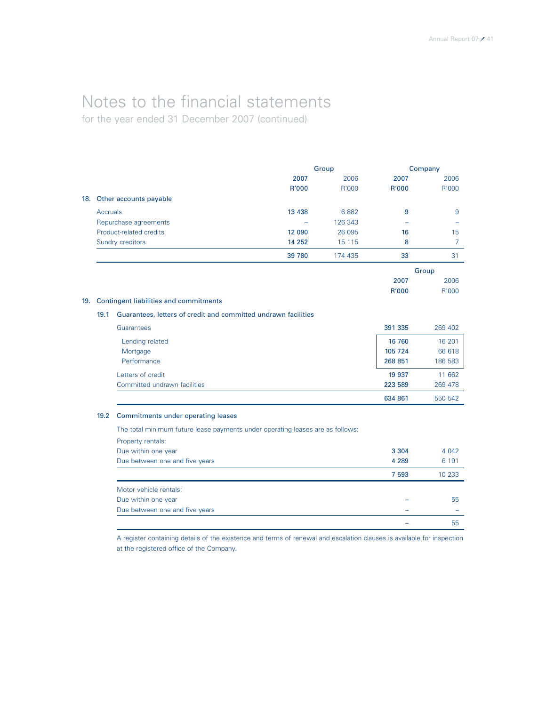for the year ended 31 December 2007 (continued)

|          |                                                                                | Group   |         | Company |         |
|----------|--------------------------------------------------------------------------------|---------|---------|---------|---------|
|          |                                                                                | 2007    | 2006    | 2007    | 2006    |
|          |                                                                                | R'000   | R'000   | R'000   | R'000   |
|          | 18. Other accounts payable                                                     |         |         |         |         |
| Accruals |                                                                                | 13 4 38 | 6882    | 9       | 9       |
|          | Repurchase agreements                                                          |         | 126 343 |         |         |
|          | Product-related credits                                                        | 12 090  | 26 095  | 16      | 15      |
|          | Sundry creditors                                                               | 14 252  | 15 115  | 8       | 7       |
|          |                                                                                | 39 780  | 174 435 | 33      | 31      |
|          |                                                                                |         |         |         | Group   |
|          |                                                                                |         |         | 2007    | 2006    |
|          |                                                                                |         |         | R'000   | R'000   |
| 19.      | Contingent liabilities and commitments                                         |         |         |         |         |
| 19.1     | Guarantees, letters of credit and committed undrawn facilities                 |         |         |         |         |
|          | Guarantees                                                                     |         |         | 391 335 | 269 402 |
|          | Lending related                                                                |         |         | 16 760  | 16 201  |
|          | Mortgage                                                                       |         |         | 105 724 | 66 618  |
|          | Performance                                                                    |         |         | 268 851 | 186 583 |
|          | Letters of credit                                                              |         |         | 19 937  | 11 662  |
|          | Committed undrawn facilities                                                   |         |         | 223 589 | 269 478 |
|          |                                                                                |         |         | 634 861 | 550 542 |
| 19.2     | Commitments under operating leases                                             |         |         |         |         |
|          | The total minimum future lease payments under operating leases are as follows: |         |         |         |         |
|          | Property rentals:                                                              |         |         |         |         |
|          | Due within one year                                                            |         |         | 3 3 0 4 | 4 0 4 2 |
|          | Due between one and five years                                                 |         |         | 4 2 8 9 | 6 1 9 1 |
|          |                                                                                |         |         | 7 5 9 3 | 10 233  |
|          | Motor vehicle rentals:                                                         |         |         |         |         |
|          | Due within one year                                                            |         |         |         | 55      |
|          | Due between one and five years                                                 |         |         |         |         |
|          |                                                                                |         |         |         | 55      |

A register containing details of the existence and terms of renewal and escalation clauses is available for inspection at the registered office of the Company.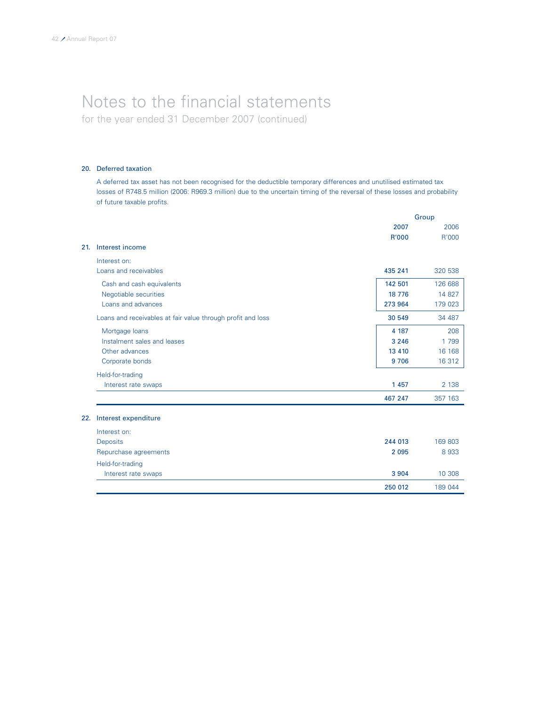for the year ended 31 December 2007 (continued)

## 20. Deferred taxation

A deferred tax asset has not been recognised for the deductible temporary differences and unutilised estimated tax losses of R748.5 million (2006: R969.3 million) due to the uncertain timing of the reversal of these losses and probability of future taxable profits.

|                                                             |               | Group         |
|-------------------------------------------------------------|---------------|---------------|
|                                                             | 2007<br>R'000 | 2006<br>R'000 |
| Interest income<br>21.                                      |               |               |
| Interest on:                                                |               |               |
| Loans and receivables                                       | 435 241       | 320 538       |
| Cash and cash equivalents                                   | 142 501       | 126 688       |
| Negotiable securities                                       | 18 7 76       | 14 827        |
| Loans and advances                                          | 273 964       | 179 023       |
| Loans and receivables at fair value through profit and loss | 30 549        | 34 487        |
| Mortgage loans                                              | 4 187         | 208           |
| Instalment sales and leases                                 | 3 2 4 6       | 1799          |
| Other advances                                              | 13 4 10       | 16 168        |
| Corporate bonds                                             | 9706          | 16 312        |
| Held-for-trading                                            |               |               |
| Interest rate swaps                                         | 1 4 5 7       | 2 1 3 8       |
|                                                             | 467 247       | 357 163       |
| 22.<br>Interest expenditure                                 |               |               |
| Interest on:                                                |               |               |
| Deposits                                                    | 244 013       | 169 803       |
| Repurchase agreements                                       | 2 0 9 5       | 8933          |
| Held-for-trading                                            |               |               |
| Interest rate swaps                                         | 3 9 0 4       | 10 308        |
|                                                             | 250 012       | 189 044       |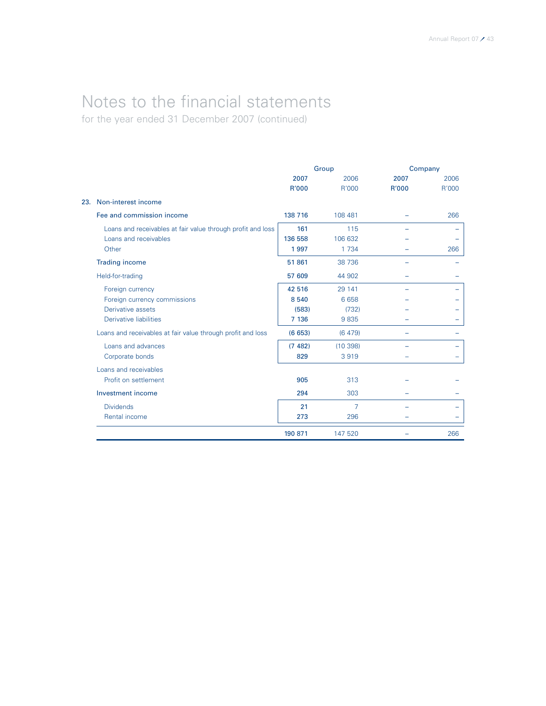|                                                             |         | Group          | Company |       |
|-------------------------------------------------------------|---------|----------------|---------|-------|
|                                                             | 2007    | 2006           | 2007    | 2006  |
|                                                             | R'000   | R'000          | R'000   | R'000 |
| Non-interest income                                         |         |                |         |       |
| Fee and commission income                                   | 138 716 | 108 481        |         | 266   |
| Loans and receivables at fair value through profit and loss | 161     | 115            |         |       |
| Loans and receivables                                       | 136 558 | 106 632        |         |       |
| Other                                                       | 1997    | 1 7 3 4        |         | 266   |
| <b>Trading income</b>                                       | 51 861  | 38 736         |         |       |
| Held-for-trading                                            | 57 609  | 44 902         |         |       |
| Foreign currency                                            | 42 516  | 29 14 1        |         |       |
| Foreign currency commissions                                | 8 5 4 0 | 6658           |         |       |
| Derivative assets                                           | (583)   | (732)          |         |       |
| Derivative liabilities                                      | 7 136   | 9835           |         |       |
| Loans and receivables at fair value through profit and loss | (6653)  | (6479)         |         |       |
| Loans and advances                                          | (7482)  | (10398)        |         |       |
| Corporate bonds                                             | 829     | 3919           |         |       |
| Loans and receivables                                       |         |                |         |       |
| Profit on settlement                                        | 905     | 313            |         |       |
| Investment income                                           | 294     | 303            |         |       |
| <b>Dividends</b>                                            | 21      | $\overline{7}$ |         |       |
| Rental income                                               | 273     | 296            |         |       |
|                                                             | 190 871 | 147 520        |         | 266   |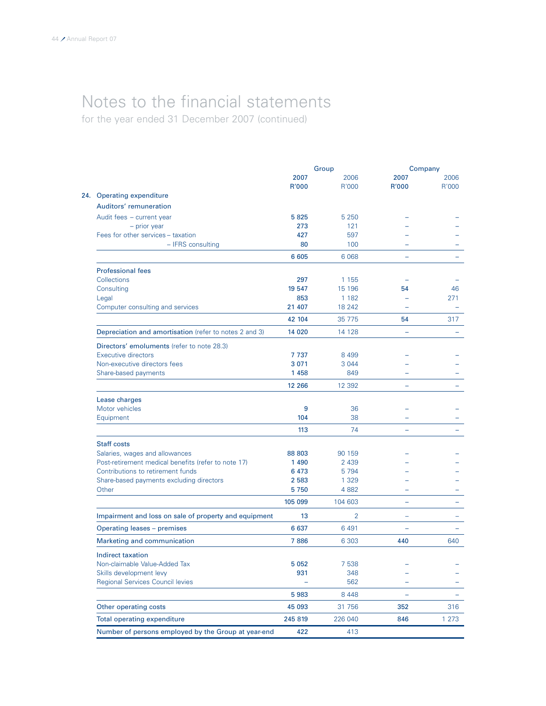|                                                                               | Group              |                    | Company |         |
|-------------------------------------------------------------------------------|--------------------|--------------------|---------|---------|
|                                                                               | 2007               | 2006               | 2007    | 2006    |
|                                                                               | R'000              | R'000              | R'000   | R'000   |
| 24. Operating expenditure                                                     |                    |                    |         |         |
| Auditors' remuneration                                                        |                    |                    |         |         |
| Audit fees - current year                                                     | 5825               | 5 2 5 0            |         |         |
| - prior year                                                                  | 273                | 121                |         |         |
| Fees for other services - taxation                                            | 427                | 597                |         |         |
| - IFRS consulting                                                             | 80<br>6 6 0 5      | 100<br>6 0 68      |         |         |
| <b>Professional fees</b>                                                      |                    |                    |         |         |
| Collections                                                                   | 297                | 1 1 5 5            |         |         |
| Consulting                                                                    | 19 547             | 15 196             | 54      | 46      |
| Legal                                                                         | 853                | 1 1 8 2            |         | 271     |
| Computer consulting and services                                              | 21 407             | 18 24 2            |         |         |
|                                                                               | 42 104             | 35 775             | 54      | 317     |
| Depreciation and amortisation (refer to notes 2 and 3)                        | 14 0 20            | 14 128             | -       |         |
| Directors' emoluments (refer to note 28.3)                                    |                    |                    |         |         |
| <b>Executive directors</b>                                                    | 7737               | 8 4 9 9            |         |         |
| Non-executive directors fees                                                  | 3 0 7 1            | 3 0 4 4            |         |         |
| Share-based payments                                                          | 1 4 5 8            | 849                |         |         |
|                                                                               | 12 2 66            | 12 3 9 2           |         |         |
| Lease charges                                                                 |                    |                    |         |         |
| Motor vehicles                                                                | 9                  | 36                 |         |         |
| Equipment                                                                     | 104                | 38                 |         |         |
|                                                                               | 113                | 74                 |         |         |
| <b>Staff costs</b>                                                            |                    |                    |         |         |
| Salaries, wages and allowances                                                | 88 803             | 90 159             |         |         |
| Post-retirement medical benefits (refer to note 17)                           | 1 4 9 0<br>6 4 7 3 | 2 4 3 9<br>5 7 9 4 |         |         |
| Contributions to retirement funds<br>Share-based payments excluding directors | 2 5 8 3            | 1 3 2 9            |         |         |
| Other                                                                         | 5750               | 4 8 8 2            |         |         |
|                                                                               | 105 099            | 104 603            |         |         |
| Impairment and loss on sale of property and equipment                         | 13                 | $\overline{2}$     |         |         |
| <b>Operating leases - premises</b>                                            | 6 6 3 7            | 6 4 9 1            |         |         |
| Marketing and communication                                                   | 7886               | 6 3 0 3            | 440     | 640     |
| Indirect taxation                                                             |                    |                    |         |         |
| Non-claimable Value-Added Tax                                                 | 5 0 5 2            | 7 5 38             |         |         |
| Skills development levy                                                       | 931                | 348                |         |         |
| <b>Regional Services Council levies</b>                                       |                    | 562                |         |         |
|                                                                               | 5983               | 8 4 4 8            | -       |         |
| Other operating costs                                                         | 45 093             | 31 756             | 352     | 316     |
| <b>Total operating expenditure</b>                                            | 245 819            | 226 040            | 846     | 1 2 7 3 |
| Number of persons employed by the Group at year-end                           | 422                | 413                |         |         |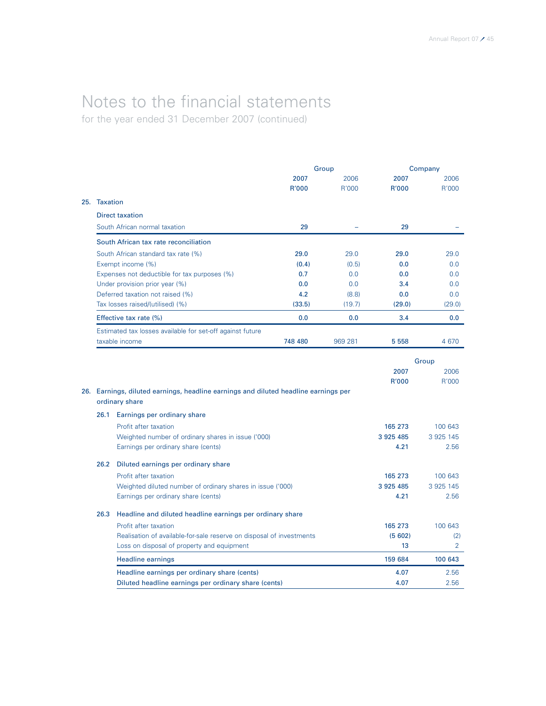|              |                                                                      |              | Group   |               | Company       |
|--------------|----------------------------------------------------------------------|--------------|---------|---------------|---------------|
|              |                                                                      | 2007         | 2006    | 2007          | 2006          |
|              |                                                                      | <b>R'000</b> | R'000   | R'000         | R'000         |
| 25. Taxation |                                                                      |              |         |               |               |
|              | <b>Direct taxation</b>                                               |              |         |               |               |
|              | South African normal taxation                                        | 29           |         | 29            |               |
|              | South African tax rate reconciliation                                |              |         |               |               |
|              | South African standard tax rate (%)                                  | 29.0         | 29.0    | 29.0          | 29.0          |
|              | Exempt income (%)                                                    | (0.4)        | (0.5)   | 0.0           | 0.0           |
|              | Expenses not deductible for tax purposes (%)                         | 0.7          | 0.0     | 0.0           | 0.0           |
|              | Under provision prior year (%)                                       | 0.0          | 0.0     | 3.4           | 0.0           |
|              | Deferred taxation not raised (%)                                     | 4.2          | (8.8)   | 0.0           | 0.0           |
|              | Tax losses raised/(utilised) (%)                                     | (33.5)       | (19.7)  | (29.0)        | (29.0)        |
|              | Effective tax rate (%)                                               | 0.0          | 0.0     | 3.4           | 0.0           |
|              | Estimated tax losses available for set-off against future            |              |         |               |               |
|              | taxable income                                                       | 748 480      | 969 281 | 5 5 5 8       | 4 6 7 0       |
|              | ordinary share                                                       |              |         |               |               |
| 26.1         | Earnings per ordinary share                                          |              |         |               |               |
|              | Profit after taxation                                                |              |         | 165 273       | 100 643       |
|              | Weighted number of ordinary shares in issue ('000)                   |              |         | 3 925 485     | 3 9 2 5 1 4 5 |
|              | Earnings per ordinary share (cents)                                  |              |         | 4.21          | 2.56          |
| 26.2         | Diluted earnings per ordinary share                                  |              |         |               |               |
|              | Profit after taxation                                                |              |         | 165 273       | 100 643       |
|              | Weighted diluted number of ordinary shares in issue ('000)           |              |         | 3 9 2 5 4 8 5 | 3 9 2 5 1 4 5 |
|              | Earnings per ordinary share (cents)                                  |              |         | 4.21          | 2.56          |
| 26.3         | Headline and diluted headline earnings per ordinary share            |              |         |               |               |
|              | Profit after taxation                                                |              |         | 165 273       | 100 643       |
|              | Realisation of available-for-sale reserve on disposal of investments |              |         | (5602)        | (2)           |
|              | Loss on disposal of property and equipment                           |              |         | 13            | 2             |
|              | <b>Headline earnings</b>                                             |              |         | 159 684       | 100 643       |
|              | Headline earnings per ordinary share (cents)                         |              |         | 4.07          |               |
|              |                                                                      |              |         |               | 2.56          |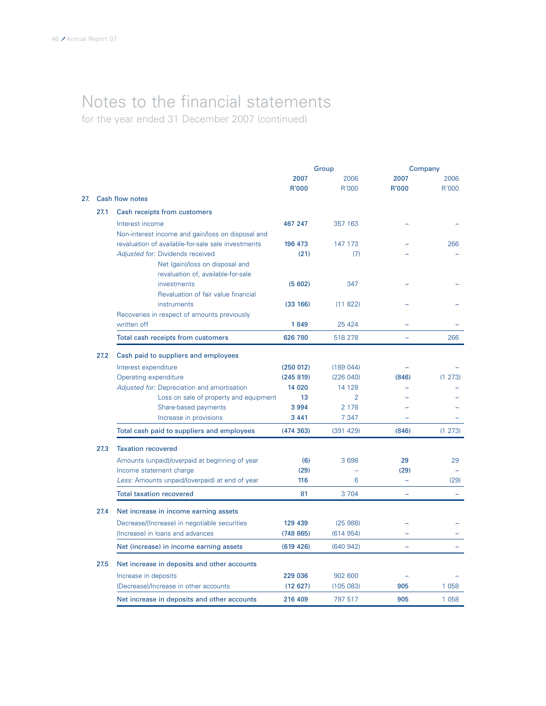|      |                                                            |           | Group     | Company |         |
|------|------------------------------------------------------------|-----------|-----------|---------|---------|
|      |                                                            | 2007      | 2006      | 2007    | 2006    |
|      |                                                            | R'000     | R'000     | R'000   | R'000   |
| 27.  | Cash flow notes                                            |           |           |         |         |
| 27.1 | Cash receipts from customers                               |           |           |         |         |
|      | Interest income                                            | 467 247   | 357 163   |         |         |
|      | Non-interest income and gain/loss on disposal and          |           |           |         |         |
|      | revaluation of available-for-sale sale investments         | 196 473   | 147 173   |         | 266     |
|      | Adjusted for: Dividends received                           | (21)      | (7)       |         |         |
|      | Net (gain)/loss on disposal and                            |           |           |         |         |
|      | revaluation of, available-for-sale                         |           |           |         |         |
|      | investments                                                | (5602)    | 347       |         |         |
|      | Revaluation of fair value financial                        |           |           |         |         |
|      | instruments                                                | (33 166)  | (11822)   |         |         |
|      | Recoveries in respect of amounts previously<br>written off | 1849      | 25 4 24   |         |         |
|      |                                                            |           |           |         |         |
|      | Total cash receipts from customers                         | 626 780   | 518 278   |         | 266     |
| 27.2 | Cash paid to suppliers and employees                       |           |           |         |         |
|      | Interest expenditure                                       | (250012)  | (189044)  |         |         |
|      | Operating expenditure                                      | (245 819) | (226040)  | (846)   | (1 273) |
|      | Adjusted for: Depreciation and amortisation                | 14 0 20   | 14 128    |         |         |
|      | Loss on sale of property and equipment                     | 13        | 2         |         |         |
|      | Share-based payments                                       | 3 9 9 4   | 2 1 7 8   |         |         |
|      | Increase in provisions                                     | 3 4 4 1   | 7 3 4 7   |         |         |
|      | Total cash paid to suppliers and employees                 | (474363)  | (391 429) | (846)   | (1 273) |
| 27.3 | <b>Taxation recovered</b>                                  |           |           |         |         |
|      | Amounts (unpaid)/overpaid at beginning of year             | (6)       | 3698      | 29      | 29      |
|      | Income statement charge                                    | (29)      |           | (29)    |         |
|      | Less: Amounts unpaid/(overpaid) at end of year             | 116       | 6         |         | (29)    |
|      | <b>Total taxation recovered</b>                            | 81        | 3 7 0 4   |         |         |
| 27.4 | Net increase in income earning assets                      |           |           |         |         |
|      | Decrease/(Increase) in negotiable securities               | 129 439   | (25988)   |         |         |
|      | (Increase) in loans and advances                           | (748 865) | (614954)  |         |         |
|      | Net (increase) in income earning assets                    | (619 426) | (640942)  |         |         |
|      |                                                            |           |           |         |         |
| 27.5 | Net increase in deposits and other accounts                |           |           |         |         |
|      | Increase in deposits                                       | 229 036   | 902 600   |         |         |
|      | (Decrease)/Increase in other accounts                      | (12627)   | (105 083) | 905     | 1 0 5 8 |
|      | Net increase in deposits and other accounts                | 216 409   | 797 517   | 905     | 1 0 5 8 |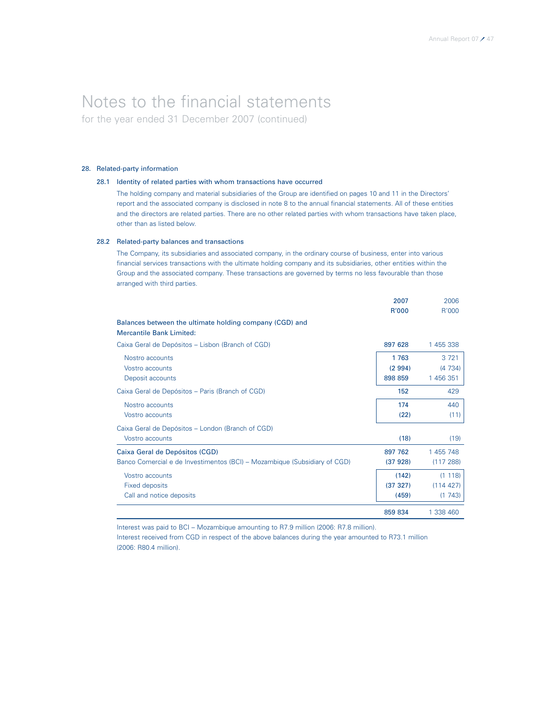for the year ended 31 December 2007 (continued)

## 28. Related-party information

## 28.1 Identity of related parties with whom transactions have occurred

The holding company and material subsidiaries of the Group are identified on pages 10 and 11 in the Directors' report and the associated company is disclosed in note 8 to the annual financial statements. All of these entities and the directors are related parties. There are no other related parties with whom transactions have taken place, other than as listed below.

## 28.2 Related-party balances and transactions

The Company, its subsidiaries and associated company, in the ordinary course of business, enter into various financial services transactions with the ultimate holding company and its subsidiaries, other entities within the Group and the associated company. These transactions are governed by terms no less favourable than those arranged with third parties.

|                                                                                                             | 2007                       | 2006                           |
|-------------------------------------------------------------------------------------------------------------|----------------------------|--------------------------------|
|                                                                                                             | R'000                      | R'000                          |
| Balances between the ultimate holding company (CGD) and<br><b>Mercantile Bank Limited:</b>                  |                            |                                |
| Caixa Geral de Depósitos - Lisbon (Branch of CGD)                                                           | 897 628                    | 1 455 338                      |
| Nostro accounts<br>Vostro accounts<br>Deposit accounts                                                      | 1763<br>(2994)<br>898 859  | 3 7 2 1<br>(4734)<br>1 456 351 |
| Caixa Geral de Depósitos - Paris (Branch of CGD)                                                            | 152                        | 429                            |
| Nostro accounts<br>Vostro accounts                                                                          | 174<br>(22)                | 440<br>(11)                    |
| Caixa Geral de Depósitos - London (Branch of CGD)<br>Vostro accounts                                        | (18)                       | (19)                           |
| Caixa Geral de Depósitos (CGD)<br>Banco Comercial e de Investimentos (BCI) – Mozambique (Subsidiary of CGD) | 897 762<br>(37928)         | 1 455 748<br>(117288)          |
| Vostro accounts<br><b>Fixed deposits</b><br>Call and notice deposits                                        | (142)<br>(37 327)<br>(459) | (1118)<br>(114 427)<br>(1743)  |
|                                                                                                             | 859 834                    | 1 338 460                      |

Interest was paid to BCI – Mozambique amounting to R7.9 million (2006: R7.8 million).

Interest received from CGD in respect of the above balances during the year amounted to R73.1 million (2006: R80.4 million).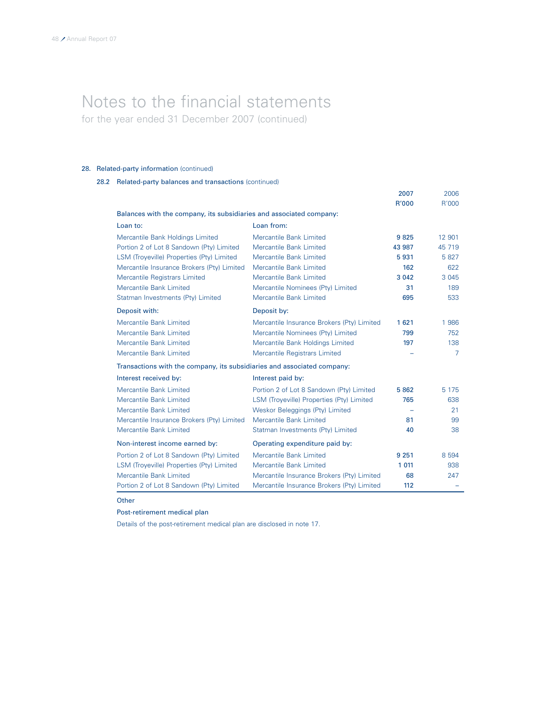for the year ended 31 December 2007 (continued)

## 28. Related-party information (continued)

## 28.2 Related-party balances and transactions (continued)

|                                                                         |                                            | 2007    | 2006           |
|-------------------------------------------------------------------------|--------------------------------------------|---------|----------------|
|                                                                         |                                            | R'000   | R'000          |
| Balances with the company, its subsidiaries and associated company:     |                                            |         |                |
| Loan to:                                                                | Loan from:                                 |         |                |
| Mercantile Bank Holdings Limited                                        | <b>Mercantile Bank Limited</b>             | 9825    | 12 901         |
| Portion 2 of Lot 8 Sandown (Pty) Limited                                | <b>Mercantile Bank Limited</b>             | 43 987  | 45 719         |
| LSM (Troyeville) Properties (Pty) Limited                               | Mercantile Bank Limited                    | 5931    | 5827           |
| Mercantile Insurance Brokers (Pty) Limited                              | Mercantile Bank Limited                    | 162     | 622            |
| Mercantile Registrars Limited                                           | Mercantile Bank Limited                    | 3 0 4 2 | 3 0 4 5        |
| Mercantile Bank Limited                                                 | Mercantile Nominees (Pty) Limited          | 31      | 189            |
| Statman Investments (Pty) Limited                                       | Mercantile Bank Limited                    | 695     | 533            |
| Deposit with:                                                           | Deposit by:                                |         |                |
| Mercantile Bank Limited                                                 | Mercantile Insurance Brokers (Pty) Limited | 1621    | 1986           |
| Mercantile Bank Limited                                                 | Mercantile Nominees (Pty) Limited          | 799     | 752            |
| Mercantile Bank Limited                                                 | Mercantile Bank Holdings Limited           | 197     | 138            |
| Mercantile Bank Limited                                                 | Mercantile Registrars Limited              |         | $\overline{7}$ |
| Transactions with the company, its subsidiaries and associated company: |                                            |         |                |
| Interest received by:                                                   | Interest paid by:                          |         |                |
| Mercantile Bank Limited                                                 | Portion 2 of Lot 8 Sandown (Pty) Limited   | 5862    | 5 1 7 5        |
| Mercantile Bank Limited                                                 | LSM (Troyeville) Properties (Pty) Limited  | 765     | 638            |
| Mercantile Bank Limited                                                 | Weskor Beleggings (Pty) Limited            |         | 21             |
| Mercantile Insurance Brokers (Pty) Limited                              | <b>Mercantile Bank Limited</b>             | 81      | 99             |
| <b>Mercantile Bank Limited</b>                                          | Statman Investments (Pty) Limited          | 40      | 38             |
| Non-interest income earned by:                                          | Operating expenditure paid by:             |         |                |
| Portion 2 of Lot 8 Sandown (Pty) Limited                                | Mercantile Bank Limited                    | 9 2 5 1 | 8 5 9 4        |
| LSM (Troyeville) Properties (Pty) Limited                               | <b>Mercantile Bank Limited</b>             | 1 0 1 1 | 938            |
| Mercantile Bank Limited                                                 | Mercantile Insurance Brokers (Pty) Limited | 68      | 247            |
| Portion 2 of Lot 8 Sandown (Pty) Limited                                | Mercantile Insurance Brokers (Pty) Limited | 112     |                |

## **Other**

## Post-retirement medical plan

Details of the post-retirement medical plan are disclosed in note 17.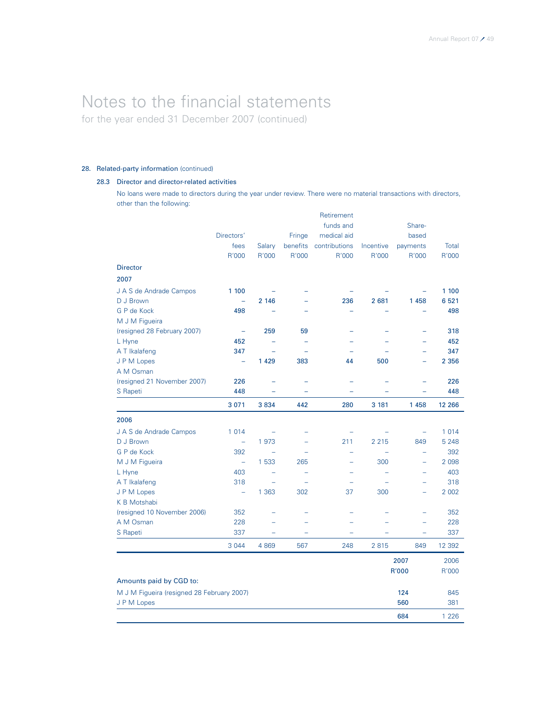for the year ended 31 December 2007 (continued)

## 28. Related-party information (continued)

## 28.3 Director and director-related activities

No loans were made to directors during the year under review. There were no material transactions with directors, other than the following:

|                                            | Directors'               |                   | Fringe   | Retirement<br>funds and<br>medical aid |           | Share-<br>based          |          |
|--------------------------------------------|--------------------------|-------------------|----------|----------------------------------------|-----------|--------------------------|----------|
|                                            | fees                     | Salary            | benefits | contributions                          | Incentive | payments                 | Total    |
|                                            | R'000                    | R'000             | R'000    | R'000                                  | R'000     | R'000                    | R'000    |
| <b>Director</b>                            |                          |                   |          |                                        |           |                          |          |
| 2007                                       |                          |                   |          |                                        |           |                          |          |
| J A S de Andrade Campos                    | 1 100                    |                   |          |                                        |           |                          | 1 100    |
| D J Brown                                  | $\equiv$                 | 2 146             |          | 236                                    | 2 681     | 1 4 5 8                  | 6521     |
| G P de Kock                                | 498                      | L.                |          | $\overline{\phantom{a}}$               | L.        | $\overline{a}$           | 498      |
| M J M Figueira                             |                          |                   |          |                                        |           |                          |          |
| (resigned 28 February 2007)                | ÷                        | 259               | 59       |                                        |           | -                        | 318      |
| L Hyne                                     | 452                      |                   |          |                                        |           |                          | 452      |
| A T Ikalafeng                              | 347                      |                   |          |                                        |           |                          | 347      |
| J P M Lopes                                | ÷,                       | 1429              | 383      | 44                                     | 500       |                          | 2 3 5 6  |
| A M Osman                                  |                          |                   |          |                                        |           |                          |          |
| (resigned 21 November 2007)                | 226                      |                   |          |                                        |           |                          | 226      |
| S Rapeti                                   | 448                      |                   |          |                                        |           |                          | 448      |
|                                            | 3 0 7 1                  | 3834              | 442      | 280                                    | 3 181     | 1 4 5 8                  | 12 266   |
| 2006                                       |                          |                   |          |                                        |           |                          |          |
| J A S de Andrade Campos                    | 1 0 1 4                  | $\qquad \qquad -$ | L,       | Ē,                                     | ÷,        | $\equiv$                 | 1 0 1 4  |
| D J Brown                                  | $\overline{\phantom{0}}$ | 1973              |          | 211                                    | 2 2 1 5   | 849                      | 5 2 4 8  |
| G P de Kock                                | 392                      | ÷                 |          |                                        | Ξ         | $\overline{\phantom{0}}$ | 392      |
| M J M Figueira                             | $\overline{\phantom{0}}$ | 1 533             | 265      |                                        | 300       | —                        | 2 0 9 8  |
| L Hyne                                     | 403                      | $\equiv$          |          |                                        |           |                          | 403      |
| A T Ikalafeng                              | 318                      | $\equiv$          | L.       |                                        | L.        | $\overline{\phantom{0}}$ | 318      |
| J P M Lopes                                | $\overline{\phantom{m}}$ | 1 3 6 3           | 302      | 37                                     | 300       | $\equiv$                 | 2 0 0 2  |
| K B Motshabi                               |                          |                   |          |                                        |           |                          |          |
| (resigned 10 November 2006)                | 352                      |                   |          |                                        |           |                          | 352      |
| A M Osman                                  | 228                      |                   |          |                                        |           |                          | 228      |
| S Rapeti                                   | 337                      |                   |          | ۰                                      |           |                          | 337      |
|                                            | 3 0 4 4                  | 4 8 6 9           | 567      | 248                                    | 2815      | 849                      | 12 3 9 2 |
|                                            |                          |                   |          |                                        |           | 2007                     | 2006     |
|                                            |                          |                   |          |                                        |           | R'000                    | R'000    |
| Amounts paid by CGD to:                    |                          |                   |          |                                        |           |                          |          |
| M J M Figueira (resigned 28 February 2007) |                          |                   |          |                                        |           | 124                      | 845      |
| J P M Lopes                                |                          |                   |          |                                        |           | 560                      | 381      |
|                                            |                          |                   |          |                                        |           | 684                      | 1 2 2 6  |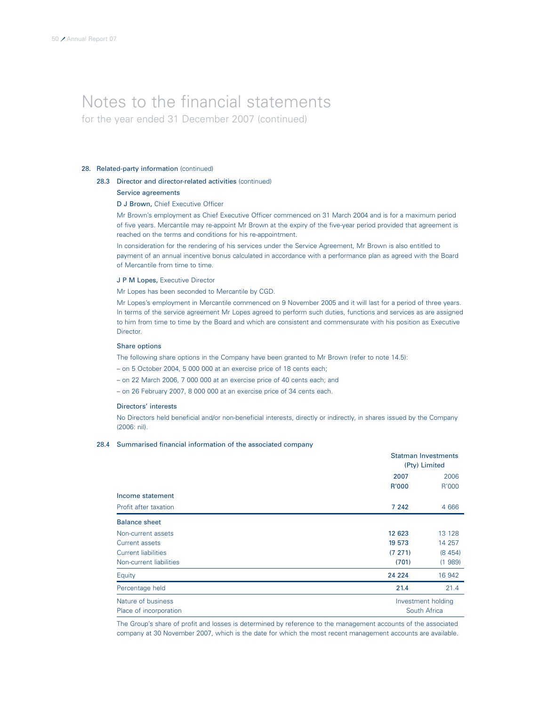for the year ended 31 December 2007 (continued)

#### 28. Related-party information (continued)

## 28.3 Director and director-related activities (continued)

### Service agreements

### D J Brown, Chief Executive Officer

Mr Brown's employment as Chief Executive Officer commenced on 31 March 2004 and is for a maximum period of five years. Mercantile may re-appoint Mr Brown at the expiry of the five-year period provided that agreement is reached on the terms and conditions for his re-appointment.

In consideration for the rendering of his services under the Service Agreement, Mr Brown is also entitled to payment of an annual incentive bonus calculated in accordance with a performance plan as agreed with the Board of Mercantile from time to time.

J P M Lopes, Executive Director

Mr Lopes has been seconded to Mercantile by CGD.

Mr Lopes's employment in Mercantile commenced on 9 November 2005 and it will last for a period of three years. In terms of the service agreement Mr Lopes agreed to perform such duties, functions and services as are assigned to him from time to time by the Board and which are consistent and commensurate with his position as Executive Director.

### Share options

The following share options in the Company have been granted to Mr Brown (refer to note 14.5):

- on 5 October 2004, 5 000 000 at an exercise price of 18 cents each;
- on 22 March 2006, 7 000 000 at an exercise price of 40 cents each; and
- on 26 February 2007, 8 000 000 at an exercise price of 34 cents each.

## Directors' interests

No Directors held beneficial and/or non-beneficial interests, directly or indirectly, in shares issued by the Company (2006: nil).

### 28.4 Summarised financial information of the associated company

|                            | <b>Statman Investments</b><br>(Pty) Limited |                    |  |  |
|----------------------------|---------------------------------------------|--------------------|--|--|
|                            | 2007                                        | 2006               |  |  |
|                            | R'000                                       | R'000              |  |  |
| Income statement           |                                             |                    |  |  |
| Profit after taxation      | 7 2 4 2                                     | 4 6 6 6            |  |  |
| <b>Balance sheet</b>       |                                             |                    |  |  |
| Non-current assets         | 12 623                                      | 13 128             |  |  |
| Current assets             | 19 573                                      | 14 257             |  |  |
| <b>Current liabilities</b> | (7271)                                      | (8454)             |  |  |
| Non-current liabilities    | (701)                                       | (1989)             |  |  |
| Equity                     | 24 2 24                                     | 16 942             |  |  |
| Percentage held            | 21.4                                        | 21.4               |  |  |
| Nature of business         |                                             | Investment holding |  |  |
| Place of incorporation     | South Africa                                |                    |  |  |

The Group's share of profit and losses is determined by reference to the management accounts of the associated company at 30 November 2007, which is the date for which the most recent management accounts are available.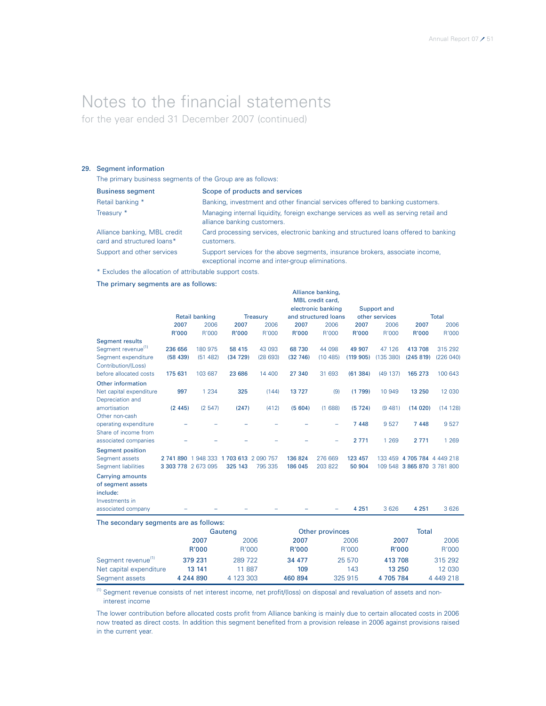for the year ended 31 December 2007 (continued)

## 29. Segment information

The primary business segments of the Group are as follows:

| <b>Business segment</b>                                    | Scope of products and services                                                                                                    |
|------------------------------------------------------------|-----------------------------------------------------------------------------------------------------------------------------------|
| Retail banking *                                           | Banking, investment and other financial services offered to banking customers.                                                    |
| Treasury *                                                 | Managing internal liquidity, foreign exchange services as well as serving retail and<br>alliance banking customers.               |
| Alliance banking, MBL credit<br>card and structured loans* | Card processing services, electronic banking and structured loans offered to banking<br>customers.                                |
| Support and other services                                 | Support services for the above segments, insurance brokers, associate income,<br>exceptional income and inter-group eliminations. |

\* Excludes the allocation of attributable support costs.

The primary segments are as follows:

| no primary cognionto are ao ronowo.                                        |         |                                         |           |                 |         | Alliance banking,       |          |                    |                             |               |
|----------------------------------------------------------------------------|---------|-----------------------------------------|-----------|-----------------|---------|-------------------------|----------|--------------------|-----------------------------|---------------|
|                                                                            |         |                                         |           |                 |         | <b>MBL</b> credit card. |          |                    |                             |               |
|                                                                            |         |                                         |           |                 |         | electronic banking      |          | <b>Support and</b> |                             |               |
|                                                                            |         | <b>Retail banking</b>                   |           | <b>Treasury</b> |         | and structured loans    |          | other services     |                             | <b>Total</b>  |
|                                                                            | 2007    | 2006                                    | 2007      | 2006            | 2007    | 2006                    | 2007     | 2006               | 2007                        | 2006          |
|                                                                            | R'000   | R'000                                   | R'000     | R'000           | R'000   | R'000                   | R'000    | R'000              | R'000                       | R'000         |
| <b>Segment results</b><br>Segment revenue <sup>(1)</sup>                   | 236 656 | 180 975                                 | 58 415    | 43 093          | 68 730  | 44 098                  | 49 907   | 47 126             | 413 708                     | 315 292       |
| Segment expenditure<br>Contribution/(Loss)                                 | (58439) | (51 482)                                | (34729)   | (28693)         | (32746) | (10485)                 | (119905) | (135 380)          | (245 819)                   | (226040)      |
| before allocated costs                                                     | 175 631 | 103 687                                 | 23 686    | 14 400          | 27 340  | 31 693                  | (61384)  | (49137)            | 165 273                     | 100 643       |
| Other information                                                          |         |                                         |           |                 |         |                         |          |                    |                             |               |
| Net capital expenditure<br>Depreciation and                                | 997     | 1 2 3 4                                 | 325       | (144)           | 13727   | (9)                     | (1799)   | 10 949             | 13 250                      | 12 030        |
| amortisation<br>Other non-cash                                             | (2445)  | (2547)                                  | (247)     | (412)           | (5604)  | (1688)                  | (5724)   | (9481)             | (14020)                     | (14 128)      |
| operating expenditure                                                      |         |                                         |           |                 |         |                         | 7448     | 9527               | 7 4 4 8                     | 9527          |
| Share of income from                                                       |         |                                         |           |                 |         |                         |          |                    |                             |               |
| associated companies                                                       |         |                                         |           |                 |         |                         | 2 7 7 1  | 1 2 6 9            | 2771                        | 1 2 6 9       |
| <b>Segment position</b>                                                    |         |                                         |           |                 |         |                         |          |                    |                             |               |
| Segment assets                                                             |         | 2 741 890 1 948 333 1 703 613 2 090 757 |           |                 | 136 824 | 276 669                 | 123 457  |                    | 133 459 4 705 784 4 449 218 |               |
| <b>Segment liabilities</b>                                                 |         | 3 303 778 2 673 095                     | 325 143   | 795 335         | 186 045 | 203 822                 | 50 904   |                    | 109 548 3 865 870 3 781 800 |               |
| <b>Carrying amounts</b><br>of segment assets<br>include:<br>Investments in |         |                                         |           |                 |         |                         |          |                    |                             |               |
| associated company                                                         |         |                                         |           |                 |         |                         | 4 2 5 1  | 3 6 2 6            | 4 2 5 1                     | 3 6 2 6       |
| The secondary segments are as follows:                                     |         |                                         |           |                 |         |                         |          |                    |                             |               |
|                                                                            |         |                                         | Gauteng   |                 |         | Other provinces         |          |                    | <b>Total</b>                |               |
|                                                                            |         | 2007                                    |           | 2006            | 2007    |                         | 2006     |                    | 2007                        | 2006          |
|                                                                            |         | R'000                                   | R'000     |                 | R'000   |                         | R'000    | R'000              |                             | R'000         |
| Segment revenue <sup>(1)</sup>                                             |         | 379 231                                 | 289 722   |                 | 34 477  |                         | 25 570   | 413 708            |                             | 315 292       |
| Net capital expenditure                                                    |         | 13 141                                  | 11 887    |                 | 109     |                         | 143      | 13 250             |                             | 12 030        |
|                                                                            |         | 4 244 890                               | 4 123 303 |                 | 460 894 |                         | 325 915  | 4705784            |                             | 4 4 4 9 2 1 8 |
| Segment assets                                                             |         |                                         |           |                 |         |                         |          |                    |                             |               |

(1) Segment revenue consists of net interest income, net profit/(loss) on disposal and revaluation of assets and noninterest income

The lower contribution before allocated costs profit from Alliance banking is mainly due to certain allocated costs in 2006 now treated as direct costs. In addition this segment benefited from a provision release in 2006 against provisions raised in the current year.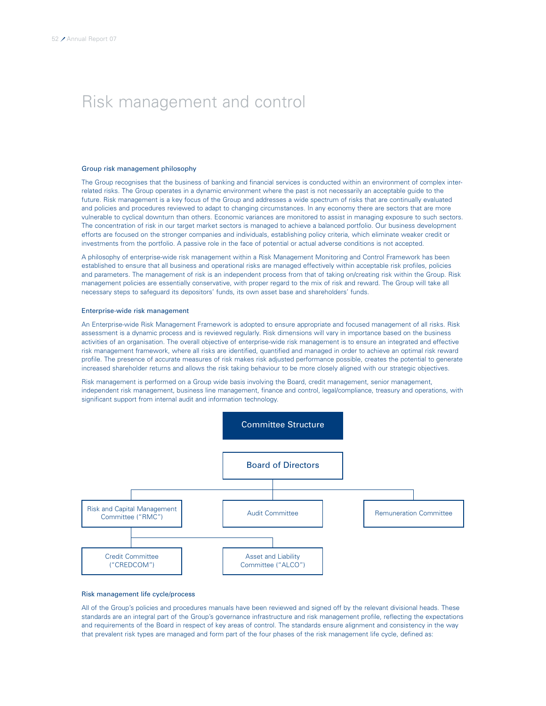## Risk management and control

#### Group risk management philosophy

The Group recognises that the business of banking and financial services is conducted within an environment of complex interrelated risks. The Group operates in a dynamic environment where the past is not necessarily an acceptable guide to the future. Risk management is a key focus of the Group and addresses a wide spectrum of risks that are continually evaluated and policies and procedures reviewed to adapt to changing circumstances. In any economy there are sectors that are more vulnerable to cyclical downturn than others. Economic variances are monitored to assist in managing exposure to such sectors. The concentration of risk in our target market sectors is managed to achieve a balanced portfolio. Our business development efforts are focused on the stronger companies and individuals, establishing policy criteria, which eliminate weaker credit or investments from the portfolio. A passive role in the face of potential or actual adverse conditions is not accepted.

A philosophy of enterprise-wide risk management within a Risk Management Monitoring and Control Framework has been established to ensure that all business and operational risks are managed effectively within acceptable risk profiles, policies and parameters. The management of risk is an independent process from that of taking on/creating risk within the Group. Risk management policies are essentially conservative, with proper regard to the mix of risk and reward. The Group will take all necessary steps to safeguard its depositors' funds, its own asset base and shareholders' funds.

### Enterprise-wide risk management

An Enterprise-wide Risk Management Framework is adopted to ensure appropriate and focused management of all risks. Risk assessment is a dynamic process and is reviewed regularly. Risk dimensions will vary in importance based on the business activities of an organisation. The overall objective of enterprise-wide risk management is to ensure an integrated and effective risk management framework, where all risks are identified, quantified and managed in order to achieve an optimal risk reward profile. The presence of accurate measures of risk makes risk adjusted performance possible, creates the potential to generate increased shareholder returns and allows the risk taking behaviour to be more closely aligned with our strategic objectives.

Risk management is performed on a Group wide basis involving the Board, credit management, senior management, independent risk management, business line management, finance and control, legal/compliance, treasury and operations, with significant support from internal audit and information technology.



## Risk management life cycle/process

All of the Group's policies and procedures manuals have been reviewed and signed off by the relevant divisional heads. These standards are an integral part of the Group's governance infrastructure and risk management profile, reflecting the expectations and requirements of the Board in respect of key areas of control. The standards ensure alignment and consistency in the way that prevalent risk types are managed and form part of the four phases of the risk management life cycle, defined as: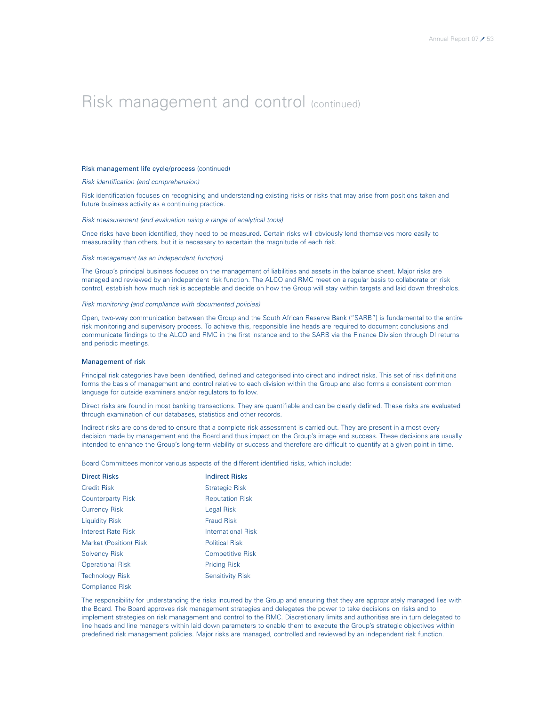#### Risk management life cycle/process (continued)

### Risk identification (and comprehension)

Risk identification focuses on recognising and understanding existing risks or risks that may arise from positions taken and future business activity as a continuing practice.

### Risk measurement (and evaluation using a range of analytical tools)

Once risks have been identified, they need to be measured. Certain risks will obviously lend themselves more easily to measurability than others, but it is necessary to ascertain the magnitude of each risk.

#### Risk management (as an independent function)

The Group's principal business focuses on the management of liabilities and assets in the balance sheet. Major risks are managed and reviewed by an independent risk function. The ALCO and RMC meet on a regular basis to collaborate on risk control, establish how much risk is acceptable and decide on how the Group will stay within targets and laid down thresholds.

### Risk monitoring (and compliance with documented policies)

Open, two-way communication between the Group and the South African Reserve Bank ("SARB") is fundamental to the entire risk monitoring and supervisory process. To achieve this, responsible line heads are required to document conclusions and communicate findings to the ALCO and RMC in the first instance and to the SARB via the Finance Division through DI returns and periodic meetings.

### Management of risk

Principal risk categories have been identified, defined and categorised into direct and indirect risks. This set of risk definitions forms the basis of management and control relative to each division within the Group and also forms a consistent common language for outside examiners and/or regulators to follow.

Direct risks are found in most banking transactions. They are quantifiable and can be clearly defined. These risks are evaluated through examination of our databases, statistics and other records.

Indirect risks are considered to ensure that a complete risk assessment is carried out. They are present in almost every decision made by management and the Board and thus impact on the Group's image and success. These decisions are usually intended to enhance the Group's long-term viability or success and therefore are difficult to quantify at a given point in time.

Board Committees monitor various aspects of the different identified risks, which include:

| <b>Direct Risks</b>           | <b>Indirect Risks</b>   |
|-------------------------------|-------------------------|
| <b>Credit Risk</b>            | <b>Strategic Risk</b>   |
| <b>Counterparty Risk</b>      | <b>Reputation Risk</b>  |
| Currency Risk                 | Legal Risk              |
| <b>Liquidity Risk</b>         | <b>Fraud Risk</b>       |
| <b>Interest Rate Risk</b>     | International Risk      |
| <b>Market (Position) Risk</b> | <b>Political Risk</b>   |
| <b>Solvency Risk</b>          | <b>Competitive Risk</b> |
| <b>Operational Risk</b>       | <b>Pricing Risk</b>     |
| Technology Risk               | <b>Sensitivity Risk</b> |
| <b>Compliance Risk</b>        |                         |

The responsibility for understanding the risks incurred by the Group and ensuring that they are appropriately managed lies with the Board. The Board approves risk management strategies and delegates the power to take decisions on risks and to implement strategies on risk management and control to the RMC. Discretionary limits and authorities are in turn delegated to line heads and line managers within laid down parameters to enable them to execute the Group's strategic objectives within predefined risk management policies. Major risks are managed, controlled and reviewed by an independent risk function.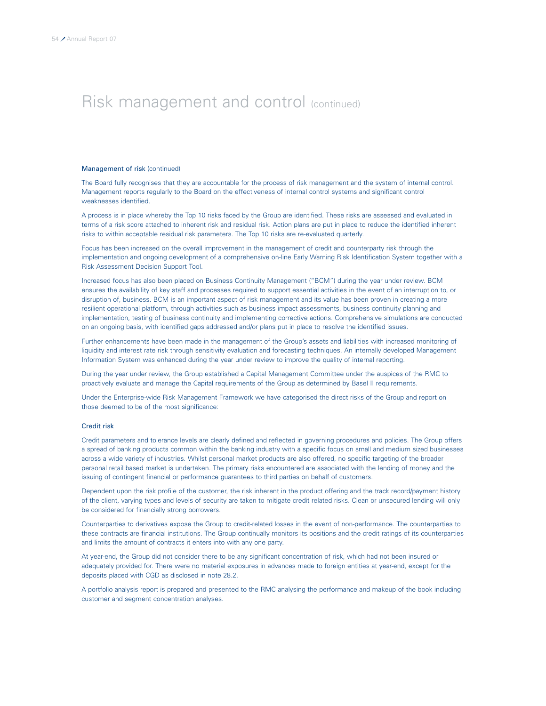#### Management of risk (continued)

The Board fully recognises that they are accountable for the process of risk management and the system of internal control. Management reports regularly to the Board on the effectiveness of internal control systems and significant control weaknesses identified.

A process is in place whereby the Top 10 risks faced by the Group are identified. These risks are assessed and evaluated in terms of a risk score attached to inherent risk and residual risk. Action plans are put in place to reduce the identified inherent risks to within acceptable residual risk parameters. The Top 10 risks are re-evaluated quarterly.

Focus has been increased on the overall improvement in the management of credit and counterparty risk through the implementation and ongoing development of a comprehensive on-line Early Warning Risk Identification System together with a Risk Assessment Decision Support Tool.

Increased focus has also been placed on Business Continuity Management ("BCM") during the year under review. BCM ensures the availability of key staff and processes required to support essential activities in the event of an interruption to, or disruption of, business. BCM is an important aspect of risk management and its value has been proven in creating a more resilient operational platform, through activities such as business impact assessments, business continuity planning and implementation, testing of business continuity and implementing corrective actions. Comprehensive simulations are conducted on an ongoing basis, with identified gaps addressed and/or plans put in place to resolve the identified issues.

Further enhancements have been made in the management of the Group's assets and liabilities with increased monitoring of liquidity and interest rate risk through sensitivity evaluation and forecasting techniques. An internally developed Management Information System was enhanced during the year under review to improve the quality of internal reporting.

During the year under review, the Group established a Capital Management Committee under the auspices of the RMC to proactively evaluate and manage the Capital requirements of the Group as determined by Basel II requirements.

Under the Enterprise-wide Risk Management Framework we have categorised the direct risks of the Group and report on those deemed to be of the most significance:

#### Credit risk

Credit parameters and tolerance levels are clearly defined and reflected in governing procedures and policies. The Group offers a spread of banking products common within the banking industry with a specific focus on small and medium sized businesses across a wide variety of industries. Whilst personal market products are also offered, no specific targeting of the broader personal retail based market is undertaken. The primary risks encountered are associated with the lending of money and the issuing of contingent financial or performance guarantees to third parties on behalf of customers.

Dependent upon the risk profile of the customer, the risk inherent in the product offering and the track record/payment history of the client, varying types and levels of security are taken to mitigate credit related risks. Clean or unsecured lending will only be considered for financially strong borrowers.

Counterparties to derivatives expose the Group to credit-related losses in the event of non-performance. The counterparties to these contracts are financial institutions. The Group continually monitors its positions and the credit ratings of its counterparties and limits the amount of contracts it enters into with any one party.

At year-end, the Group did not consider there to be any significant concentration of risk, which had not been insured or adequately provided for. There were no material exposures in advances made to foreign entities at year-end, except for the deposits placed with CGD as disclosed in note 28.2.

A portfolio analysis report is prepared and presented to the RMC analysing the performance and makeup of the book including customer and segment concentration analyses.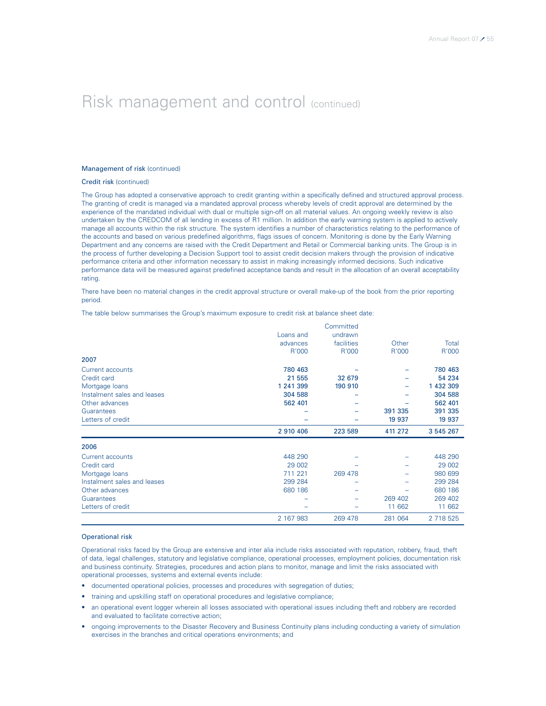#### Management of risk (continued)

### Credit risk (continued)

The Group has adopted a conservative approach to credit granting within a specifically defined and structured approval process. The granting of credit is managed via a mandated approval process whereby levels of credit approval are determined by the experience of the mandated individual with dual or multiple sign-off on all material values. An ongoing weekly review is also undertaken by the CREDCOM of all lending in excess of R1 million. In addition the early warning system is applied to actively manage all accounts within the risk structure. The system identifies a number of characteristics relating to the performance of the accounts and based on various predefined algorithms, flags issues of concern. Monitoring is done by the Early Warning Department and any concerns are raised with the Credit Department and Retail or Commercial banking units. The Group is in the process of further developing a Decision Support tool to assist credit decision makers through the provision of indicative performance criteria and other information necessary to assist in making increasingly informed decisions. Such indicative performance data will be measured against predefined acceptance bands and result in the allocation of an overall acceptability rating.

There have been no material changes in the credit approval structure or overall make-up of the book from the prior reporting period.

The table below summarises the Group's maximum exposure to credit risk at balance sheet date:

|                             |           | Committed  |         |           |
|-----------------------------|-----------|------------|---------|-----------|
|                             | Loans and | undrawn    |         |           |
|                             | advances  | facilities | Other   | Total     |
|                             | R'000     | R'000      | R'000   | R'000     |
| 2007                        |           |            |         |           |
| Current accounts            | 780 463   |            |         | 780 463   |
| Credit card                 | 21 555    | 32 679     |         | 54 234    |
| Mortgage loans              | 1 241 399 | 190 910    |         | 1 432 309 |
| Instalment sales and leases | 304 588   |            |         | 304 588   |
| Other advances              | 562 401   |            |         | 562 401   |
| Guarantees                  |           |            | 391 335 | 391 335   |
| Letters of credit           |           |            | 19 9 37 | 19 937    |
|                             | 2 910 406 | 223 589    | 411 272 | 3 545 267 |
| 2006                        |           |            |         |           |
| Current accounts            | 448 290   |            |         | 448 290   |
| Credit card                 | 29 002    |            |         | 29 002    |
| Mortgage loans              | 711 221   | 269 478    |         | 980 699   |
| Instalment sales and leases | 299 284   |            |         | 299 284   |
| Other advances              | 680 186   |            |         | 680 186   |
| Guarantees                  |           |            | 269 402 | 269 402   |
| Letters of credit           |           |            | 11 662  | 11 662    |
|                             | 2 167 983 | 269 478    | 281 064 | 2 718 525 |

### Operational risk

Operational risks faced by the Group are extensive and inter alia include risks associated with reputation, robbery, fraud, theft of data, legal challenges, statutory and legislative compliance, operational processes, employment policies, documentation risk and business continuity. Strategies, procedures and action plans to monitor, manage and limit the risks associated with operational processes, systems and external events include:

- documented operational policies, processes and procedures with segregation of duties;
- training and upskilling staff on operational procedures and legislative compliance;
- an operational event logger wherein all losses associated with operational issues including theft and robbery are recorded and evaluated to facilitate corrective action;
- ongoing improvements to the Disaster Recovery and Business Continuity plans including conducting a variety of simulation exercises in the branches and critical operations environments; and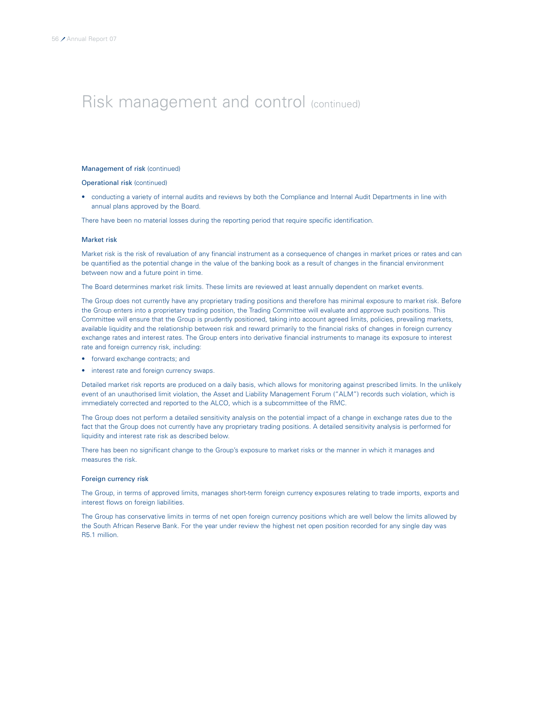#### Management of risk (continued)

#### Operational risk (continued)

• conducting a variety of internal audits and reviews by both the Compliance and Internal Audit Departments in line with annual plans approved by the Board.

There have been no material losses during the reporting period that require specific identification.

#### Market risk

Market risk is the risk of revaluation of any financial instrument as a consequence of changes in market prices or rates and can be quantified as the potential change in the value of the banking book as a result of changes in the financial environment between now and a future point in time.

The Board determines market risk limits. These limits are reviewed at least annually dependent on market events.

The Group does not currently have any proprietary trading positions and therefore has minimal exposure to market risk. Before the Group enters into a proprietary trading position, the Trading Committee will evaluate and approve such positions. This Committee will ensure that the Group is prudently positioned, taking into account agreed limits, policies, prevailing markets, available liquidity and the relationship between risk and reward primarily to the financial risks of changes in foreign currency exchange rates and interest rates. The Group enters into derivative financial instruments to manage its exposure to interest rate and foreign currency risk, including:

- forward exchange contracts; and
- interest rate and foreign currency swaps.

Detailed market risk reports are produced on a daily basis, which allows for monitoring against prescribed limits. In the unlikely event of an unauthorised limit violation, the Asset and Liability Management Forum ("ALM") records such violation, which is immediately corrected and reported to the ALCO, which is a subcommittee of the RMC.

The Group does not perform a detailed sensitivity analysis on the potential impact of a change in exchange rates due to the fact that the Group does not currently have any proprietary trading positions. A detailed sensitivity analysis is performed for liquidity and interest rate risk as described below.

There has been no significant change to the Group's exposure to market risks or the manner in which it manages and measures the risk.

## Foreign currency risk

The Group, in terms of approved limits, manages short-term foreign currency exposures relating to trade imports, exports and interest flows on foreign liabilities.

The Group has conservative limits in terms of net open foreign currency positions which are well below the limits allowed by the South African Reserve Bank. For the year under review the highest net open position recorded for any single day was R5.1 million.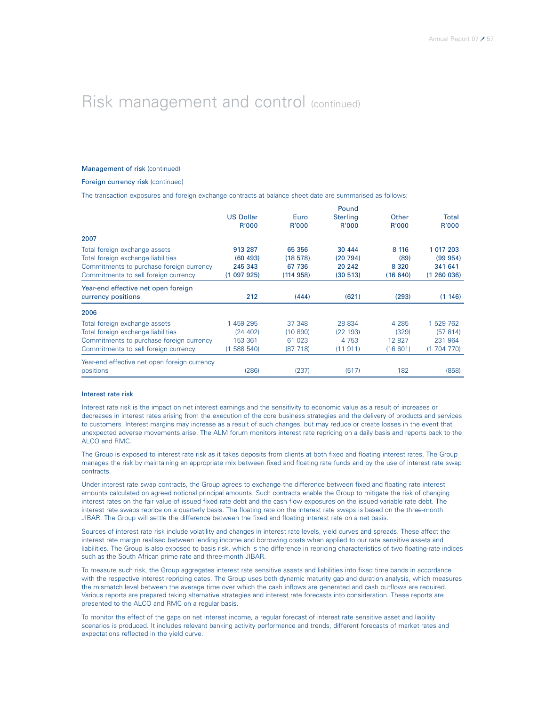### Management of risk (continued)

## Foreign currency risk (continued)

The transaction exposures and foreign exchange contracts at balance sheet date are summarised as follows:

|                                              |                  |           | Pound           |         |              |
|----------------------------------------------|------------------|-----------|-----------------|---------|--------------|
|                                              | <b>US Dollar</b> | Euro      | <b>Sterling</b> | Other   | <b>Total</b> |
|                                              | R'000            | R'000     | R'000           | R'000   | R'000        |
| 2007                                         |                  |           |                 |         |              |
| Total foreign exchange assets                | 913 287          | 65 356    | 30 444          | 8 116   | 1 017 203    |
| Total foreign exchange liabilities           | (60, 493)        | (18 578)  | (20794)         | (89)    | (99954)      |
| Commitments to purchase foreign currency     | 245 343          | 67 736    | 20 24 2         | 8 3 2 0 | 341 641      |
| Commitments to sell foreign currency         | (1097925)        | (114 958) | (30 513)        | (16640) | (1260036)    |
| Year-end effective net open foreign          |                  |           |                 |         |              |
| currency positions                           | 212              | (444)     | (621)           | (293)   | (1146)       |
| 2006                                         |                  |           |                 |         |              |
| Total foreign exchange assets                | 1 459 295        | 37 348    | 28 834          | 4 2 8 5 | 1 529 762    |
| Total foreign exchange liabilities           | (24 402)         | (10890)   | (22193)         | (329)   | (57814)      |
| Commitments to purchase foreign currency     | 153 361          | 61 023    | 4 7 5 3         | 12827   | 231 964      |
| Commitments to sell foreign currency         | (1588540)        | (87718)   | (11911)         | (16601) | (1704770)    |
| Year-end effective net open foreign currency |                  |           |                 |         |              |
|                                              |                  |           |                 |         | (858)        |

### Interest rate risk

Interest rate risk is the impact on net interest earnings and the sensitivity to economic value as a result of increases or decreases in interest rates arising from the execution of the core business strategies and the delivery of products and services to customers. Interest margins may increase as a result of such changes, but may reduce or create losses in the event that unexpected adverse movements arise. The ALM forum monitors interest rate repricing on a daily basis and reports back to the ALCO and RMC.

The Group is exposed to interest rate risk as it takes deposits from clients at both fixed and floating interest rates. The Group manages the risk by maintaining an appropriate mix between fixed and floating rate funds and by the use of interest rate swap contracts.

Under interest rate swap contracts, the Group agrees to exchange the difference between fixed and floating rate interest amounts calculated on agreed notional principal amounts. Such contracts enable the Group to mitigate the risk of changing interest rates on the fair value of issued fixed rate debt and the cash flow exposures on the issued variable rate debt. The interest rate swaps reprice on a quarterly basis. The floating rate on the interest rate swaps is based on the three-month JIBAR. The Group will settle the difference between the fixed and floating interest rate on a net basis.

Sources of interest rate risk include volatility and changes in interest rate levels, yield curves and spreads. These affect the interest rate margin realised between lending income and borrowing costs when applied to our rate sensitive assets and liabilities. The Group is also exposed to basis risk, which is the difference in repricing characteristics of two floating-rate indices such as the South African prime rate and three-month JIBAR.

To measure such risk, the Group aggregates interest rate sensitive assets and liabilities into fixed time bands in accordance with the respective interest repricing dates. The Group uses both dynamic maturity gap and duration analysis, which measures the mismatch level between the average time over which the cash inflows are generated and cash outflows are required. Various reports are prepared taking alternative strategies and interest rate forecasts into consideration. These reports are presented to the ALCO and RMC on a regular basis.

To monitor the effect of the gaps on net interest income, a regular forecast of interest rate sensitive asset and liability scenarios is produced. It includes relevant banking activity performance and trends, different forecasts of market rates and expectations reflected in the yield curve.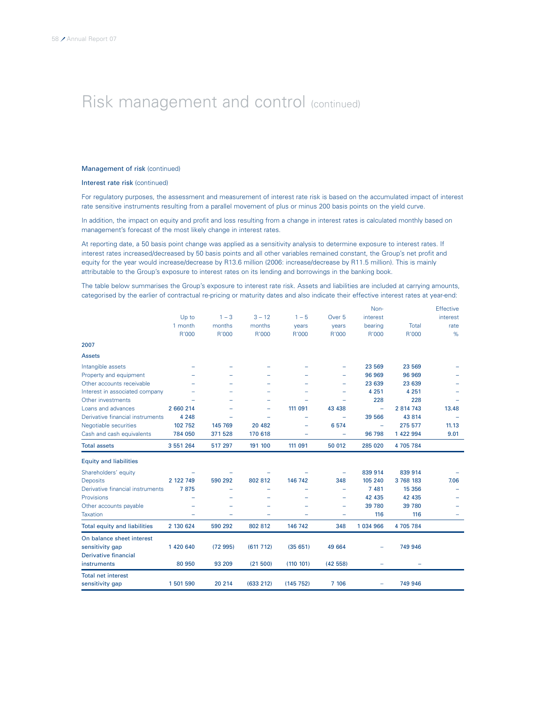### Management of risk (continued)

#### Interest rate risk (continued)

For regulatory purposes, the assessment and measurement of interest rate risk is based on the accumulated impact of interest rate sensitive instruments resulting from a parallel movement of plus or minus 200 basis points on the yield curve.

In addition, the impact on equity and profit and loss resulting from a change in interest rates is calculated monthly based on management's forecast of the most likely change in interest rates.

At reporting date, a 50 basis point change was applied as a sensitivity analysis to determine exposure to interest rates. If interest rates increased/decreased by 50 basis points and all other variables remained constant, the Group's net profit and equity for the year would increase/decrease by R13.6 million (2006: increase/decrease by R11.5 million). This is mainly attributable to the Group's exposure to interest rates on its lending and borrowings in the banking book.

The table below summarises the Group's exposure to interest rate risk. Assets and liabilities are included at carrying amounts, categorised by the earlier of contractual re-pricing or maturity dates and also indicate their effective interest rates at year-end:

|                                     |           |                          |                          |                          |                          | Non-                     |              | Effective |
|-------------------------------------|-----------|--------------------------|--------------------------|--------------------------|--------------------------|--------------------------|--------------|-----------|
|                                     | Up to     | $1 - 3$                  | $3 - 12$                 | $1 - 5$                  | Over <sub>5</sub>        | interest                 |              | interest  |
|                                     | 1 month   | months                   | months                   | years                    | years                    | bearing                  | <b>Total</b> | rate      |
|                                     | R'000     | R'000                    | R'000                    | R'000                    | R'000                    | R'000                    | R'000        | %         |
| 2007                                |           |                          |                          |                          |                          |                          |              |           |
| <b>Assets</b>                       |           |                          |                          |                          |                          |                          |              |           |
| Intangible assets                   |           |                          |                          |                          | ÷                        | 23 569                   | 23 569       |           |
| Property and equipment              |           |                          |                          |                          | $\overline{\phantom{0}}$ | 96 969                   | 96 969       |           |
| Other accounts receivable           |           |                          |                          |                          | $\overline{\phantom{0}}$ | 23 639                   | 23 639       |           |
| Interest in associated company      |           |                          |                          |                          | $\overline{\phantom{0}}$ | 4 2 5 1                  | 4 2 5 1      |           |
| Other investments                   |           |                          |                          |                          |                          | 228                      | 228          |           |
| Loans and advances                  | 2 660 214 |                          | $\overline{\phantom{0}}$ | 111 091                  | 43 4 38                  | $\overline{a}$           | 2814743      | 13.48     |
| Derivative financial instruments    | 4 2 4 8   |                          |                          |                          | $\overline{\phantom{0}}$ | 39 566                   | 43 8 14      |           |
| Negotiable securities               | 102 752   | 145 769                  | 20 482                   | $\overline{\phantom{0}}$ | 6574                     | $\overline{\phantom{0}}$ | 275 577      | 11.13     |
| Cash and cash equivalents           | 784 050   | 371 528                  | 170 618                  | $\overline{\phantom{0}}$ | ÷                        | 96 798                   | 1 422 994    | 9.01      |
| <b>Total assets</b>                 | 3 551 264 | 517 297                  | 191 100                  | 111 091                  | 50 012                   | 285 020                  | 4 705 784    |           |
| <b>Equity and liabilities</b>       |           |                          |                          |                          |                          |                          |              |           |
| Shareholders' equity                |           |                          |                          |                          |                          | 839 914                  | 839 914      |           |
| <b>Deposits</b>                     | 2 122 749 | 590 292                  | 802 812                  | 146 742                  | 348                      | 105 240                  | 3 768 183    | 7.06      |
| Derivative financial instruments    | 7875      | $\overline{\phantom{0}}$ | $\overline{a}$           | $\overline{\phantom{0}}$ | $\overline{\phantom{0}}$ | 7 4 8 1                  | 15 356       |           |
| Provisions                          |           |                          |                          |                          | $\overline{\phantom{0}}$ | 42 435                   | 42 435       |           |
| Other accounts payable              |           |                          |                          |                          | $\overline{\phantom{0}}$ | 39 780                   | 39 780       |           |
| <b>Taxation</b>                     |           |                          |                          |                          |                          | 116                      | 116          |           |
| <b>Total equity and liabilities</b> | 2 130 624 | 590 292                  | 802 812                  | 146 742                  | 348                      | 1 0 34 9 66              | 4705784      |           |
| On balance sheet interest           |           |                          |                          |                          |                          |                          |              |           |
| sensitivity gap                     | 1 420 640 | (72995)                  | (611 712)                | (35651)                  | 49 664                   |                          | 749 946      |           |
| Derivative financial                |           |                          |                          |                          |                          |                          |              |           |
| instruments                         | 80 950    | 93 209                   | (21500)                  | (110 101)                | (42558)                  |                          |              |           |
| <b>Total net interest</b>           |           |                          |                          |                          |                          |                          |              |           |
| sensitivity gap                     | 1 501 590 | 20 214                   | (633 212)                | (145 752)                | 7 106                    |                          | 749 946      |           |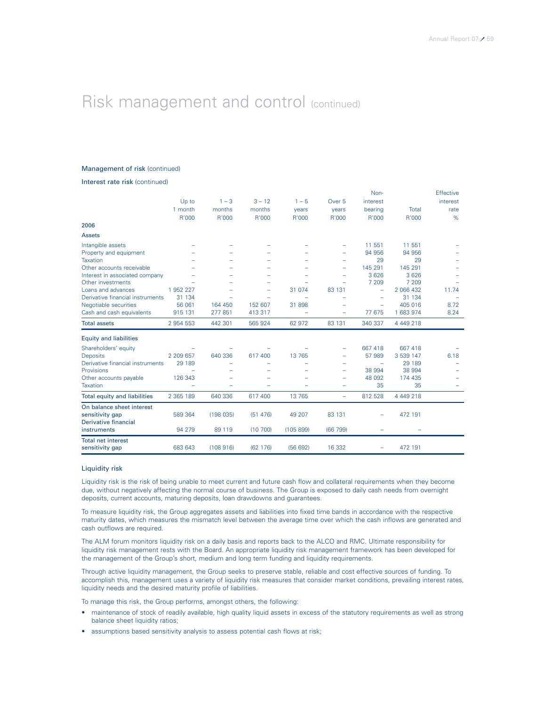#### Management of risk (continued)

## Interest rate risk (continued)

|                                     | Up to         | $1 - 3$                  | $3 - 12$ | $1 - 5$  | Over <sub>5</sub>        | Non-<br>interest |               | Effective<br>interest |
|-------------------------------------|---------------|--------------------------|----------|----------|--------------------------|------------------|---------------|-----------------------|
|                                     |               |                          |          |          |                          |                  |               |                       |
|                                     | 1 month       | months                   | months   | years    | years                    | bearing          | Total         | rate                  |
| 2006                                | R'000         | R'000                    | R'000    | R'000    | R'000                    | R'000            | R'000         | %                     |
| <b>Assets</b>                       |               |                          |          |          |                          |                  |               |                       |
| Intangible assets                   |               |                          |          |          | ۰                        | 11 551           | 11 551        |                       |
| Property and equipment              |               |                          |          |          | -                        | 94 956           | 94 956        |                       |
| <b>Taxation</b>                     |               |                          |          |          | $\equiv$                 | 29               | 29            |                       |
| Other accounts receivable           |               |                          |          |          | $\overline{\phantom{0}}$ | 145 291          | 145 291       |                       |
| Interest in associated company      |               |                          |          |          | ۰                        | 3626             | 3 6 2 6       |                       |
| Other investments                   |               |                          |          |          |                          | 7 209            | 7 209         |                       |
| Loans and advances                  | 1952227       |                          |          | 31 074   | 83 131                   | ÷                | 2 066 432     | 11.74                 |
| Derivative financial instruments    | 31 134        |                          |          |          |                          |                  | 31 134        |                       |
| Negotiable securities               | 56 061        | 164 450                  | 152 607  | 31898    |                          |                  | 405 016       | 8.72                  |
| Cash and cash equivalents           | 915 131       | 277 851                  | 413 317  |          | $\overline{\phantom{0}}$ | 77 675           | 1 683 974     | 8.24                  |
| <b>Total assets</b>                 | 2 954 553     | 442 301                  | 565 924  | 62 972   | 83 131                   | 340 337          | 4 4 4 9 2 1 8 |                       |
| <b>Equity and liabilities</b>       |               |                          |          |          |                          |                  |               |                       |
| Shareholders' equity                |               |                          |          |          |                          | 667 418          | 667 418       |                       |
| <b>Deposits</b>                     | 2 209 657     | 640 336                  | 617 400  | 13 765   |                          | 57 989           | 3 539 147     | 6.18                  |
| Derivative financial instruments    | 29 189        | $\overline{\phantom{0}}$ |          |          | $\overline{\phantom{0}}$ | $\overline{a}$   | 29 189        |                       |
| Provisions                          |               |                          |          |          | $\overline{\phantom{0}}$ | 38 994           | 38 994        |                       |
| Other accounts payable              | 126 343       |                          |          |          | $\overline{\phantom{0}}$ | 48 092           | 174 435       |                       |
| <b>Taxation</b>                     |               |                          |          |          | $\overline{\phantom{0}}$ | 35               | 35            |                       |
| <b>Total equity and liabilities</b> | 2 3 6 5 1 8 9 | 640 336                  | 617 400  | 13 765   | ÷                        | 812 528          | 4 4 4 9 2 1 8 |                       |
| On balance sheet interest           |               |                          |          |          |                          |                  |               |                       |
| sensitivity gap                     | 589 364       | (198035)                 | (51 476) | 49 207   | 83 131                   |                  | 472 191       |                       |
| <b>Derivative financial</b>         |               |                          |          |          |                          |                  |               |                       |
| instruments                         | 94 279        | 89 119                   | (10700)  | (105899) | (66799)                  |                  |               |                       |
| <b>Total net interest</b>           |               |                          |          |          |                          |                  |               |                       |
| sensitivity gap                     | 683 643       | (108916)                 | (62 176) | (56692)  | 16 3 32                  |                  | 472 191       |                       |

#### Liquidity risk

Liquidity risk is the risk of being unable to meet current and future cash flow and collateral requirements when they become due, without negatively affecting the normal course of business. The Group is exposed to daily cash needs from overnight deposits, current accounts, maturing deposits, loan drawdowns and guarantees.

To measure liquidity risk, the Group aggregates assets and liabilities into fixed time bands in accordance with the respective maturity dates, which measures the mismatch level between the average time over which the cash inflows are generated and cash outflows are required.

The ALM forum monitors liquidity risk on a daily basis and reports back to the ALCO and RMC. Ultimate responsibility for liquidity risk management rests with the Board. An appropriate liquidity risk management framework has been developed for the management of the Group's short, medium and long term funding and liquidity requirements.

Through active liquidity management, the Group seeks to preserve stable, reliable and cost effective sources of funding. To accomplish this, management uses a variety of liquidity risk measures that consider market conditions, prevailing interest rates, liquidity needs and the desired maturity profile of liabilities.

To manage this risk, the Group performs, amongst others, the following:

- maintenance of stock of readily available, high quality liquid assets in excess of the statutory requirements as well as strong balance sheet liquidity ratios;
- assumptions based sensitivity analysis to assess potential cash flows at risk;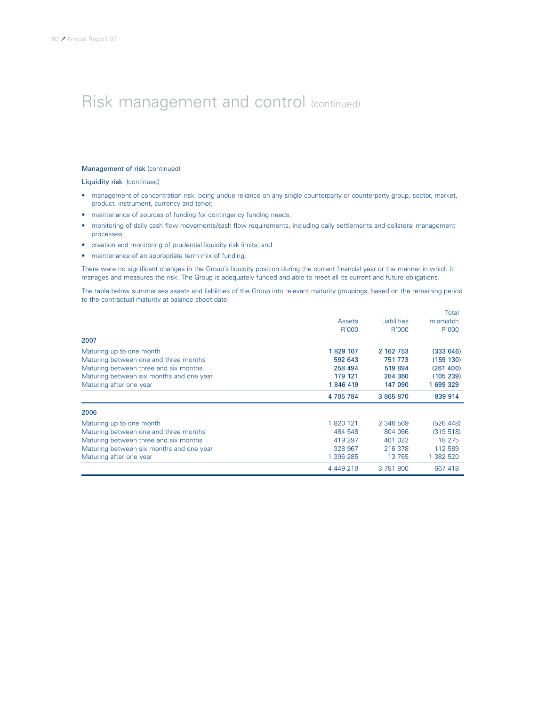### Management of risk (continued)

Liquidity risk (continued)

- management of concentration risk, being undue reliance on any single counterparty or counterparty group, sector, market, product, instrument, currency and tenor;
- maintenance of sources of funding for contingency funding needs;
- monitoring of daily cash flow movements/cash flow requirements, including daily settlements and collateral management processes;
- creation and monitoring of prudential liquidity risk limits; and
- maintenance of an appropriate term mix of funding.

There were no significant changes in the Group's liquidity position during the current financial year or the manner in which it manages and measures the risk. The Group is adequately funded and able to meet all its current and future obligations.

The table below summarises assets and liabilities of the Group into relevant maturity groupings, based on the remaining period to the contractual maturity at balance sheet date:

|                                          |               |                    | Total     |
|------------------------------------------|---------------|--------------------|-----------|
|                                          | Assets        | <b>Liabilities</b> | mismatch  |
|                                          | R'000         | R'000              | R'000     |
| 2007                                     |               |                    |           |
| Maturing up to one month                 | 1829 107      | 2 162 753          | (333646)  |
| Maturing between one and three months    | 592 643       | 751 773            | (159 130) |
| Maturing between three and six months    | 258 494       | 519 894            | (261 400) |
| Maturing between six months and one year | 179 121       | 284 360            | (105 239) |
| Maturing after one year                  | 1846 419      | 147 090            | 1699329   |
|                                          | 4705784       | 3 865 870          | 839 914   |
| 2006                                     |               |                    |           |
| Maturing up to one month                 | 1820 121      | 2 346 569          | (526 448) |
| Maturing between one and three months    | 484 548       | 804 066            | (319518)  |
| Maturing between three and six months    | 419 297       | 401 022            | 18 275    |
| Maturing between six months and one year | 328 967       | 216 378            | 112 589   |
| Maturing after one year                  | 1 396 285     | 13 765             | 1 382 520 |
|                                          | 4 4 4 9 2 1 8 | 3 781 800          | 667 418   |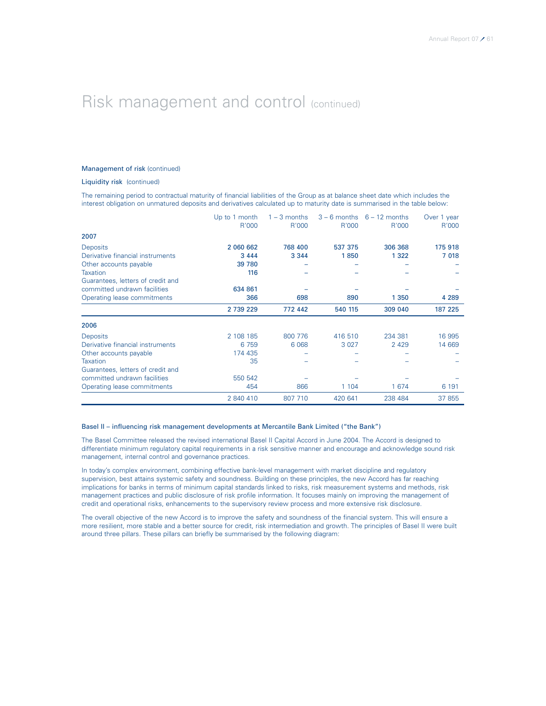### Management of risk (continued)

## Liquidity risk (continued)

The remaining period to contractual maturity of financial liabilities of the Group as at balance sheet date which includes the interest obligation on unmatured deposits and derivatives calculated up to maturity date is summarised in the table below:

|                                   | Up to 1 month | $1 - 3$ months |         | $3 - 6$ months $6 - 12$ months | Over 1 year |
|-----------------------------------|---------------|----------------|---------|--------------------------------|-------------|
|                                   | R'000         | R'000          | R'000   | R'000                          | R'000       |
| 2007                              |               |                |         |                                |             |
| <b>Deposits</b>                   | 2 060 662     | 768 400        | 537 375 | 306 368                        | 175 918     |
| Derivative financial instruments  | 3 4 4 4       | 3 3 4 4        | 1850    | 1 3 2 2                        | 7 0 18      |
| Other accounts payable            | 39 780        |                |         |                                |             |
| <b>Taxation</b>                   | 116           |                |         |                                |             |
| Guarantees, letters of credit and |               |                |         |                                |             |
| committed undrawn facilities      | 634 861       |                |         |                                |             |
| Operating lease commitments       | 366           | 698            | 890     | 1 350                          | 4 2 8 9     |
|                                   | 2 739 229     | 772 442        | 540 115 | 309 040                        | 187 225     |
| 2006                              |               |                |         |                                |             |
| <b>Deposits</b>                   | 2 108 185     | 800 776        | 416 510 | 234 381                        | 16 995      |
| Derivative financial instruments  | 6 7 5 9       | 6 0 68         | 3 0 2 7 | 2 4 2 9                        | 14 669      |
| Other accounts payable            | 174 435       |                |         |                                |             |
| <b>Taxation</b>                   | 35            |                |         |                                |             |
| Guarantees, letters of credit and |               |                |         |                                |             |
| committed undrawn facilities      | 550 542       |                |         |                                |             |
| Operating lease commitments       | 454           | 866            | 1 1 0 4 | 1 674                          | 6 1 9 1     |
|                                   | 2 840 410     | 807 710        | 420 641 | 238 484                        | 37 855      |

## Basel II – influencing risk management developments at Mercantile Bank Limited ("the Bank")

The Basel Committee released the revised international Basel II Capital Accord in June 2004. The Accord is designed to differentiate minimum regulatory capital requirements in a risk sensitive manner and encourage and acknowledge sound risk management, internal control and governance practices.

In today's complex environment, combining effective bank-level management with market discipline and regulatory supervision, best attains systemic safety and soundness. Building on these principles, the new Accord has far reaching implications for banks in terms of minimum capital standards linked to risks, risk measurement systems and methods, risk management practices and public disclosure of risk profile information. It focuses mainly on improving the management of credit and operational risks, enhancements to the supervisory review process and more extensive risk disclosure.

The overall objective of the new Accord is to improve the safety and soundness of the financial system. This will ensure a more resilient, more stable and a better source for credit, risk intermediation and growth. The principles of Basel II were built around three pillars. These pillars can briefly be summarised by the following diagram: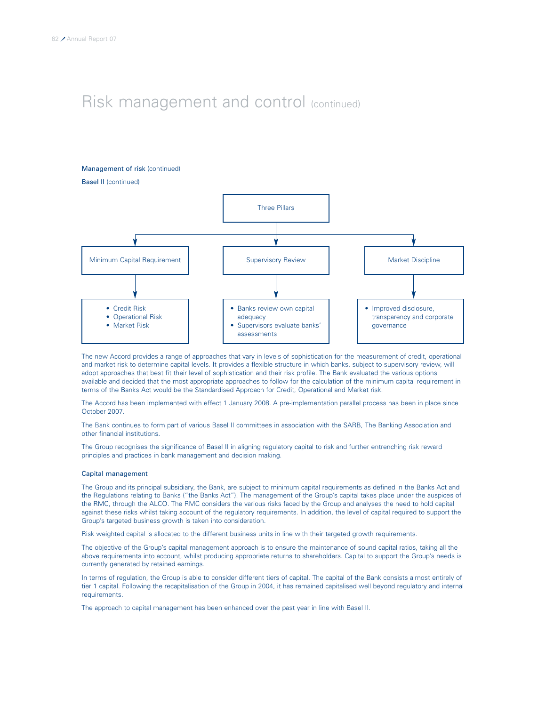## Management of risk (continued) Basel II (continued) Three Pillars Minimum Capital Requirement **Supervisory Review Market Discipline** Market Discipline • Credit Risk • Operational Risk • Market Risk • Improved disclosure, transparency and corporate governance Banks review own capital adequacy • Supervisors evaluate banks' assessments

The new Accord provides a range of approaches that vary in levels of sophistication for the measurement of credit, operational and market risk to determine capital levels. It provides a flexible structure in which banks, subject to supervisory review, will adopt approaches that best fit their level of sophistication and their risk profile. The Bank evaluated the various options available and decided that the most appropriate approaches to follow for the calculation of the minimum capital requirement in terms of the Banks Act would be the Standardised Approach for Credit, Operational and Market risk.

The Accord has been implemented with effect 1 January 2008. A pre-implementation parallel process has been in place since October 2007.

The Bank continues to form part of various Basel II committees in association with the SARB, The Banking Association and other financial institutions.

The Group recognises the significance of Basel II in aligning regulatory capital to risk and further entrenching risk reward principles and practices in bank management and decision making.

## Capital management

The Group and its principal subsidiary, the Bank, are subject to minimum capital requirements as defined in the Banks Act and the Regulations relating to Banks ("the Banks Act"). The management of the Group's capital takes place under the auspices of the RMC, through the ALCO. The RMC considers the various risks faced by the Group and analyses the need to hold capital against these risks whilst taking account of the regulatory requirements. In addition, the level of capital required to support the Group's targeted business growth is taken into consideration.

Risk weighted capital is allocated to the different business units in line with their targeted growth requirements.

The objective of the Group's capital management approach is to ensure the maintenance of sound capital ratios, taking all the above requirements into account, whilst producing appropriate returns to shareholders. Capital to support the Group's needs is currently generated by retained earnings.

In terms of regulation, the Group is able to consider different tiers of capital. The capital of the Bank consists almost entirely of tier 1 capital. Following the recapitalisation of the Group in 2004, it has remained capitalised well beyond regulatory and internal requirements.

The approach to capital management has been enhanced over the past year in line with Basel II.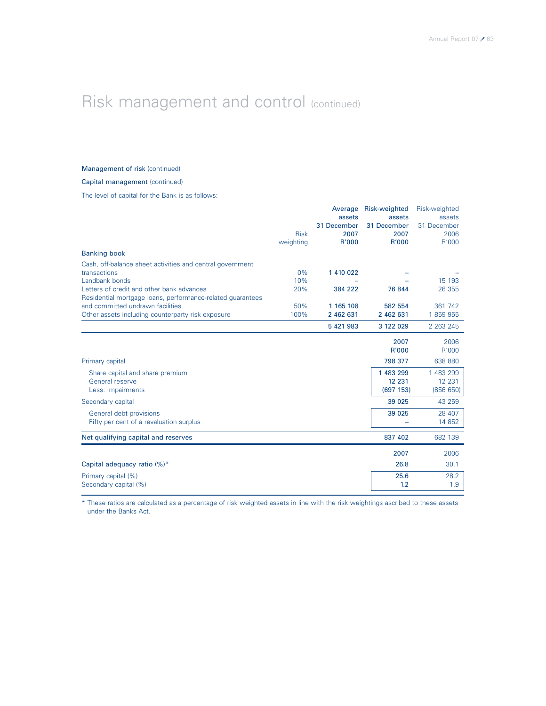## Management of risk (continued)

## Capital management (continued)

The level of capital for the Bank is as follows:

|                                                            | <b>Risk</b><br>weighting | assets<br>31 December<br>2007<br>R'000 | Average Risk-weighted<br>assets<br>31 December<br>2007<br>R'000 | Risk-weighted<br>assets<br>31 December<br>2006<br>R'000 |
|------------------------------------------------------------|--------------------------|----------------------------------------|-----------------------------------------------------------------|---------------------------------------------------------|
| <b>Banking book</b>                                        |                          |                                        |                                                                 |                                                         |
| Cash, off-balance sheet activities and central government  |                          |                                        |                                                                 |                                                         |
| transactions                                               | 0%                       | 1 410 022                              |                                                                 |                                                         |
| Landbank bonds                                             | 10%                      |                                        |                                                                 | 15 193                                                  |
| Letters of credit and other bank advances                  | 20%                      | 384 222                                | 76 844                                                          | 26 35 5                                                 |
| Residential mortgage loans, performance-related guarantees |                          |                                        |                                                                 |                                                         |
| and committed undrawn facilities                           | 50%                      | 1 165 108                              | 582 554                                                         | 361 742                                                 |
| Other assets including counterparty risk exposure          | 100%                     | 2 462 631                              | 2 462 631                                                       | 1859955                                                 |
|                                                            |                          | 5 421 983                              | 3 122 029                                                       | 2 2 6 3 2 4 5                                           |
|                                                            |                          |                                        | 2007                                                            | 2006                                                    |
|                                                            |                          |                                        | R'000                                                           | R'000                                                   |
| Primary capital                                            |                          |                                        | 798 377                                                         | 638 880                                                 |
| Share capital and share premium                            |                          |                                        | 1 483 299                                                       | 1 483 299                                               |
| General reserve                                            |                          |                                        | 12 2 31                                                         | 12 231                                                  |
| Less: Impairments                                          |                          |                                        | (697 153)                                                       | (856 650)                                               |
| Secondary capital                                          |                          |                                        | 39 0 25                                                         | 43 25 9                                                 |
| General debt provisions                                    |                          |                                        | 39 0 25                                                         | 28 407                                                  |
| Fifty per cent of a revaluation surplus                    |                          |                                        |                                                                 | 14 852                                                  |
| Net qualifying capital and reserves                        |                          |                                        | 837 402                                                         | 682 139                                                 |
|                                                            |                          |                                        | 2007                                                            | 2006                                                    |
| Capital adequacy ratio (%)*                                |                          |                                        | 26.8                                                            | 30.1                                                    |
| Primary capital (%)                                        |                          |                                        | 25.6                                                            | 28.2                                                    |
| Secondary capital (%)                                      |                          |                                        | 1.2                                                             | 1.9                                                     |

\* These ratios are calculated as a percentage of risk weighted assets in line with the risk weightings ascribed to these assets under the Banks Act.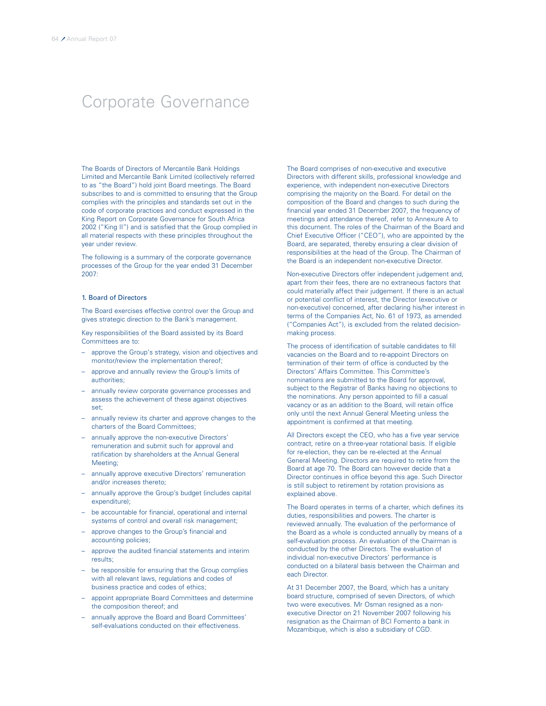## Corporate Governance

The Boards of Directors of Mercantile Bank Holdings Limited and Mercantile Bank Limited (collectively referred to as "the Board") hold joint Board meetings. The Board subscribes to and is committed to ensuring that the Group complies with the principles and standards set out in the code of corporate practices and conduct expressed in the King Report on Corporate Governance for South Africa 2002 ("King II") and is satisfied that the Group complied in all material respects with these principles throughout the year under review.

The following is a summary of the corporate governance processes of the Group for the year ended 31 December 2007:

### 1. Board of Directors

The Board exercises effective control over the Group and gives strategic direction to the Bank's management.

Key responsibilities of the Board assisted by its Board Committees are to:

- approve the Group's strategy, vision and objectives and monitor/review the implementation thereof;
- approve and annually review the Group's limits of authorities;
- annually review corporate governance processes and assess the achievement of these against objectives set;
- annually review its charter and approve changes to the charters of the Board Committees;
- annually approve the non-executive Directors' remuneration and submit such for approval and ratification by shareholders at the Annual General Meeting;
- annually approve executive Directors' remuneration and/or increases thereto;
- annually approve the Group's budget (includes capital expenditure);
- be accountable for financial, operational and internal systems of control and overall risk management;
- approve changes to the Group's financial and accounting policies;
- approve the audited financial statements and interim results;
- be responsible for ensuring that the Group complies with all relevant laws, regulations and codes of business practice and codes of ethics;
- appoint appropriate Board Committees and determine the composition thereof; and
- annually approve the Board and Board Committees' self-evaluations conducted on their effectiveness.

The Board comprises of non-executive and executive Directors with different skills, professional knowledge and experience, with independent non-executive Directors comprising the majority on the Board. For detail on the composition of the Board and changes to such during the financial year ended 31 December 2007, the frequency of meetings and attendance thereof, refer to Annexure A to this document. The roles of the Chairman of the Board and Chief Executive Officer ("CEO"), who are appointed by the Board, are separated, thereby ensuring a clear division of responsibilities at the head of the Group. The Chairman of the Board is an independent non-executive Director.

Non-executive Directors offer independent judgement and, apart from their fees, there are no extraneous factors that could materially affect their judgement. If there is an actual or potential conflict of interest, the Director (executive or non-executive) concerned, after declaring his/her interest in terms of the Companies Act, No. 61 of 1973, as amended ("Companies Act"), is excluded from the related decisionmaking process.

The process of identification of suitable candidates to fill vacancies on the Board and to re-appoint Directors on termination of their term of office is conducted by the Directors' Affairs Committee. This Committee's nominations are submitted to the Board for approval, subject to the Registrar of Banks having no objections to the nominations. Any person appointed to fill a casual vacancy or as an addition to the Board, will retain office only until the next Annual General Meeting unless the appointment is confirmed at that meeting.

All Directors except the CEO, who has a five year service contract, retire on a three-year rotational basis. If eligible for re-election, they can be re-elected at the Annual General Meeting. Directors are required to retire from the Board at age 70. The Board can however decide that a Director continues in office beyond this age. Such Director is still subject to retirement by rotation provisions as explained above.

The Board operates in terms of a charter, which defines its duties, responsibilities and powers. The charter is reviewed annually. The evaluation of the performance of the Board as a whole is conducted annually by means of a self-evaluation process. An evaluation of the Chairman is conducted by the other Directors. The evaluation of individual non-executive Directors' performance is conducted on a bilateral basis between the Chairman and each Director.

At 31 December 2007, the Board, which has a unitary board structure, comprised of seven Directors, of which two were executives. Mr Osman resigned as a nonexecutive Director on 21 November 2007 following his resignation as the Chairman of BCI Fomento a bank in Mozambique, which is also a subsidiary of CGD.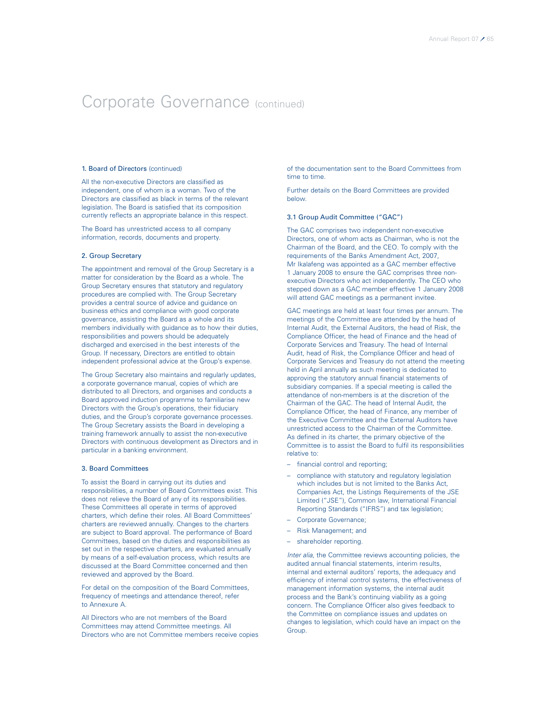#### 1. Board of Directors (continued)

All the non-executive Directors are classified as independent, one of whom is a woman. Two of the Directors are classified as black in terms of the relevant legislation. The Board is satisfied that its composition currently reflects an appropriate balance in this respect.

The Board has unrestricted access to all company information, records, documents and property.

#### 2. Group Secretary

The appointment and removal of the Group Secretary is a matter for consideration by the Board as a whole. The Group Secretary ensures that statutory and regulatory procedures are complied with. The Group Secretary provides a central source of advice and guidance on business ethics and compliance with good corporate governance, assisting the Board as a whole and its members individually with guidance as to how their duties, responsibilities and powers should be adequately discharged and exercised in the best interests of the Group. If necessary, Directors are entitled to obtain independent professional advice at the Group's expense.

The Group Secretary also maintains and regularly updates, a corporate governance manual, copies of which are distributed to all Directors, and organises and conducts a Board approved induction programme to familiarise new Directors with the Group's operations, their fiduciary duties, and the Group's corporate governance processes. The Group Secretary assists the Board in developing a training framework annually to assist the non-executive Directors with continuous development as Directors and in particular in a banking environment.

### 3. Board Committees

To assist the Board in carrying out its duties and responsibilities, a number of Board Committees exist. This does not relieve the Board of any of its responsibilities. These Committees all operate in terms of approved charters, which define their roles. All Board Committees' charters are reviewed annually. Changes to the charters are subject to Board approval. The performance of Board Committees, based on the duties and responsibilities as set out in the respective charters, are evaluated annually by means of a self-evaluation process, which results are discussed at the Board Committee concerned and then reviewed and approved by the Board.

For detail on the composition of the Board Committees, frequency of meetings and attendance thereof, refer to Annexure A.

All Directors who are not members of the Board Committees may attend Committee meetings. All Directors who are not Committee members receive copies of the documentation sent to the Board Committees from time to time.

Further details on the Board Committees are provided below.

## 3.1 Group Audit Committee ("GAC")

The GAC comprises two independent non-executive Directors, one of whom acts as Chairman, who is not the Chairman of the Board, and the CEO. To comply with the requirements of the Banks Amendment Act, 2007, Mr Ikalafeng was appointed as a GAC member effective 1 January 2008 to ensure the GAC comprises three nonexecutive Directors who act independently. The CEO who stepped down as a GAC member effective 1 January 2008 will attend GAC meetings as a permanent invitee.

GAC meetings are held at least four times per annum. The meetings of the Committee are attended by the head of Internal Audit, the External Auditors, the head of Risk, the Compliance Officer, the head of Finance and the head of Corporate Services and Treasury. The head of Internal Audit, head of Risk, the Compliance Officer and head of Corporate Services and Treasury do not attend the meeting held in April annually as such meeting is dedicated to approving the statutory annual financial statements of subsidiary companies. If a special meeting is called the attendance of non-members is at the discretion of the Chairman of the GAC. The head of Internal Audit, the Compliance Officer, the head of Finance, any member of the Executive Committee and the External Auditors have unrestricted access to the Chairman of the Committee. As defined in its charter, the primary objective of the Committee is to assist the Board to fulfil its responsibilities relative to:

- financial control and reporting;
- compliance with statutory and regulatory legislation which includes but is not limited to the Banks Act, Companies Act, the Listings Requirements of the JSE Limited ("JSE"), Common law, International Financial Reporting Standards ("IFRS") and tax legislation;
- Corporate Governance;
- Risk Management; and
- shareholder reporting.

Inter alia, the Committee reviews accounting policies, the audited annual financial statements, interim results, internal and external auditors' reports, the adequacy and efficiency of internal control systems, the effectiveness of management information systems, the internal audit process and the Bank's continuing viability as a going concern. The Compliance Officer also gives feedback to the Committee on compliance issues and updates on changes to legislation, which could have an impact on the Group.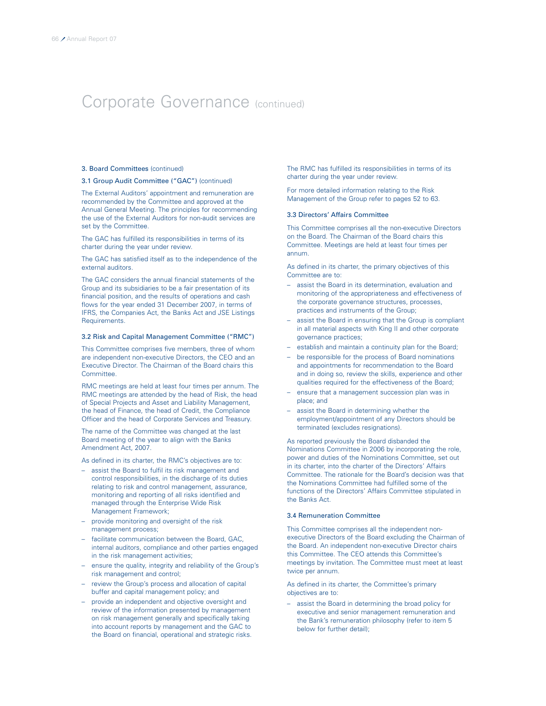#### 3. Board Committees (continued)

### 3.1 Group Audit Committee ("GAC") (continued)

The External Auditors' appointment and remuneration are recommended by the Committee and approved at the Annual General Meeting. The principles for recommending the use of the External Auditors for non-audit services are set by the Committee.

The GAC has fulfilled its responsibilities in terms of its charter during the year under review.

The GAC has satisfied itself as to the independence of the external auditors.

The GAC considers the annual financial statements of the Group and its subsidiaries to be a fair presentation of its financial position, and the results of operations and cash flows for the year ended 31 December 2007, in terms of IFRS, the Companies Act, the Banks Act and JSE Listings Requirements.

### 3.2 Risk and Capital Management Committee ("RMC")

This Committee comprises five members, three of whom are independent non-executive Directors, the CEO and an Executive Director. The Chairman of the Board chairs this Committee.

RMC meetings are held at least four times per annum. The RMC meetings are attended by the head of Risk, the head of Special Projects and Asset and Liability Management, the head of Finance, the head of Credit, the Compliance Officer and the head of Corporate Services and Treasury.

The name of the Committee was changed at the last Board meeting of the year to align with the Banks Amendment Act, 2007.

As defined in its charter, the RMC's objectives are to:

- assist the Board to fulfil its risk management and control responsibilities, in the discharge of its duties relating to risk and control management, assurance, monitoring and reporting of all risks identified and managed through the Enterprise Wide Risk Management Framework;
- provide monitoring and oversight of the risk management process;
- facilitate communication between the Board, GAC, internal auditors, compliance and other parties engaged in the risk management activities;
- ensure the quality, integrity and reliability of the Group's risk management and control;
- review the Group's process and allocation of capital buffer and capital management policy; and
- provide an independent and objective oversight and review of the information presented by management on risk management generally and specifically taking into account reports by management and the GAC to the Board on financial, operational and strategic risks.

The RMC has fulfilled its responsibilities in terms of its charter during the year under review.

For more detailed information relating to the Risk Management of the Group refer to pages 52 to 63.

## 3.3 Directors' Affairs Committee

This Committee comprises all the non-executive Directors on the Board. The Chairman of the Board chairs this Committee. Meetings are held at least four times per annum.

As defined in its charter, the primary objectives of this Committee are to:

- assist the Board in its determination, evaluation and monitoring of the appropriateness and effectiveness of the corporate governance structures, processes, practices and instruments of the Group;
- assist the Board in ensuring that the Group is compliant in all material aspects with King II and other corporate governance practices;
- establish and maintain a continuity plan for the Board;
- be responsible for the process of Board nominations and appointments for recommendation to the Board and in doing so, review the skills, experience and other qualities required for the effectiveness of the Board;
- ensure that a management succession plan was in place; and
- assist the Board in determining whether the employment/appointment of any Directors should be terminated (excludes resignations).

As reported previously the Board disbanded the Nominations Committee in 2006 by incorporating the role, power and duties of the Nominations Committee, set out in its charter, into the charter of the Directors' Affairs Committee. The rationale for the Board's decision was that the Nominations Committee had fulfilled some of the functions of the Directors' Affairs Committee stipulated in the Banks Act.

## 3.4 Remuneration Committee

This Committee comprises all the independent nonexecutive Directors of the Board excluding the Chairman of the Board. An independent non-executive Director chairs this Committee. The CEO attends this Committee's meetings by invitation. The Committee must meet at least twice per annum.

As defined in its charter, the Committee's primary objectives are to:

assist the Board in determining the broad policy for executive and senior management remuneration and the Bank's remuneration philosophy (refer to item 5 below for further detail);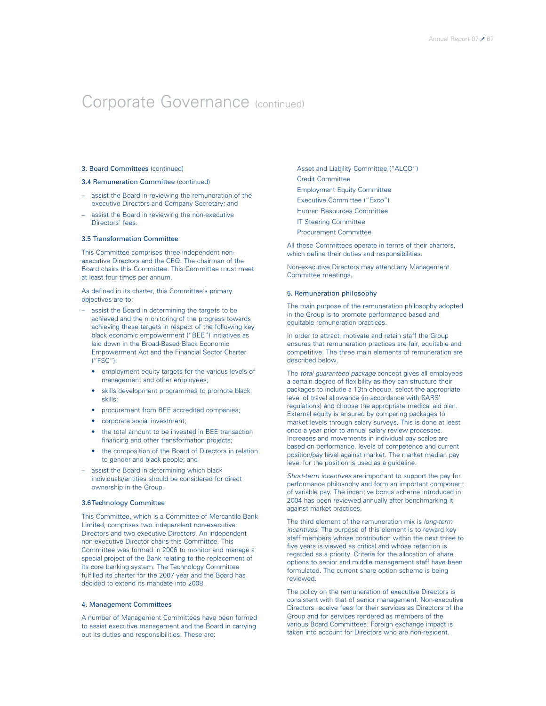#### 3. Board Committees (continued)

## 3.4 Remuneration Committee (continued)

- assist the Board in reviewing the remuneration of the executive Directors and Company Secretary; and
- assist the Board in reviewing the non-executive Directors' fees.

## 3.5 Transformation Committee

This Committee comprises three independent nonexecutive Directors and the CEO. The chairman of the Board chairs this Committee. This Committee must meet at least four times per annum.

As defined in its charter, this Committee's primary objectives are to:

- assist the Board in determining the targets to be achieved and the monitoring of the progress towards achieving these targets in respect of the following key black economic empowerment ("BEE") initiatives as laid down in the Broad-Based Black Economic Empowerment Act and the Financial Sector Charter ("FSC"):
	- employment equity targets for the various levels of management and other employees;
	- skills development programmes to promote black skills;
	- procurement from BEE accredited companies;
	- corporate social investment;
	- the total amount to be invested in BEE transaction financing and other transformation projects;
	- the composition of the Board of Directors in relation to gender and black people; and
- assist the Board in determining which black individuals/entities should be considered for direct ownership in the Group.

#### 3.6 Technology Committee

This Committee, which is a Committee of Mercantile Bank Limited, comprises two independent non-executive Directors and two executive Directors. An independent non-executive Director chairs this Committee. This Committee was formed in 2006 to monitor and manage a special project of the Bank relating to the replacement of its core banking system. The Technology Committee fulfilled its charter for the 2007 year and the Board has decided to extend its mandate into 2008.

## 4. Management Committees

A number of Management Committees have been formed to assist executive management and the Board in carrying out its duties and responsibilities. These are:

- Asset and Liability Committee ("ALCO") Credit Committee Employment Equity Committee Executive Committee ("Exco") Human Resources Committee IT Steering Committee
- 
- Procurement Committee

All these Committees operate in terms of their charters, which define their duties and responsibilities.

Non-executive Directors may attend any Management Committee meetings.

## 5. Remuneration philosophy

The main purpose of the remuneration philosophy adopted in the Group is to promote performance-based and equitable remuneration practices.

In order to attract, motivate and retain staff the Group ensures that remuneration practices are fair, equitable and competitive. The three main elements of remuneration are described below.

The total guaranteed package concept gives all employees a certain degree of flexibility as they can structure their packages to include a 13th cheque, select the appropriate level of travel allowance (in accordance with SARS' regulations) and choose the appropriate medical aid plan. External equity is ensured by comparing packages to market levels through salary surveys. This is done at least once a year prior to annual salary review processes. Increases and movements in individual pay scales are based on performance, levels of competence and current position/pay level against market. The market median pay level for the position is used as a guideline.

Short-term incentives are important to support the pay for performance philosophy and form an important component of variable pay. The incentive bonus scheme introduced in 2004 has been reviewed annually after benchmarking it against market practices.

The third element of the remuneration mix is long-term incentives. The purpose of this element is to reward key staff members whose contribution within the next three to five years is viewed as critical and whose retention is regarded as a priority. Criteria for the allocation of share options to senior and middle management staff have been formulated. The current share option scheme is being reviewed.

The policy on the remuneration of executive Directors is consistent with that of senior management. Non-executive Directors receive fees for their services as Directors of the Group and for services rendered as members of the various Board Committees. Foreign exchange impact is taken into account for Directors who are non-resident.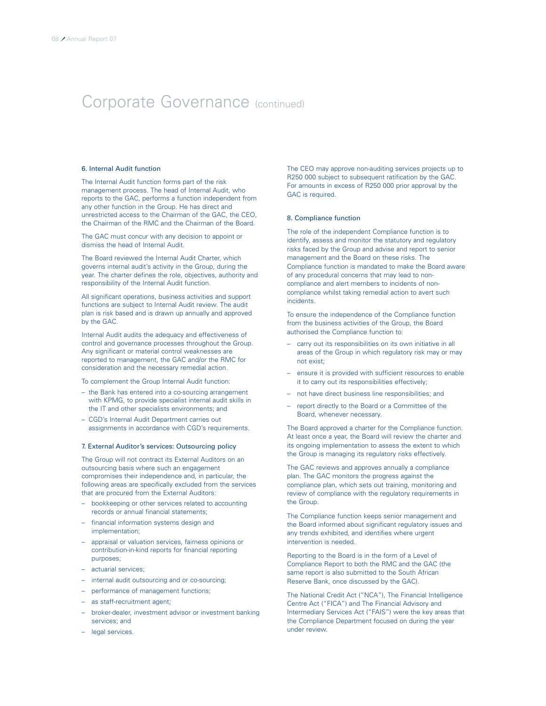#### 6. Internal Audit function

The Internal Audit function forms part of the risk management process. The head of Internal Audit, who reports to the GAC, performs a function independent from any other function in the Group. He has direct and unrestricted access to the Chairman of the GAC, the CEO, the Chairman of the RMC and the Chairman of the Board.

The GAC must concur with any decision to appoint or dismiss the head of Internal Audit.

The Board reviewed the Internal Audit Charter, which governs internal audit's activity in the Group, during the year. The charter defines the role, objectives, authority and responsibility of the Internal Audit function.

All significant operations, business activities and support functions are subject to Internal Audit review. The audit plan is risk based and is drawn up annually and approved by the GAC.

Internal Audit audits the adequacy and effectiveness of control and governance processes throughout the Group. Any significant or material control weaknesses are reported to management, the GAC and/or the RMC for consideration and the necessary remedial action.

To complement the Group Internal Audit function:

- the Bank has entered into a co-sourcing arrangement with KPMG, to provide specialist internal audit skills in the IT and other specialists environments; and
- CGD's Internal Audit Department carries out assignments in accordance with CGD's requirements.

### 7. External Auditor's services: Outsourcing policy

The Group will not contract its External Auditors on an outsourcing basis where such an engagement compromises their independence and, in particular, the following areas are specifically excluded from the services that are procured from the External Auditors:

- bookkeeping or other services related to accounting records or annual financial statements;
- financial information systems design and implementation;
- appraisal or valuation services, fairness opinions or contribution-in-kind reports for financial reporting purposes;
- actuarial services;
- internal audit outsourcing and or co-sourcing;
- performance of management functions;
- as staff-recruitment agent;
- broker-dealer, investment advisor or investment banking services; and
- legal services.

The CEO may approve non-auditing services projects up to R250 000 subject to subsequent ratification by the GAC. For amounts in excess of R250 000 prior approval by the GAC is required.

#### 8. Compliance function

The role of the independent Compliance function is to identify, assess and monitor the statutory and regulatory risks faced by the Group and advise and report to senior management and the Board on these risks. The Compliance function is mandated to make the Board aware of any procedural concerns that may lead to noncompliance and alert members to incidents of noncompliance whilst taking remedial action to avert such incidents.

To ensure the independence of the Compliance function from the business activities of the Group, the Board authorised the Compliance function to:

- carry out its responsibilities on its own initiative in all areas of the Group in which regulatory risk may or may not exist;
- ensure it is provided with sufficient resources to enable it to carry out its responsibilities effectively;
- not have direct business line responsibilities; and
- report directly to the Board or a Committee of the Board, whenever necessary.

The Board approved a charter for the Compliance function. At least once a year, the Board will review the charter and its ongoing implementation to assess the extent to which the Group is managing its regulatory risks effectively.

The GAC reviews and approves annually a compliance plan. The GAC monitors the progress against the compliance plan, which sets out training, monitoring and review of compliance with the regulatory requirements in the Group.

The Compliance function keeps senior management and the Board informed about significant regulatory issues and any trends exhibited, and identifies where urgent intervention is needed.

Reporting to the Board is in the form of a Level of Compliance Report to both the RMC and the GAC (the same report is also submitted to the South African Reserve Bank, once discussed by the GAC).

The National Credit Act ("NCA"), The Financial Intelligence Centre Act ("FICA") and The Financial Advisory and Intermediary Services Act ("FAIS") were the key areas that the Compliance Department focused on during the year under review.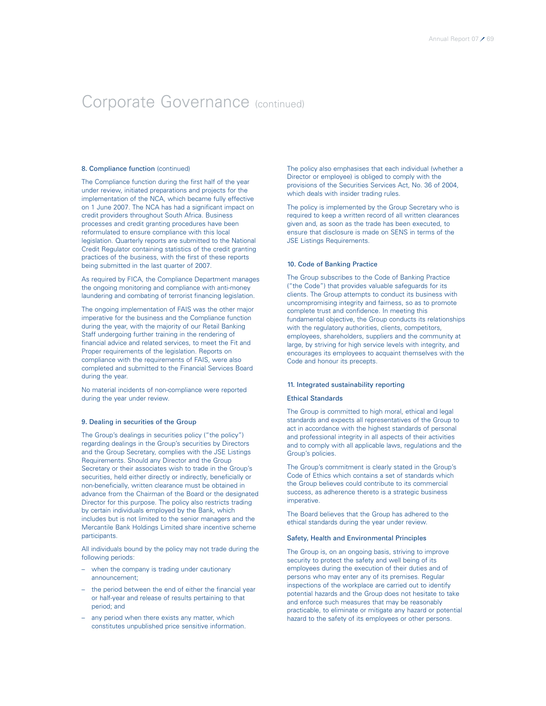## 8. Compliance function (continued)

The Compliance function during the first half of the year under review, initiated preparations and projects for the implementation of the NCA, which became fully effective on 1 June 2007. The NCA has had a significant impact on credit providers throughout South Africa. Business processes and credit granting procedures have been reformulated to ensure compliance with this local legislation. Quarterly reports are submitted to the National Credit Regulator containing statistics of the credit granting practices of the business, with the first of these reports being submitted in the last quarter of 2007.

As required by FICA, the Compliance Department manages the ongoing monitoring and compliance with anti-money laundering and combating of terrorist financing legislation.

The ongoing implementation of FAIS was the other major imperative for the business and the Compliance function during the year, with the majority of our Retail Banking Staff undergoing further training in the rendering of financial advice and related services, to meet the Fit and Proper requirements of the legislation. Reports on compliance with the requirements of FAIS, were also completed and submitted to the Financial Services Board during the year.

No material incidents of non-compliance were reported during the year under review.

## 9. Dealing in securities of the Group

The Group's dealings in securities policy ("the policy") regarding dealings in the Group's securities by Directors and the Group Secretary, complies with the JSE Listings Requirements. Should any Director and the Group Secretary or their associates wish to trade in the Group's securities, held either directly or indirectly, beneficially or non-beneficially, written clearance must be obtained in advance from the Chairman of the Board or the designated Director for this purpose. The policy also restricts trading by certain individuals employed by the Bank, which includes but is not limited to the senior managers and the Mercantile Bank Holdings Limited share incentive scheme participants.

All individuals bound by the policy may not trade during the following periods:

- when the company is trading under cautionary announcement;
- the period between the end of either the financial year or half-year and release of results pertaining to that period; and
- any period when there exists any matter, which constitutes unpublished price sensitive information.

The policy also emphasises that each individual (whether a Director or employee) is obliged to comply with the provisions of the Securities Services Act, No. 36 of 2004, which deals with insider trading rules.

The policy is implemented by the Group Secretary who is required to keep a written record of all written clearances given and, as soon as the trade has been executed, to ensure that disclosure is made on SENS in terms of the JSE Listings Requirements.

## 10. Code of Banking Practice

The Group subscribes to the Code of Banking Practice ("the Code") that provides valuable safeguards for its clients. The Group attempts to conduct its business with uncompromising integrity and fairness, so as to promote complete trust and confidence. In meeting this fundamental objective, the Group conducts its relationships with the regulatory authorities, clients, competitors, employees, shareholders, suppliers and the community at large, by striving for high service levels with integrity, and encourages its employees to acquaint themselves with the Code and honour its precepts.

## 11. Integrated sustainability reporting

## Ethical Standards

The Group is committed to high moral, ethical and legal standards and expects all representatives of the Group to act in accordance with the highest standards of personal and professional integrity in all aspects of their activities and to comply with all applicable laws, regulations and the Group's policies.

The Group's commitment is clearly stated in the Group's Code of Ethics which contains a set of standards which the Group believes could contribute to its commercial success, as adherence thereto is a strategic business imperative.

The Board believes that the Group has adhered to the ethical standards during the year under review.

#### Safety, Health and Environmental Principles

The Group is, on an ongoing basis, striving to improve security to protect the safety and well being of its employees during the execution of their duties and of persons who may enter any of its premises. Regular inspections of the workplace are carried out to identify potential hazards and the Group does not hesitate to take and enforce such measures that may be reasonably practicable, to eliminate or mitigate any hazard or potential hazard to the safety of its employees or other persons.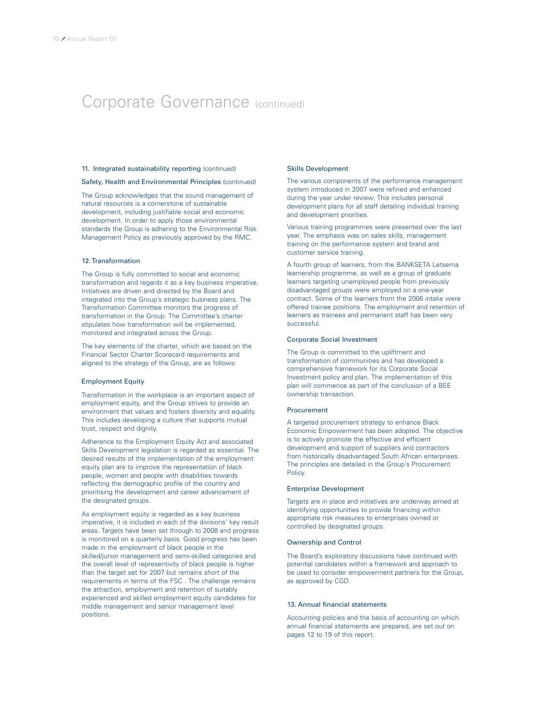### 11. Integrated sustainability reporting (continued)

## Safety, Health and Environmental Principles (continued)

The Group acknowledges that the sound management of natural resources is a cornerstone of sustainable development, including justifiable social and economic development. In order to apply those environmental standards the Group is adhering to the Environmental Risk Management Policy as previously approved by the RMC.

### 12. Transformation

The Group is fully committed to social and economic transformation and regards it as a key business imperative. Initiatives are driven and directed by the Board and integrated into the Group's strategic business plans. The Transformation Committee monitors the progress of transformation in the Group. The Committee's charter stipulates how transformation will be implemented, monitored and integrated across the Group.

The key elements of the charter, which are based on the Financial Sector Charter Scorecard requirements and aligned to the strategy of the Group, are as follows:

### Employment Equity

Transformation in the workplace is an important aspect of employment equity, and the Group strives to provide an environment that values and fosters diversity and equality. This includes developing a culture that supports mutual trust, respect and dignity.

Adherence to the Employment Equity Act and associated Skills Development legislation is regarded as essential. The desired results of the implementation of the employment equity plan are to improve the representation of black people, women and people with disabilities towards reflecting the demographic profile of the country and prioritising the development and career advancement of the designated groups.

As employment equity is regarded as a key business imperative, it is included in each of the divisions' key result areas. Targets have been set through to 2008 and progress is monitored on a quarterly basis. Good progress has been made in the employment of black people in the skilled/junior management and semi-skilled categories and the overall level of representivity of black people is higher than the target set for 2007 but remains short of the requirements in terms of the FSC . The challenge remains the attraction, employment and retention of suitably experienced and skilled employment equity candidates for middle management and senior management level positions.

#### Skills Development

The various components of the performance management system introduced in 2007 were refined and enhanced during the year under review. This includes personal development plans for all staff detailing individual training and development priorities.

Various training programmes were presented over the last year. The emphasis was on sales skills, management training on the performance system and brand and customer service training.

A fourth group of learners, from the BANKSETA Letsema learnership programme, as well as a group of graduate learners targeting unemployed people from previously disadvantaged groups were employed on a one-year contract. Some of the learners from the 2006 intake were offered trainee positions. The employment and retention of learners as trainees and permanent staff has been very successful.

### Corporate Social Investment

The Group is committed to the upliftment and transformation of communities and has developed a comprehensive framework for its Corporate Social Investment policy and plan. The implementation of this plan will commence as part of the conclusion of a BEE ownership transaction.

## **Procurement**

A targeted procurement strategy to enhance Black Economic Empowerment has been adopted. The objective is to actively promote the effective and efficient development and support of suppliers and contractors from historically disadvantaged South African enterprises. The principles are detailed in the Group's Procurement Policy.

### Enterprise Development

Targets are in place and initiatives are underway aimed at identifying opportunities to provide financing within appropriate risk measures to enterprises owned or controlled by designated groups.

## Ownership and Control

The Board's exploratory discussions have continued with potential candidates within a framework and approach to be used to consider empowerment partners for the Group, as approved by CGD.

#### 13. Annual financial statements

Accounting policies and the basis of accounting on which annual financial statements are prepared, are set out on pages 12 to 19 of this report.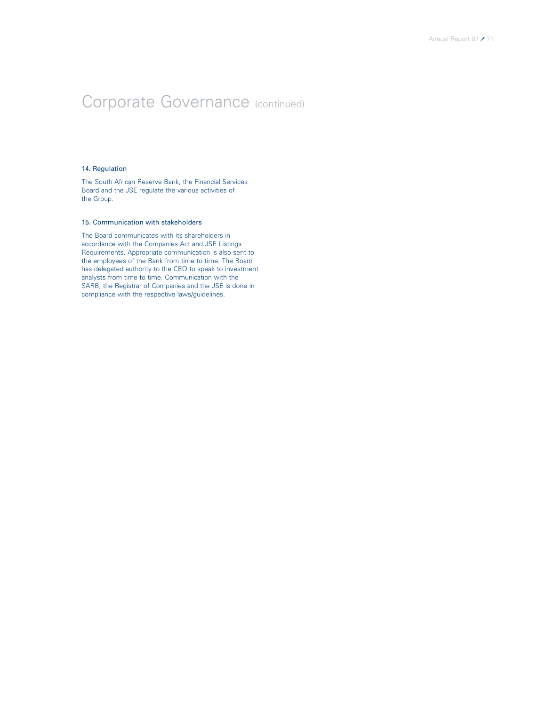## 14. Regulation

The South African Reserve Bank, the Financial Services Board and the JSE regulate the various activities of the Group.

## 15. Communication with stakeholders

The Board communicates with its shareholders in accordance with the Companies Act and JSE Listings Requirements. Appropriate communication is also sent to the employees of the Bank from time to time. The Board has delegated authority to the CEO to speak to investment analysts from time to time. Communication with the SARB, the Registrar of Companies and the JSE is done in compliance with the respective laws/guidelines.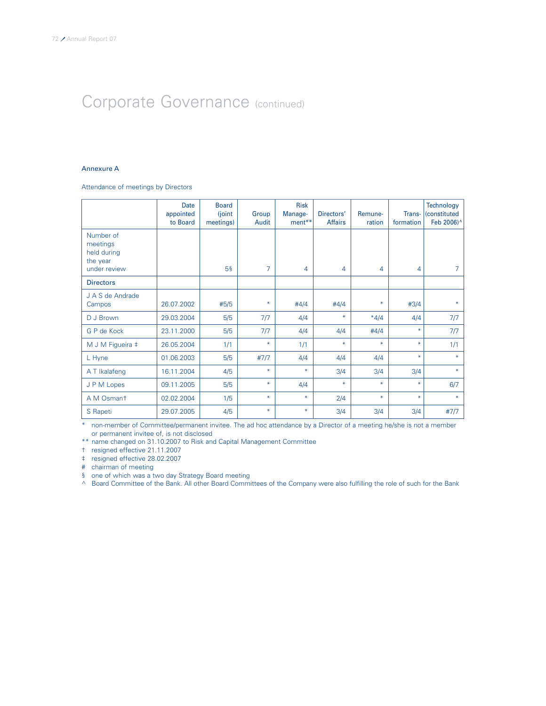## Annexure A

Attendance of meetings by Directors

|                                                                  | <b>Date</b><br>appointed<br>to Board | <b>Board</b><br>(joint)<br>meetings) | Group<br>Audit | <b>Risk</b><br>Manage-<br>ment** | Directors'<br><b>Affairs</b> | Remune-<br>ration | Trans-<br>formation | Technology<br><i>(constituted)</i><br>Feb 2006) <sup>^</sup> |
|------------------------------------------------------------------|--------------------------------------|--------------------------------------|----------------|----------------------------------|------------------------------|-------------------|---------------------|--------------------------------------------------------------|
| Number of<br>meetings<br>held during<br>the year<br>under review |                                      | $5\bar{s}$                           | $\overline{7}$ | 4                                | 4                            | 4                 | 4                   | $\overline{7}$                                               |
| <b>Directors</b>                                                 |                                      |                                      |                |                                  |                              |                   |                     |                                                              |
| J A S de Andrade<br>Campos                                       | 26.07.2002                           | #5/5                                 | $\ast$         | #4/4                             | #4/4                         | ₩                 | #3/4                | ₩                                                            |
| D J Brown                                                        | 29.03.2004                           | 5/5                                  | 7/7            | 4/4                              | $\ast$                       | $*4/4$            | 4/4                 | 7/7                                                          |
| G P de Kock                                                      | 23.11.2000                           | 5/5                                  | 7/7            | 4/4                              | 4/4                          | #4/4              | ¥.                  | 7/7                                                          |
| M J M Figueira ‡                                                 | 26.05.2004                           | 1/1                                  | $\ast$         | 1/1                              | $\ast$                       | $\ast$            | ¥.                  | 1/1                                                          |
| L Hyne                                                           | 01.06.2003                           | 5/5                                  | #7/7           | 4/4                              | 4/4                          | 4/4               | ₩                   | $\ast$                                                       |
| A T Ikalafeng                                                    | 16.11.2004                           | 4/5                                  | $\ast$         | ₩                                | 3/4                          | 3/4               | 3/4                 | $\ast$                                                       |
| J P M Lopes                                                      | 09.11.2005                           | 5/5                                  | $\ast$         | 4/4                              | *                            | $\ast$            | ₩                   | 6/7                                                          |
| A M Osmant                                                       | 02.02.2004                           | 1/5                                  | $\ast$         | $\ast$                           | 2/4                          | $\ast$            | ₩                   | $\ast$                                                       |
| S Rapeti                                                         | 29.07.2005                           | 4/5                                  | ₩              | ₩                                | 3/4                          | 3/4               | 3/4                 | #7/7                                                         |

\* non-member of Committee/permanent invitee. The ad hoc attendance by a Director of a meeting he/she is not a member or permanent invitee of, is not disclosed

\*\* name changed on 31.10.2007 to Risk and Capital Management Committee

† resigned effective 21.11.2007

‡ resigned effective 28.02.2007

# chairman of meeting

§ one of which was a two day Strategy Board meeting

^ Board Committee of the Bank. All other Board Committees of the Company were also fulfilling the role of such for the Bank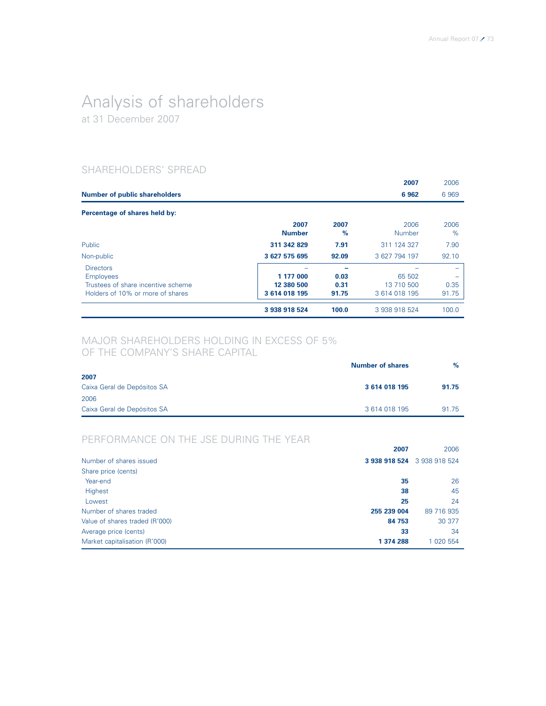# Analysis of shareholders

at 31 December 2007

# SHAREHOLDERS' SPREAD

|                                      |               |       | 2007          | 2006  |
|--------------------------------------|---------------|-------|---------------|-------|
| <b>Number of public shareholders</b> |               |       | 6962          | 6969  |
| Percentage of shares held by:        |               |       |               |       |
|                                      | 2007          | 2007  | 2006          | 2006  |
|                                      | <b>Number</b> | $\%$  | Number        | $\%$  |
| Public                               | 311 342 829   | 7.91  | 311 124 327   | 7.90  |
| Non-public                           | 3 627 575 695 | 92.09 | 3 627 794 197 | 92.10 |
| <b>Directors</b>                     |               |       |               |       |
| <b>Employees</b>                     | 1 177 000     | 0.03  | 65 502        |       |
| Trustees of share incentive scheme   | 12 380 500    | 0.31  | 13 710 500    | 0.35  |
| Holders of 10% or more of shares     | 3 614 018 195 | 91.75 | 3 614 018 195 | 91.75 |
|                                      | 3 938 918 524 | 100.0 | 3 938 918 524 | 100.0 |

# MAJOR SHAREHOLDERS HOLDING IN EXCESS OF 5% OF THE COMPANY'S SHARE CAPITAL

|                             | <b>Number of shares</b> | $\%$  |
|-----------------------------|-------------------------|-------|
| 2007                        |                         |       |
| Caixa Geral de Depósitos SA | 3 614 018 195           | 91.75 |
| 2006                        |                         |       |
| Caixa Geral de Depósitos SA | 3 614 018 195           | 91.75 |

# PERFORMANCE ON THE JSE DURING THE YEAR

|                                | 2007        | 2006                        |
|--------------------------------|-------------|-----------------------------|
| Number of shares issued        |             | 3 938 918 524 3 938 918 524 |
| Share price (cents)            |             |                             |
| Year-end                       | 35          | 26                          |
| <b>Highest</b>                 | 38          | 45                          |
| Lowest                         | 25          | 24                          |
| Number of shares traded        | 255 239 004 | 89 716 935                  |
| Value of shares traded (R'000) | 84 753      | 30 377                      |
| Average price (cents)          | 33          | 34                          |
| Market capitalisation (R'000)  | 1 374 288   | 1 020 554                   |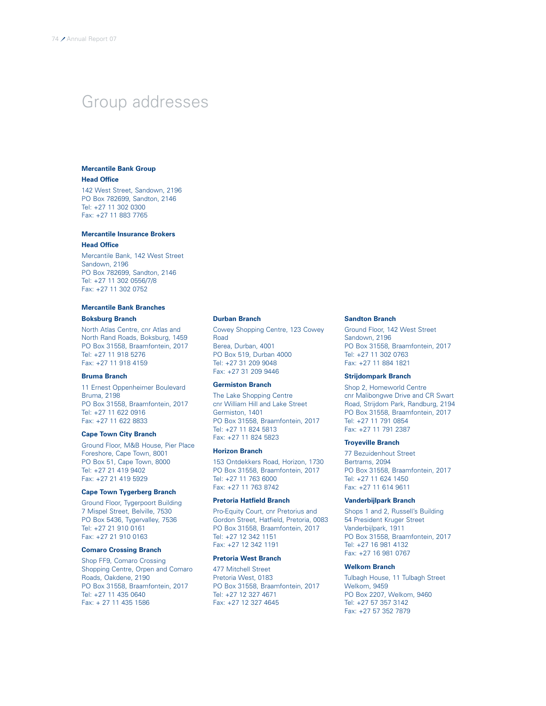# Group addresses

# **Mercantile Bank Group**

# **Head Office**

142 West Street, Sandown, 2196 PO Box 782699, Sandton, 2146 Tel: +27 11 302 0300 Fax: +27 11 883 7765

#### **Mercantile Insurance Brokers**

### **Head Office**

Mercantile Bank, 142 West Street Sandown, 2196 PO Box 782699, Sandton, 2146 Tel: +27 11 302 0556/7/8 Fax: +27 11 302 0752

# **Mercantile Bank Branches Boksburg Branch**

North Atlas Centre, cnr Atlas and North Rand Roads, Boksburg, 1459 PO Box 31558, Braamfontein, 2017 Tel: +27 11 918 5276 Fax: +27 11 918 4159

# **Bruma Branch**

11 Ernest Oppenheimer Boulevard Bruma, 2198 PO Box 31558, Braamfontein, 2017 Tel: +27 11 622 0916 Fax: +27 11 622 8833

## **Cape Town City Branch**

Ground Floor, M&B House, Pier Place Foreshore, Cape Town, 8001 PO Box 51, Cape Town, 8000 Tel: +27 21 419 9402 Fax: +27 21 419 5929

## **Cape Town Tygerberg Branch**

Ground Floor, Tygerpoort Building 7 Mispel Street, Belville, 7530 PO Box 5436, Tygervalley, 7536 Tel: +27 21 910 0161 Fax: +27 21 910 0163

# **Comaro Crossing Branch**

Shop FF9, Comaro Crossing Shopping Centre, Orpen and Comaro Roads, Oakdene, 2190 PO Box 31558, Braamfontein, 2017 Tel: +27 11 435 0640 Fax: + 27 11 435 1586

# **Durban Branch**

Cowey Shopping Centre, 123 Cowey Road Berea, Durban, 4001 PO Box 519, Durban 4000 Tel: +27 31 209 9048 Fax: +27 31 209 9446

#### **Germiston Branch**

The Lake Shopping Centre cnr William Hill and Lake Street Germiston, 1401 PO Box 31558, Braamfontein, 2017 Tel: +27 11 824 5813 Fax: +27 11 824 5823

### **Horizon Branch**

153 Ontdekkers Road, Horizon, 1730 PO Box 31558, Braamfontein, 2017 Tel: +27 11 763 6000 Fax: +27 11 763 8742

### **Pretoria Hatfield Branch**

Pro-Equity Court, cnr Pretorius and Gordon Street, Hatfield, Pretoria, 0083 PO Box 31558, Braamfontein, 2017 Tel: +27 12 342 1151 Fax: +27 12 342 1191

# **Pretoria West Branch**

477 Mitchell Street Pretoria West, 0183 PO Box 31558, Braamfontein, 2017 Tel: +27 12 327 4671 Fax: +27 12 327 4645

# **Sandton Branch**

Ground Floor, 142 West Street Sandown, 2196 PO Box 31558, Braamfontein, 2017 Tel: +27 11 302 0763 Fax: +27 11 884 1821

# **Strijdompark Branch**

Shop 2, Homeworld Centre cnr Malibongwe Drive and CR Swart Road, Strijdom Park, Randburg, 2194 PO Box 31558, Braamfontein, 2017 Tel: +27 11 791 0854 Fax: +27 11 791 2387

# **Troyeville Branch**

77 Bezuidenhout Street Bertrams, 2094 PO Box 31558, Braamfontein, 2017 Tel: +27 11 624 1450 Fax: +27 11 614 9611

#### **Vanderbijlpark Branch**

Shops 1 and 2, Russell's Building 54 President Kruger Street Vanderbijlpark, 1911 PO Box 31558, Braamfontein, 2017 Tel: +27 16 981 4132 Fax: +27 16 981 0767

#### **Welkom Branch**

Tulbagh House, 11 Tulbagh Street Welkom, 9459 PO Box 2207, Welkom, 9460 Tel: +27 57 357 3142 Fax: +27 57 352 7879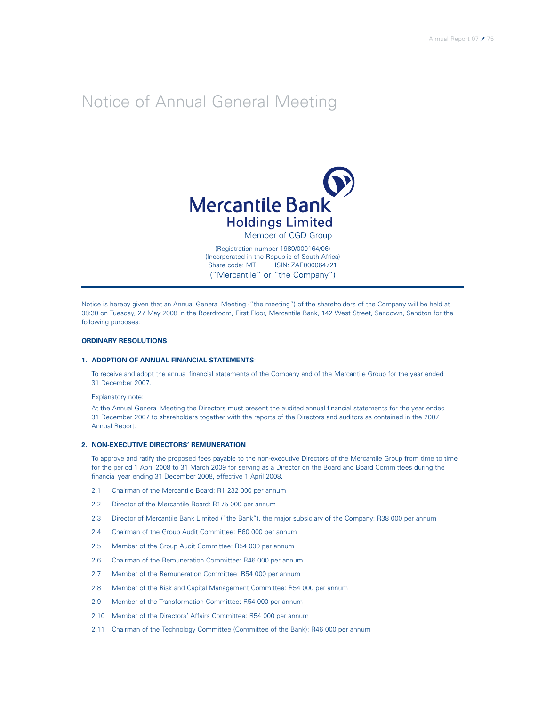# Notice of Annual General Meeting



(Registration number 1989/000164/06) (Incorporated in the Republic of South Africa) Share code: MTL ISIN: ZAE000064721 ("Mercantile" or "the Company")

Notice is hereby given that an Annual General Meeting ("the meeting") of the shareholders of the Company will be held at 08:30 on Tuesday, 27 May 2008 in the Boardroom, First Floor, Mercantile Bank, 142 West Street, Sandown, Sandton for the following purposes:

### **ORDINARY RESOLUTIONS**

#### **1. ADOPTION OF ANNUAL FINANCIAL STATEMENTS**:

To receive and adopt the annual financial statements of the Company and of the Mercantile Group for the year ended 31 December 2007.

Explanatory note:

At the Annual General Meeting the Directors must present the audited annual financial statements for the year ended 31 December 2007 to shareholders together with the reports of the Directors and auditors as contained in the 2007 Annual Report.

### **2. NON-EXECUTIVE DIRECTORS' REMUNERATION**

To approve and ratify the proposed fees payable to the non-executive Directors of the Mercantile Group from time to time for the period 1 April 2008 to 31 March 2009 for serving as a Director on the Board and Board Committees during the financial year ending 31 December 2008, effective 1 April 2008.

- 2.1 Chairman of the Mercantile Board: R1 232 000 per annum
- 2.2 Director of the Mercantile Board: R175 000 per annum
- 2.3 Director of Mercantile Bank Limited ("the Bank"), the major subsidiary of the Company: R38 000 per annum
- 2.4 Chairman of the Group Audit Committee: R60 000 per annum
- 2.5 Member of the Group Audit Committee: R54 000 per annum
- 2.6 Chairman of the Remuneration Committee: R46 000 per annum
- 2.7 Member of the Remuneration Committee: R54 000 per annum
- 2.8 Member of the Risk and Capital Management Committee: R54 000 per annum
- 2.9 Member of the Transformation Committee: R54 000 per annum
- 2.10 Member of the Directors' Affairs Committee: R54 000 per annum
- 2.11 Chairman of the Technology Committee (Committee of the Bank): R46 000 per annum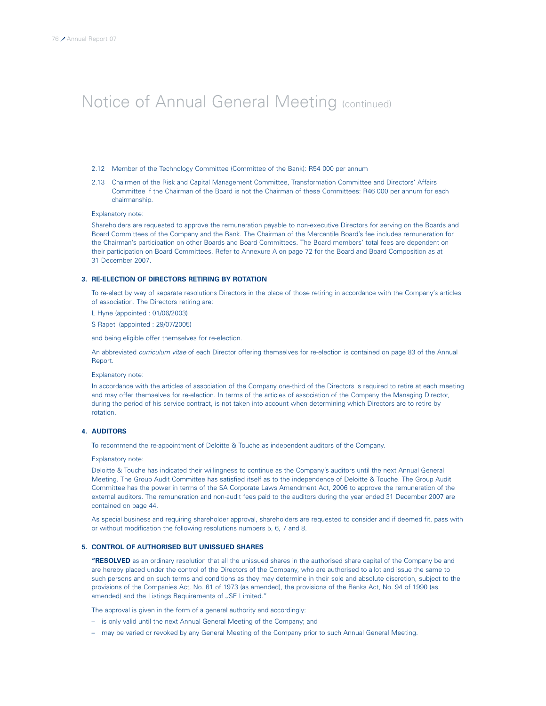### 2.12 Member of the Technology Committee (Committee of the Bank): R54 000 per annum

2.13 Chairmen of the Risk and Capital Management Committee, Transformation Committee and Directors' Affairs Committee if the Chairman of the Board is not the Chairman of these Committees: R46 000 per annum for each chairmanship.

#### Explanatory note:

Shareholders are requested to approve the remuneration payable to non-executive Directors for serving on the Boards and Board Committees of the Company and the Bank. The Chairman of the Mercantile Board's fee includes remuneration for the Chairman's participation on other Boards and Board Committees. The Board members' total fees are dependent on their participation on Board Committees. Refer to Annexure A on page 72 for the Board and Board Composition as at 31 December 2007.

# **3. RE-ELECTION OF DIRECTORS RETIRING BY ROTATION**

To re-elect by way of separate resolutions Directors in the place of those retiring in accordance with the Company's articles of association. The Directors retiring are:

L Hyne (appointed : 01/06/2003)

S Rapeti (appointed : 29/07/2005)

and being eligible offer themselves for re-election.

An abbreviated curriculum vitae of each Director offering themselves for re-election is contained on page 83 of the Annual Report.

### Explanatory note:

In accordance with the articles of association of the Company one-third of the Directors is required to retire at each meeting and may offer themselves for re-election. In terms of the articles of association of the Company the Managing Director, during the period of his service contract, is not taken into account when determining which Directors are to retire by rotation.

# **4. AUDITORS**

To recommend the re-appointment of Deloitte & Touche as independent auditors of the Company.

#### Explanatory note:

Deloitte & Touche has indicated their willingness to continue as the Company's auditors until the next Annual General Meeting. The Group Audit Committee has satisfied itself as to the independence of Deloitte & Touche. The Group Audit Committee has the power in terms of the SA Corporate Laws Amendment Act, 2006 to approve the remuneration of the external auditors. The remuneration and non-audit fees paid to the auditors during the year ended 31 December 2007 are contained on page 44.

As special business and requiring shareholder approval, shareholders are requested to consider and if deemed fit, pass with or without modification the following resolutions numbers 5, 6, 7 and 8.

# **5. CONTROL OF AUTHORISED BUT UNISSUED SHARES**

**"RESOLVED** as an ordinary resolution that all the unissued shares in the authorised share capital of the Company be and are hereby placed under the control of the Directors of the Company, who are authorised to allot and issue the same to such persons and on such terms and conditions as they may determine in their sole and absolute discretion, subject to the provisions of the Companies Act, No. 61 of 1973 (as amended), the provisions of the Banks Act, No. 94 of 1990 (as amended) and the Listings Requirements of JSE Limited."

The approval is given in the form of a general authority and accordingly:

- is only valid until the next Annual General Meeting of the Company; and
- may be varied or revoked by any General Meeting of the Company prior to such Annual General Meeting.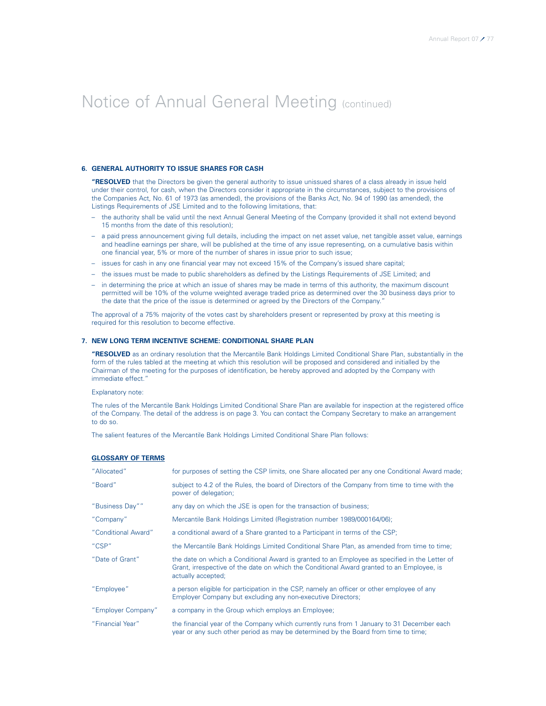# **6. GENERAL AUTHORITY TO ISSUE SHARES FOR CASH**

**"RESOLVED** that the Directors be given the general authority to issue unissued shares of a class already in issue held under their control, for cash, when the Directors consider it appropriate in the circumstances, subject to the provisions of the Companies Act, No. 61 of 1973 (as amended), the provisions of the Banks Act, No. 94 of 1990 (as amended), the Listings Requirements of JSE Limited and to the following limitations, that:

- the authority shall be valid until the next Annual General Meeting of the Company (provided it shall not extend beyond 15 months from the date of this resolution);
- a paid press announcement giving full details, including the impact on net asset value, net tangible asset value, earnings and headline earnings per share, will be published at the time of any issue representing, on a cumulative basis within one financial year, 5% or more of the number of shares in issue prior to such issue;
- issues for cash in any one financial year may not exceed 15% of the Company's issued share capital;
- the issues must be made to public shareholders as defined by the Listings Requirements of JSE Limited; and
- in determining the price at which an issue of shares may be made in terms of this authority, the maximum discount permitted will be 10% of the volume weighted average traded price as determined over the 30 business days prior to the date that the price of the issue is determined or agreed by the Directors of the Company."

The approval of a 75% majority of the votes cast by shareholders present or represented by proxy at this meeting is required for this resolution to become effective.

# **7. NEW LONG TERM INCENTIVE SCHEME: CONDITIONAL SHARE PLAN**

**"RESOLVED** as an ordinary resolution that the Mercantile Bank Holdings Limited Conditional Share Plan, substantially in the form of the rules tabled at the meeting at which this resolution will be proposed and considered and initialled by the Chairman of the meeting for the purposes of identification, be hereby approved and adopted by the Company with immediate effect."

#### Explanatory note:

The rules of the Mercantile Bank Holdings Limited Conditional Share Plan are available for inspection at the registered office of the Company. The detail of the address is on page 3. You can contact the Company Secretary to make an arrangement to do so.

The salient features of the Mercantile Bank Holdings Limited Conditional Share Plan follows:

| "Allocated"         | for purposes of setting the CSP limits, one Share allocated per any one Conditional Award made;                                                                                                                  |
|---------------------|------------------------------------------------------------------------------------------------------------------------------------------------------------------------------------------------------------------|
| "Board"             | subject to 4.2 of the Rules, the board of Directors of the Company from time to time with the<br>power of delegation;                                                                                            |
| "Business Day""     | any day on which the JSE is open for the transaction of business;                                                                                                                                                |
| "Company"           | Mercantile Bank Holdings Limited (Registration number 1989/000164/06);                                                                                                                                           |
| "Conditional Award" | a conditional award of a Share granted to a Participant in terms of the CSP;                                                                                                                                     |
| "CSP"               | the Mercantile Bank Holdings Limited Conditional Share Plan, as amended from time to time;                                                                                                                       |
| "Date of Grant"     | the date on which a Conditional Award is granted to an Employee as specified in the Letter of<br>Grant, irrespective of the date on which the Conditional Award granted to an Employee, is<br>actually accepted; |
| "Employee"          | a person eligible for participation in the CSP, namely an officer or other employee of any<br>Employer Company but excluding any non-executive Directors;                                                        |
| "Employer Company"  | a company in the Group which employs an Employee;                                                                                                                                                                |
| "Financial Year"    | the financial year of the Company which currently runs from 1 January to 31 December each<br>year or any such other period as may be determined by the Board from time to time;                                  |

#### **GLOSSARY OF TERMS**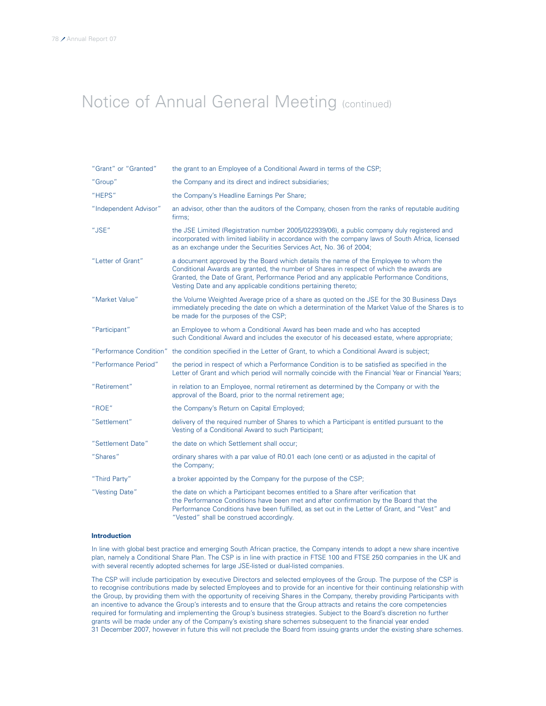| "Grant" or "Granted"  | the grant to an Employee of a Conditional Award in terms of the CSP;                                                                                                                                                                                                                                                                          |
|-----------------------|-----------------------------------------------------------------------------------------------------------------------------------------------------------------------------------------------------------------------------------------------------------------------------------------------------------------------------------------------|
| "Group"               | the Company and its direct and indirect subsidiaries;                                                                                                                                                                                                                                                                                         |
| "HEPS"                | the Company's Headline Earnings Per Share;                                                                                                                                                                                                                                                                                                    |
| "Independent Advisor" | an advisor, other than the auditors of the Company, chosen from the ranks of reputable auditing<br>firms;                                                                                                                                                                                                                                     |
| "JSE"                 | the JSE Limited (Registration number 2005/022939/06), a public company duly registered and<br>incorporated with limited liability in accordance with the company laws of South Africa, licensed<br>as an exchange under the Securities Services Act, No. 36 of 2004;                                                                          |
| "Letter of Grant"     | a document approved by the Board which details the name of the Employee to whom the<br>Conditional Awards are granted, the number of Shares in respect of which the awards are<br>Granted, the Date of Grant, Performance Period and any applicable Performance Conditions,<br>Vesting Date and any applicable conditions pertaining thereto; |
| "Market Value"        | the Volume Weighted Average price of a share as quoted on the JSE for the 30 Business Days<br>immediately preceding the date on which a determination of the Market Value of the Shares is to<br>be made for the purposes of the CSP;                                                                                                         |
| "Participant"         | an Employee to whom a Conditional Award has been made and who has accepted<br>such Conditional Award and includes the executor of his deceased estate, where appropriate;                                                                                                                                                                     |
|                       | "Performance Condition" the condition specified in the Letter of Grant, to which a Conditional Award is subject;                                                                                                                                                                                                                              |
| "Performance Period"  | the period in respect of which a Performance Condition is to be satisfied as specified in the<br>Letter of Grant and which period will normally coincide with the Financial Year or Financial Years;                                                                                                                                          |
| "Retirement"          | in relation to an Employee, normal retirement as determined by the Company or with the<br>approval of the Board, prior to the normal retirement age;                                                                                                                                                                                          |
| "ROE"                 | the Company's Return on Capital Employed;                                                                                                                                                                                                                                                                                                     |
| "Settlement"          | delivery of the required number of Shares to which a Participant is entitled pursuant to the<br>Vesting of a Conditional Award to such Participant;                                                                                                                                                                                           |
| "Settlement Date"     | the date on which Settlement shall occur;                                                                                                                                                                                                                                                                                                     |
| "Shares"              | ordinary shares with a par value of R0.01 each (one cent) or as adjusted in the capital of<br>the Company;                                                                                                                                                                                                                                    |
| "Third Party"         | a broker appointed by the Company for the purpose of the CSP;                                                                                                                                                                                                                                                                                 |
| "Vesting Date"        | the date on which a Participant becomes entitled to a Share after verification that<br>the Performance Conditions have been met and after confirmation by the Board that the<br>Performance Conditions have been fulfilled, as set out in the Letter of Grant, and "Vest" and<br>"Vested" shall be construed accordingly.                     |

## **Introduction**

In line with global best practice and emerging South African practice, the Company intends to adopt a new share incentive plan, namely a Conditional Share Plan. The CSP is in line with practice in FTSE 100 and FTSE 250 companies in the UK and with several recently adopted schemes for large JSE-listed or dual-listed companies.

The CSP will include participation by executive Directors and selected employees of the Group. The purpose of the CSP is to recognise contributions made by selected Employees and to provide for an incentive for their continuing relationship with the Group, by providing them with the opportunity of receiving Shares in the Company, thereby providing Participants with an incentive to advance the Group's interests and to ensure that the Group attracts and retains the core competencies required for formulating and implementing the Group's business strategies. Subject to the Board's discretion no further grants will be made under any of the Company's existing share schemes subsequent to the financial year ended 31 December 2007, however in future this will not preclude the Board from issuing grants under the existing share schemes.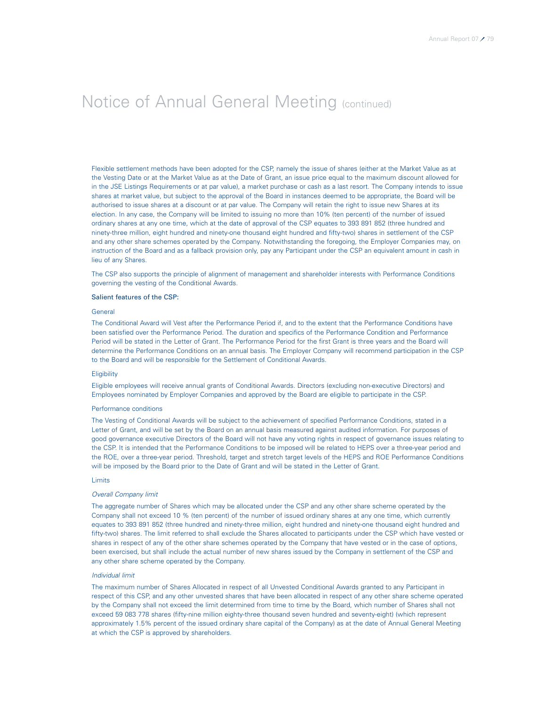Flexible settlement methods have been adopted for the CSP, namely the issue of shares (either at the Market Value as at the Vesting Date or at the Market Value as at the Date of Grant, an issue price equal to the maximum discount allowed for in the JSE Listings Requirements or at par value), a market purchase or cash as a last resort. The Company intends to issue shares at market value, but subject to the approval of the Board in instances deemed to be appropriate, the Board will be authorised to issue shares at a discount or at par value. The Company will retain the right to issue new Shares at its election. In any case, the Company will be limited to issuing no more than 10% (ten percent) of the number of issued ordinary shares at any one time, which at the date of approval of the CSP equates to 393 891 852 (three hundred and ninety-three million, eight hundred and ninety-one thousand eight hundred and fifty-two) shares in settlement of the CSP and any other share schemes operated by the Company. Notwithstanding the foregoing, the Employer Companies may, on instruction of the Board and as a fallback provision only, pay any Participant under the CSP an equivalent amount in cash in lieu of any Shares.

The CSP also supports the principle of alignment of management and shareholder interests with Performance Conditions governing the vesting of the Conditional Awards.

#### Salient features of the CSP:

### General

The Conditional Award will Vest after the Performance Period if, and to the extent that the Performance Conditions have been satisfied over the Performance Period. The duration and specifics of the Performance Condition and Performance Period will be stated in the Letter of Grant. The Performance Period for the first Grant is three years and the Board will determine the Performance Conditions on an annual basis. The Employer Company will recommend participation in the CSP to the Board and will be responsible for the Settlement of Conditional Awards.

#### **Eligibility**

Eligible employees will receive annual grants of Conditional Awards. Directors (excluding non-executive Directors) and Employees nominated by Employer Companies and approved by the Board are eligible to participate in the CSP.

#### Performance conditions

The Vesting of Conditional Awards will be subject to the achievement of specified Performance Conditions, stated in a Letter of Grant, and will be set by the Board on an annual basis measured against audited information. For purposes of good governance executive Directors of the Board will not have any voting rights in respect of governance issues relating to the CSP. It is intended that the Performance Conditions to be imposed will be related to HEPS over a three-year period and the ROE, over a three-year period. Threshold, target and stretch target levels of the HEPS and ROE Performance Conditions will be imposed by the Board prior to the Date of Grant and will be stated in the Letter of Grant.

### Limits

# Overall Company limit

The aggregate number of Shares which may be allocated under the CSP and any other share scheme operated by the Company shall not exceed 10 % (ten percent) of the number of issued ordinary shares at any one time, which currently equates to 393 891 852 (three hundred and ninety-three million, eight hundred and ninety-one thousand eight hundred and fifty-two) shares. The limit referred to shall exclude the Shares allocated to participants under the CSP which have vested or shares in respect of any of the other share schemes operated by the Company that have vested or in the case of options, been exercised, but shall include the actual number of new shares issued by the Company in settlement of the CSP and any other share scheme operated by the Company.

### Individual limit

The maximum number of Shares Allocated in respect of all Unvested Conditional Awards granted to any Participant in respect of this CSP, and any other unvested shares that have been allocated in respect of any other share scheme operated by the Company shall not exceed the limit determined from time to time by the Board, which number of Shares shall not exceed 59 083 778 shares (fifty-nine million eighty-three thousand seven hundred and seventy-eight) (which represent approximately 1.5% percent of the issued ordinary share capital of the Company) as at the date of Annual General Meeting at which the CSP is approved by shareholders.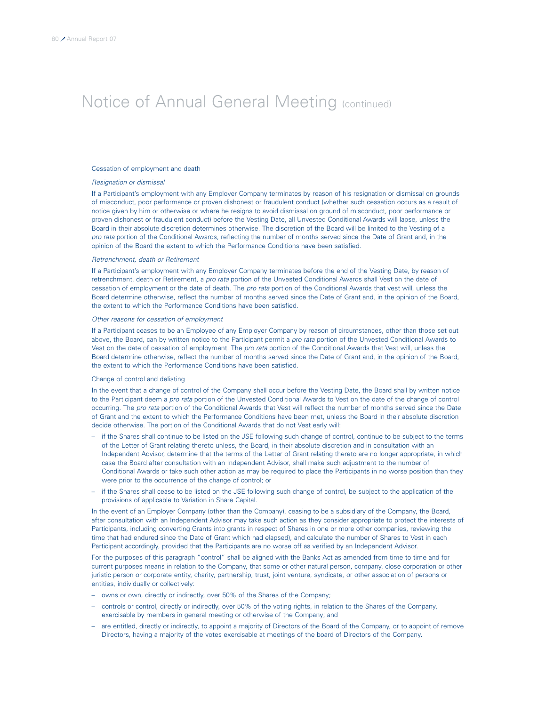#### Cessation of employment and death

### Resignation or dismissal

If a Participant's employment with any Employer Company terminates by reason of his resignation or dismissal on grounds of misconduct, poor performance or proven dishonest or fraudulent conduct (whether such cessation occurs as a result of notice given by him or otherwise or where he resigns to avoid dismissal on ground of misconduct, poor performance or proven dishonest or fraudulent conduct) before the Vesting Date, all Unvested Conditional Awards will lapse, unless the Board in their absolute discretion determines otherwise. The discretion of the Board will be limited to the Vesting of a pro rata portion of the Conditional Awards, reflecting the number of months served since the Date of Grant and, in the opinion of the Board the extent to which the Performance Conditions have been satisfied.

#### Retrenchment, death or Retirement

If a Participant's employment with any Employer Company terminates before the end of the Vesting Date, by reason of retrenchment, death or Retirement, a pro rata portion of the Unvested Conditional Awards shall Vest on the date of cessation of employment or the date of death. The pro rata portion of the Conditional Awards that vest will, unless the Board determine otherwise, reflect the number of months served since the Date of Grant and, in the opinion of the Board, the extent to which the Performance Conditions have been satisfied.

#### Other reasons for cessation of employment

If a Participant ceases to be an Employee of any Employer Company by reason of circumstances, other than those set out above, the Board, can by written notice to the Participant permit a pro rata portion of the Unvested Conditional Awards to Vest on the date of cessation of employment. The pro rata portion of the Conditional Awards that Vest will, unless the Board determine otherwise, reflect the number of months served since the Date of Grant and, in the opinion of the Board, the extent to which the Performance Conditions have been satisfied.

### Change of control and delisting

In the event that a change of control of the Company shall occur before the Vesting Date, the Board shall by written notice to the Participant deem a *pro rata* portion of the Unvested Conditional Awards to Vest on the date of the change of control occurring. The pro rata portion of the Conditional Awards that Vest will reflect the number of months served since the Date of Grant and the extent to which the Performance Conditions have been met, unless the Board in their absolute discretion decide otherwise. The portion of the Conditional Awards that do not Vest early will:

- if the Shares shall continue to be listed on the JSE following such change of control, continue to be subject to the terms of the Letter of Grant relating thereto unless, the Board, in their absolute discretion and in consultation with an Independent Advisor, determine that the terms of the Letter of Grant relating thereto are no longer appropriate, in which case the Board after consultation with an Independent Advisor, shall make such adjustment to the number of Conditional Awards or take such other action as may be required to place the Participants in no worse position than they were prior to the occurrence of the change of control; or
- if the Shares shall cease to be listed on the JSE following such change of control, be subject to the application of the provisions of applicable to Variation in Share Capital.

In the event of an Employer Company (other than the Company), ceasing to be a subsidiary of the Company, the Board, after consultation with an Independent Advisor may take such action as they consider appropriate to protect the interests of Participants, including converting Grants into grants in respect of Shares in one or more other companies, reviewing the time that had endured since the Date of Grant which had elapsed), and calculate the number of Shares to Vest in each Participant accordingly, provided that the Participants are no worse off as verified by an Independent Advisor.

For the purposes of this paragraph "control" shall be aligned with the Banks Act as amended from time to time and for current purposes means in relation to the Company, that some or other natural person, company, close corporation or other juristic person or corporate entity, charity, partnership, trust, joint venture, syndicate, or other association of persons or entities, individually or collectively:

- owns or own, directly or indirectly, over 50% of the Shares of the Company;
- controls or control, directly or indirectly, over 50% of the voting rights, in relation to the Shares of the Company, exercisable by members in general meeting or otherwise of the Company; and
- are entitled, directly or indirectly, to appoint a majority of Directors of the Board of the Company, or to appoint of remove Directors, having a majority of the votes exercisable at meetings of the board of Directors of the Company.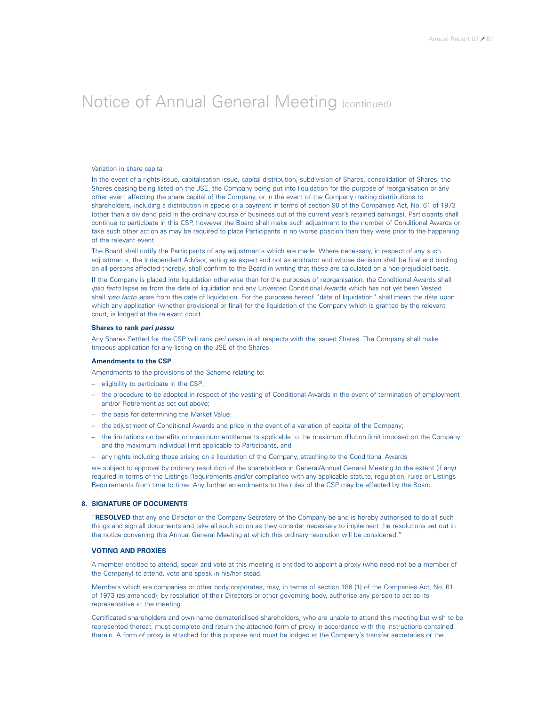#### Variation in share capital

In the event of a rights issue, capitalisation issue, capital distribution, subdivision of Shares, consolidation of Shares, the Shares ceasing being listed on the JSE, the Company being put into liquidation for the purpose of reorganisation or any other event affecting the share capital of the Company, or in the event of the Company making distributions to shareholders, including a distribution in specie or a payment in terms of section 90 of the Companies Act, No. 61 of 1973 (other than a dividend paid in the ordinary course of business out of the current year's retained earnings), Participants shall continue to participate in this CSP, however the Board shall make such adjustment to the number of Conditional Awards or take such other action as may be required to place Participants in no worse position than they were prior to the happening of the relevant event.

The Board shall notify the Participants of any adjustments which are made. Where necessary, in respect of any such adjustments, the Independent Advisor, acting as expert and not as arbitrator and whose decision shall be final and binding on all persons affected thereby, shall confirm to the Board in writing that these are calculated on a non-prejudicial basis.

If the Company is placed into liquidation otherwise than for the purposes of reorganisation, the Conditional Awards shall ipso facto lapse as from the date of liquidation and any Unvested Conditional Awards which has not yet been Vested shall ipso facto lapse from the date of liquidation. For the purposes hereof "date of liquidation" shall mean the date upon which any application (whether provisional or final) for the liquidation of the Company which is granted by the relevant court, is lodged at the relevant court.

### **Shares to rank pari passu**

Any Shares Settled for the CSP will rank pari passu in all respects with the issued Shares. The Company shall make timeous application for any listing on the JSE of the Shares.

# **Amendments to the CSP**

Amendments to the provisions of the Scheme relating to:

- eligibility to participate in the CSP;
- the procedure to be adopted in respect of the vesting of Conditional Awards in the event of termination of employment and/or Retirement as set out above;
- the basis for determining the Market Value;
- the adjustment of Conditional Awards and price in the event of a variation of capital of the Company;
- the limitations on benefits or maximum entitlements applicable to the maximum dilution limit imposed on the Company and the maximum individual limit applicable to Participants, and
- any rights including those arising on a liquidation of the Company, attaching to the Conditional Awards

are subject to approval by ordinary resolution of the shareholders in General/Annual General Meeting to the extent (if any) required in terms of the Listings Requirements and/or compliance with any applicable statute, regulation, rules or Listings Requirements from time to time. Any further amendments to the rules of the CSP may be effected by the Board.

### **8. SIGNATURE OF DOCUMENTS**

"**RESOLVED** that any one Director or the Company Secretary of the Company be and is hereby authorised to do all such things and sign all documents and take all such action as they consider necessary to implement the resolutions set out in the notice convening this Annual General Meeting at which this ordinary resolution will be considered."

# **VOTING AND PROXIES**

A member entitled to attend, speak and vote at this meeting is entitled to appoint a proxy (who need not be a member of the Company) to attend, vote and speak in his/her stead.

Members which are companies or other body corporates, may, in terms of section 188 (1) of the Companies Act, No. 61 of 1973 (as amended), by resolution of their Directors or other governing body, authorise any person to act as its representative at the meeting.

Certificated shareholders and own-name dematerialised shareholders, who are unable to attend this meeting but wish to be represented thereat, must complete and return the attached form of proxy in accordance with the instructions contained therein. A form of proxy is attached for this purpose and must be lodged at the Company's transfer secretaries or the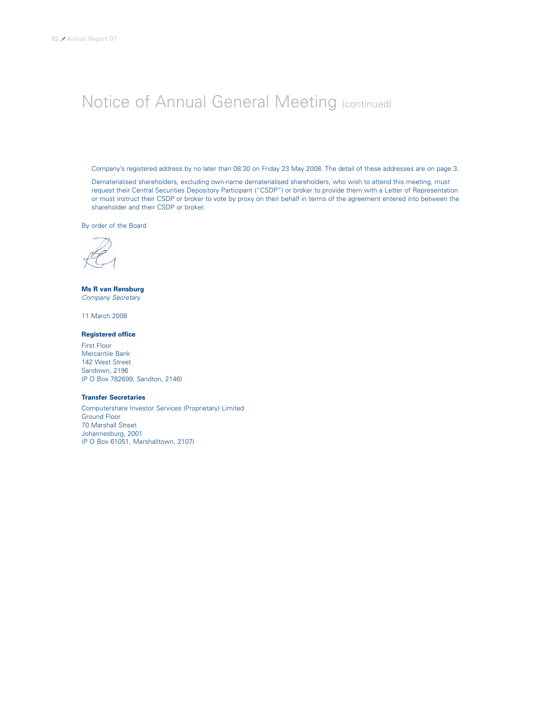Company's registered address by no later than 08:30 on Friday 23 May 2008. The detail of these addresses are on page 3.

Dematerialised shareholders, excluding own-name dematerialised shareholders, who wish to attend this meeting, must request their Central Securities Depository Participant ("CSDP") or broker to provide them with a Letter of Representation or must instruct their CSDP or broker to vote by proxy on their behalf in terms of the agreement entered into between the shareholder and their CSDP or broker.

By order of the Board

# **Ms R van Rensburg**

Company Secretary

11 March 2008

# **Registered office**

First Floor Mercantile Bank 142 West Street Sandown, 2196 (P O Box 782699, Sandton, 2146)

### **Transfer Secretaries**

Computershare Investor Services (Proprietary) Limited Ground Floor 70 Marshall Street Johannesburg, 2001 (P O Box 61051, Marshalltown, 2107)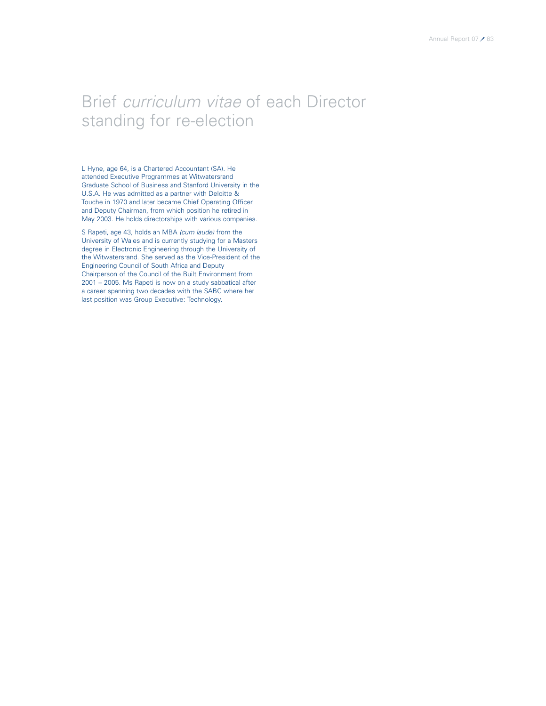# Brief curriculum vitae of each Director standing for re-election

L Hyne, age 64, is a Chartered Accountant (SA). He attended Executive Programmes at Witwatersrand Graduate School of Business and Stanford University in the U.S.A. He was admitted as a partner with Deloitte & Touche in 1970 and later became Chief Operating Officer and Deputy Chairman, from which position he retired in May 2003. He holds directorships with various companies.

S Rapeti, age 43, holds an MBA (cum laude) from the University of Wales and is currently studying for a Masters degree in Electronic Engineering through the University of the Witwatersrand. She served as the Vice-President of the Engineering Council of South Africa and Deputy Chairperson of the Council of the Built Environment from 2001 – 2005. Ms Rapeti is now on a study sabbatical after a career spanning two decades with the SABC where her last position was Group Executive: Technology.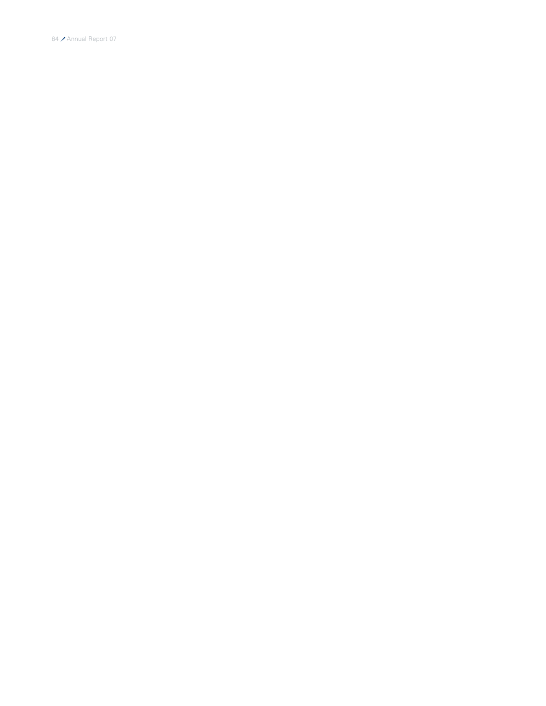84 / Annual Report 07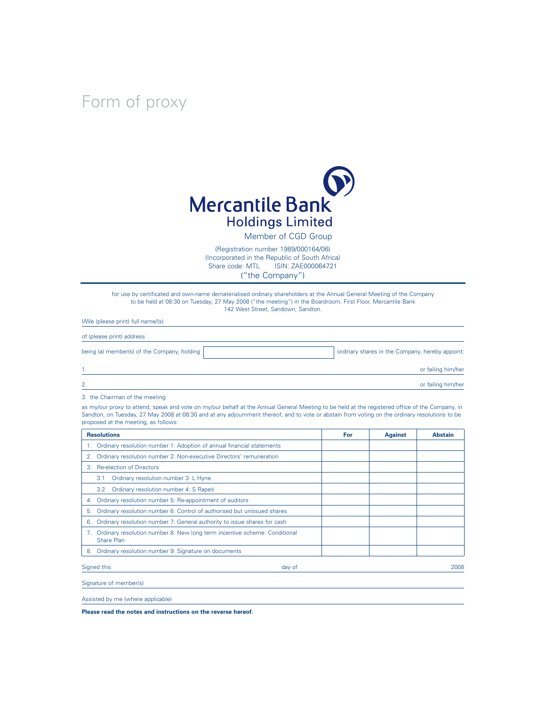Form of proxy



Member of CGD Group

(Registration number 1989/000164/06) (Incorporated in the Republic of South Africa) ISIN: ZAE000064721 ("the Company")

for use by certificated and own-name dematerialised ordinary shareholders at the Annual General Meeting of the Company to be held at 08:30 on Tuesday, 27 May 2008 ("the meeting") in the Boardroom, First Floor, Mercantile Bank 142 West Street, Sandown, Sandton.

| I/We (please print) full name/(s)           |                                                 |
|---------------------------------------------|-------------------------------------------------|
| of (please print) address                   |                                                 |
| being (a) member(s) of the Company, holding | ordinary shares in the Company, hereby appoint: |
| -1.                                         | or failing him/her                              |
| 2.                                          | or failing him/her                              |

3. the Chairman of the meeting

as my/our proxy to attend, speak and vote on my/our behalf at the Annual General Meeting to be held at the registered office of the Company, in Sandton, on Tuesday, 27 May 2008 at 08:30 and at any adjournment thereof, and to vote or abstain from voting on the ordinary resolutions to be proposed at the meeting, as follows:

| <b>Resolutions</b>                                                                         | For | <b>Against</b> | <b>Abstain</b> |
|--------------------------------------------------------------------------------------------|-----|----------------|----------------|
| Ordinary resolution number 1: Adoption of annual financial statements                      |     |                |                |
| Ordinary resolution number 2: Non-executive Directors' remuneration<br>2.                  |     |                |                |
| 3. Re-election of Directors                                                                |     |                |                |
| Ordinary resolution number 3: L Hyne<br>3.1                                                |     |                |                |
| Ordinary resolution number 4: S Rapeti<br>3.2                                              |     |                |                |
| 4. Ordinary resolution number 5: Re-appointment of auditors                                |     |                |                |
| Ordinary resolution number 6: Control of authorised but unissued shares<br>5.              |     |                |                |
| Ordinary resolution number 7: General authority to issue shares for cash<br>6.             |     |                |                |
| 7. Ordinary resolution number 8: New long term incentive scheme: Conditional<br>Share Plan |     |                |                |
| Ordinary resolution number 9: Signature on documents<br>8.                                 |     |                |                |
| Signed this<br>day of                                                                      |     |                | 2008           |

Signature of member(s)

Assisted by me (where applicable)

**Please read the notes and instructions on the reverse hereof.**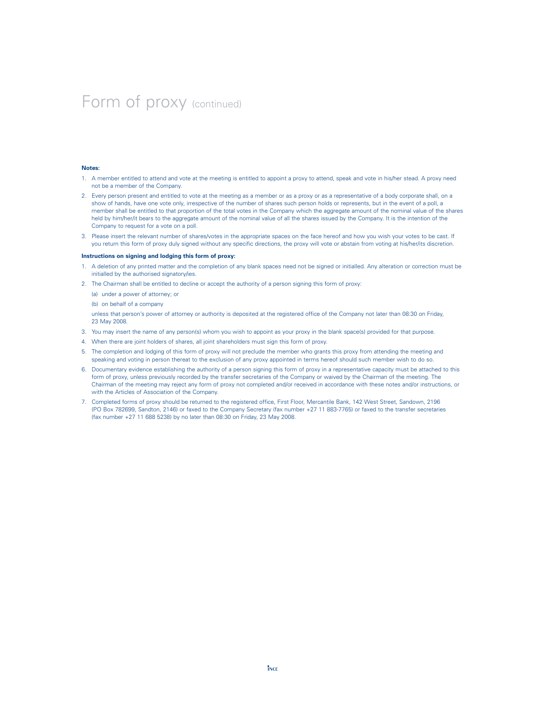# Form of proxy (continued)

#### **Notes:**

- 1. A member entitled to attend and vote at the meeting is entitled to appoint a proxy to attend, speak and vote in his/her stead. A proxy need not be a member of the Company.
- 2. Every person present and entitled to vote at the meeting as a member or as a proxy or as a representative of a body corporate shall, on a show of hands, have one vote only, irrespective of the number of shares such person holds or represents, but in the event of a poll, a member shall be entitled to that proportion of the total votes in the Company which the aggregate amount of the nominal value of the shares held by him/her/it bears to the aggregate amount of the nominal value of all the shares issued by the Company. It is the intention of the Company to request for a vote on a poll.
- 3. Please insert the relevant number of shares/votes in the appropriate spaces on the face hereof and how you wish your votes to be cast. If you return this form of proxy duly signed without any specific directions, the proxy will vote or abstain from voting at his/her/its discretion.

#### **Instructions on signing and lodging this form of proxy:**

- 1. A deletion of any printed matter and the completion of any blank spaces need not be signed or initialled. Any alteration or correction must be initialled by the authorised signatory/ies.
- 2. The Chairman shall be entitled to decline or accept the authority of a person signing this form of proxy:
	- (a) under a power of attorney; or
	- (b) on behalf of a company

unless that person's power of attorney or authority is deposited at the registered office of the Company not later than 08:30 on Friday, 23 May 2008.

- 3. You may insert the name of any person(s) whom you wish to appoint as your proxy in the blank space(s) provided for that purpose.
- 4. When there are joint holders of shares, all joint shareholders must sign this form of proxy.
- 5. The completion and lodging of this form of proxy will not preclude the member who grants this proxy from attending the meeting and speaking and voting in person thereat to the exclusion of any proxy appointed in terms hereof should such member wish to do so.
- 6. Documentary evidence establishing the authority of a person signing this form of proxy in a representative capacity must be attached to this form of proxy, unless previously recorded by the transfer secretaries of the Company or waived by the Chairman of the meeting. The Chairman of the meeting may reject any form of proxy not completed and/or received in accordance with these notes and/or instructions, or with the Articles of Association of the Company.
- 7. Completed forms of proxy should be returned to the registered office, First Floor, Mercantile Bank, 142 West Street, Sandown, 2196 (PO Box 782699, Sandton, 2146) or faxed to the Company Secretary (fax number +27 11 883-7765) or faxed to the transfer secretaries (fax number +27 11 688 5238) by no later than 08:30 on Friday, 23 May 2008.